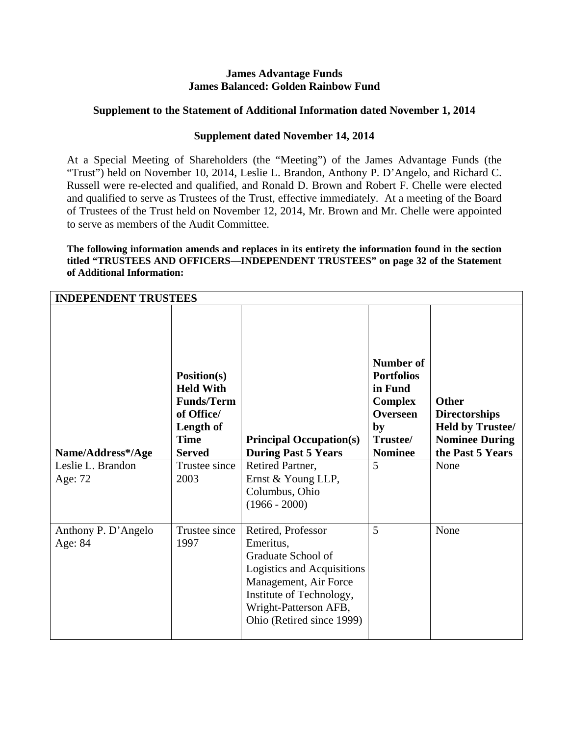## **James Advantage Funds James Balanced: Golden Rainbow Fund**

# **Supplement to the Statement of Additional Information dated November 1, 2014**

# **Supplement dated November 14, 2014**

At a Special Meeting of Shareholders (the "Meeting") of the James Advantage Funds (the "Trust") held on November 10, 2014, Leslie L. Brandon, Anthony P. D'Angelo, and Richard C. Russell were re-elected and qualified, and Ronald D. Brown and Robert F. Chelle were elected and qualified to serve as Trustees of the Trust, effective immediately. At a meeting of the Board of Trustees of the Trust held on November 12, 2014, Mr. Brown and Mr. Chelle were appointed to serve as members of the Audit Committee.

**The following information amends and replaces in its entirety the information found in the section titled "TRUSTEES AND OFFICERS—INDEPENDENT TRUSTEES" on page 32 of the Statement of Additional Information:** 

| <b>INDEPENDENT TRUSTEES</b>                       |                                                                                                                                                 |                                                                                                                                                                                                |                                                                                                                                |                                                                                                                      |
|---------------------------------------------------|-------------------------------------------------------------------------------------------------------------------------------------------------|------------------------------------------------------------------------------------------------------------------------------------------------------------------------------------------------|--------------------------------------------------------------------------------------------------------------------------------|----------------------------------------------------------------------------------------------------------------------|
| Name/Address*/Age<br>Leslie L. Brandon<br>Age: 72 | <b>Position(s)</b><br><b>Held With</b><br><b>Funds/Term</b><br>of Office/<br>Length of<br><b>Time</b><br><b>Served</b><br>Trustee since<br>2003 | <b>Principal Occupation(s)</b><br><b>During Past 5 Years</b><br>Retired Partner,<br>Ernst & Young LLP,<br>Columbus, Ohio<br>$(1966 - 2000)$                                                    | <b>Number of</b><br><b>Portfolios</b><br>in Fund<br><b>Complex</b><br><b>Overseen</b><br>by<br>Trustee/<br><b>Nominee</b><br>5 | <b>Other</b><br><b>Directorships</b><br><b>Held by Trustee/</b><br><b>Nominee During</b><br>the Past 5 Years<br>None |
| Anthony P. D'Angelo<br>Age: 84                    | Trustee since<br>1997                                                                                                                           | Retired, Professor<br>Emeritus,<br>Graduate School of<br>Logistics and Acquisitions<br>Management, Air Force<br>Institute of Technology,<br>Wright-Patterson AFB,<br>Ohio (Retired since 1999) | 5                                                                                                                              | None                                                                                                                 |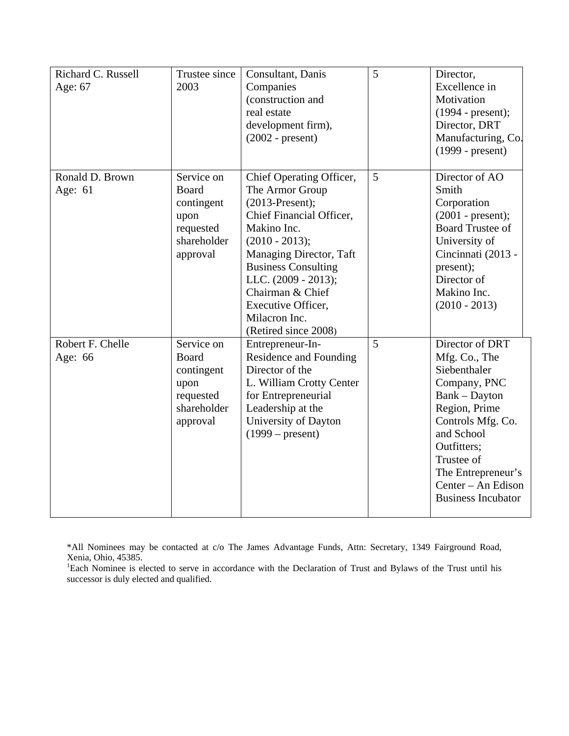| Richard C. Russell<br>Age: 67 | Trustee since<br>2003                                                                    | Consultant, Danis<br>Companies<br>(construction and<br>real estate<br>development firm),<br>$(2002 - present)$                                                                                                                                                                                     | 5 | Director,<br>Excellence in<br>Motivation<br>$(1994 - present);$<br>Director, DRT<br>Manufacturing, Co.<br>$(1999 - present)$                                                                                                                |
|-------------------------------|------------------------------------------------------------------------------------------|----------------------------------------------------------------------------------------------------------------------------------------------------------------------------------------------------------------------------------------------------------------------------------------------------|---|---------------------------------------------------------------------------------------------------------------------------------------------------------------------------------------------------------------------------------------------|
| Ronald D. Brown<br>Age: 61    | Service on<br><b>Board</b><br>contingent<br>upon<br>requested<br>shareholder<br>approval | Chief Operating Officer,<br>The Armor Group<br>$(2013-Present);$<br>Chief Financial Officer,<br>Makino Inc.<br>$(2010 - 2013);$<br>Managing Director, Taft<br><b>Business Consulting</b><br>LLC. (2009 - 2013);<br>Chairman & Chief<br>Executive Officer,<br>Milacron Inc.<br>(Retired since 2008) | 5 | Director of AO<br>Smith<br>Corporation<br>$(2001 - present);$<br><b>Board Trustee of</b><br>University of<br>Cincinnati (2013 -<br>present);<br>Director of<br>Makino Inc.<br>$(2010 - 2013)$                                               |
| Robert F. Chelle<br>Age: 66   | Service on<br>Board<br>contingent<br>upon<br>requested<br>shareholder<br>approval        | Entrepreneur-In-<br>Residence and Founding<br>Director of the<br>L. William Crotty Center<br>for Entrepreneurial<br>Leadership at the<br>University of Dayton<br>$(1999 - present)$                                                                                                                | 5 | Director of DRT<br>Mfg. Co., The<br>Siebenthaler<br>Company, PNC<br>Bank - Dayton<br>Region, Prime<br>Controls Mfg. Co.<br>and School<br>Outfitters;<br>Trustee of<br>The Entrepreneur's<br>Center – An Edison<br><b>Business Incubator</b> |

\*All Nominees may be contacted at c/o The James Advantage Funds, Attn: Secretary, 1349 Fairground Road,

Xenia, Ohio, 45385. 1 Each Nominee is elected to serve in accordance with the Declaration of Trust and Bylaws of the Trust until his successor is duly elected and qualified.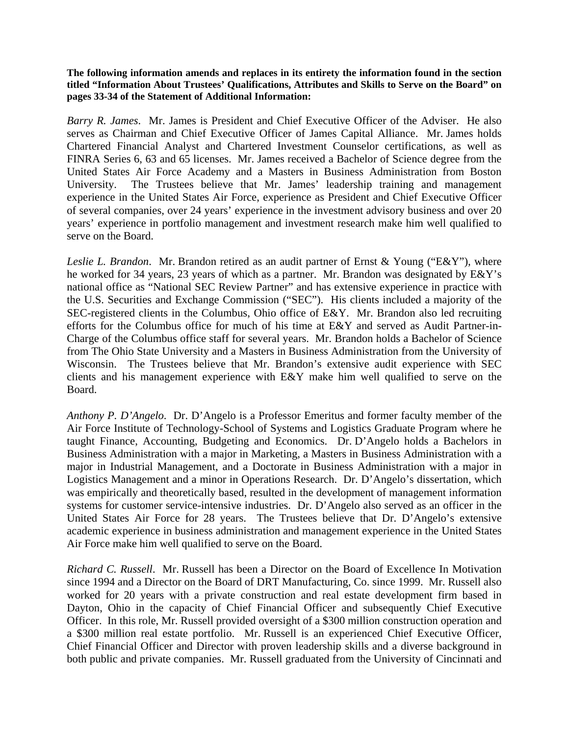**The following information amends and replaces in its entirety the information found in the section titled "Information About Trustees' Qualifications, Attributes and Skills to Serve on the Board" on pages 33-34 of the Statement of Additional Information:** 

*Barry R. James*. Mr. James is President and Chief Executive Officer of the Adviser. He also serves as Chairman and Chief Executive Officer of James Capital Alliance. Mr. James holds Chartered Financial Analyst and Chartered Investment Counselor certifications, as well as FINRA Series 6, 63 and 65 licenses. Mr. James received a Bachelor of Science degree from the United States Air Force Academy and a Masters in Business Administration from Boston University. The Trustees believe that Mr. James' leadership training and management experience in the United States Air Force, experience as President and Chief Executive Officer of several companies, over 24 years' experience in the investment advisory business and over 20 years' experience in portfolio management and investment research make him well qualified to serve on the Board.

*Leslie L. Brandon*. Mr. Brandon retired as an audit partner of Ernst & Young ("E&Y"), where he worked for 34 years, 23 years of which as a partner. Mr. Brandon was designated by E&Y's national office as "National SEC Review Partner" and has extensive experience in practice with the U.S. Securities and Exchange Commission ("SEC"). His clients included a majority of the SEC-registered clients in the Columbus, Ohio office of E&Y. Mr. Brandon also led recruiting efforts for the Columbus office for much of his time at E&Y and served as Audit Partner-in-Charge of the Columbus office staff for several years. Mr. Brandon holds a Bachelor of Science from The Ohio State University and a Masters in Business Administration from the University of Wisconsin. The Trustees believe that Mr. Brandon's extensive audit experience with SEC clients and his management experience with E&Y make him well qualified to serve on the Board.

*Anthony P. D'Angelo*. Dr. D'Angelo is a Professor Emeritus and former faculty member of the Air Force Institute of Technology-School of Systems and Logistics Graduate Program where he taught Finance, Accounting, Budgeting and Economics. Dr. D'Angelo holds a Bachelors in Business Administration with a major in Marketing, a Masters in Business Administration with a major in Industrial Management, and a Doctorate in Business Administration with a major in Logistics Management and a minor in Operations Research. Dr. D'Angelo's dissertation, which was empirically and theoretically based, resulted in the development of management information systems for customer service-intensive industries. Dr. D'Angelo also served as an officer in the United States Air Force for 28 years. The Trustees believe that Dr. D'Angelo's extensive academic experience in business administration and management experience in the United States Air Force make him well qualified to serve on the Board.

*Richard C. Russell*. Mr. Russell has been a Director on the Board of Excellence In Motivation since 1994 and a Director on the Board of DRT Manufacturing, Co. since 1999. Mr. Russell also worked for 20 years with a private construction and real estate development firm based in Dayton, Ohio in the capacity of Chief Financial Officer and subsequently Chief Executive Officer. In this role, Mr. Russell provided oversight of a \$300 million construction operation and a \$300 million real estate portfolio. Mr. Russell is an experienced Chief Executive Officer, Chief Financial Officer and Director with proven leadership skills and a diverse background in both public and private companies. Mr. Russell graduated from the University of Cincinnati and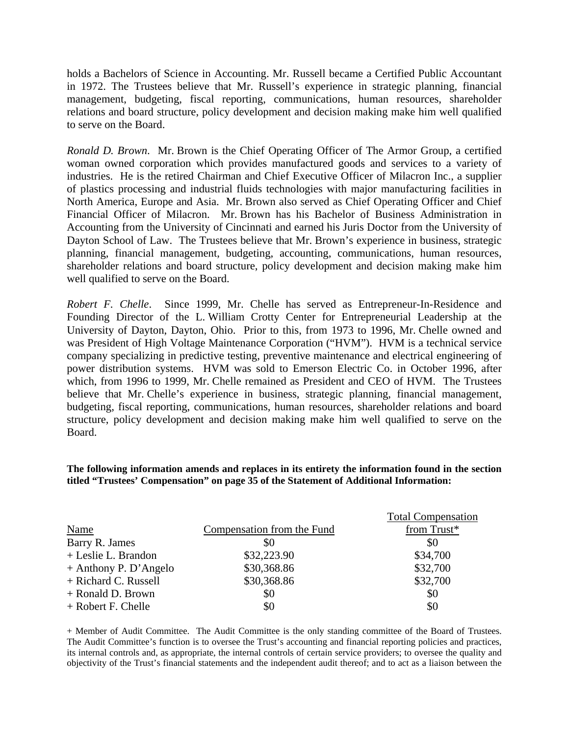holds a Bachelors of Science in Accounting. Mr. Russell became a Certified Public Accountant in 1972. The Trustees believe that Mr. Russell's experience in strategic planning, financial management, budgeting, fiscal reporting, communications, human resources, shareholder relations and board structure, policy development and decision making make him well qualified to serve on the Board.

*Ronald D. Brown*. Mr. Brown is the Chief Operating Officer of The Armor Group, a certified woman owned corporation which provides manufactured goods and services to a variety of industries. He is the retired Chairman and Chief Executive Officer of Milacron Inc., a supplier of plastics processing and industrial fluids technologies with major manufacturing facilities in North America, Europe and Asia. Mr. Brown also served as Chief Operating Officer and Chief Financial Officer of Milacron. Mr. Brown has his Bachelor of Business Administration in Accounting from the University of Cincinnati and earned his Juris Doctor from the University of Dayton School of Law. The Trustees believe that Mr. Brown's experience in business, strategic planning, financial management, budgeting, accounting, communications, human resources, shareholder relations and board structure, policy development and decision making make him well qualified to serve on the Board.

*Robert F. Chelle*. Since 1999, Mr. Chelle has served as Entrepreneur-In-Residence and Founding Director of the L. William Crotty Center for Entrepreneurial Leadership at the University of Dayton, Dayton, Ohio. Prior to this, from 1973 to 1996, Mr. Chelle owned and was President of High Voltage Maintenance Corporation ("HVM"). HVM is a technical service company specializing in predictive testing, preventive maintenance and electrical engineering of power distribution systems. HVM was sold to Emerson Electric Co. in October 1996, after which, from 1996 to 1999, Mr. Chelle remained as President and CEO of HVM. The Trustees believe that Mr. Chelle's experience in business, strategic planning, financial management, budgeting, fiscal reporting, communications, human resources, shareholder relations and board structure, policy development and decision making make him well qualified to serve on the Board.

#### **The following information amends and replaces in its entirety the information found in the section titled "Trustees' Compensation" on page 35 of the Statement of Additional Information:**

|                         |                            | <b>Total Compensation</b> |
|-------------------------|----------------------------|---------------------------|
| <b>Name</b>             | Compensation from the Fund | from Trust*               |
| Barry R. James          | \$0                        | \$0                       |
| + Leslie L. Brandon     | \$32,223.90                | \$34,700                  |
| $+$ Anthony P. D'Angelo | \$30,368.86                | \$32,700                  |
| + Richard C. Russell    | \$30,368.86                | \$32,700                  |
| + Ronald D. Brown       | \$0                        | \$0                       |
| + Robert F. Chelle      | \$0                        | \$0                       |

+ Member of Audit Committee. The Audit Committee is the only standing committee of the Board of Trustees. The Audit Committee's function is to oversee the Trust's accounting and financial reporting policies and practices, its internal controls and, as appropriate, the internal controls of certain service providers; to oversee the quality and objectivity of the Trust's financial statements and the independent audit thereof; and to act as a liaison between the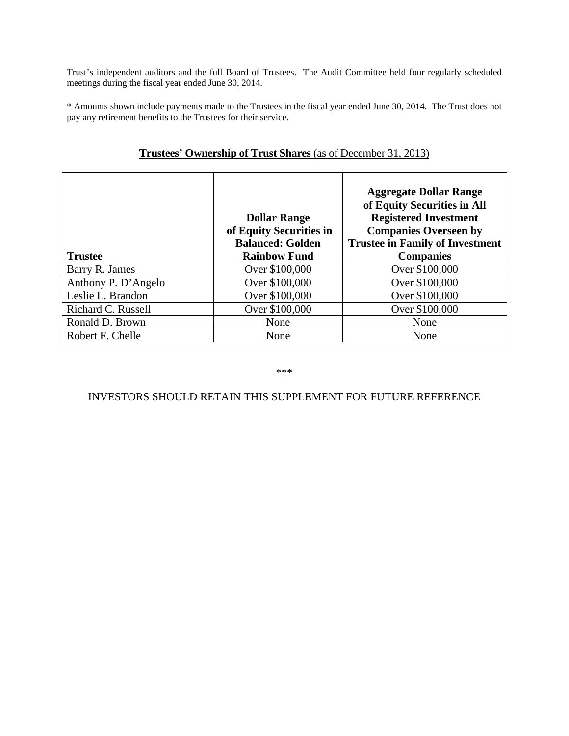Trust's independent auditors and the full Board of Trustees. The Audit Committee held four regularly scheduled meetings during the fiscal year ended June 30, 2014.

\* Amounts shown include payments made to the Trustees in the fiscal year ended June 30, 2014. The Trust does not pay any retirement benefits to the Trustees for their service.

| <b>Trustee</b>      | <b>Dollar Range</b><br>of Equity Securities in<br><b>Balanced: Golden</b><br><b>Rainbow Fund</b> | <b>Aggregate Dollar Range</b><br>of Equity Securities in All<br><b>Registered Investment</b><br><b>Companies Overseen by</b><br><b>Trustee in Family of Investment</b><br><b>Companies</b> |
|---------------------|--------------------------------------------------------------------------------------------------|--------------------------------------------------------------------------------------------------------------------------------------------------------------------------------------------|
|                     |                                                                                                  |                                                                                                                                                                                            |
| Barry R. James      | Over \$100,000                                                                                   | Over \$100,000                                                                                                                                                                             |
| Anthony P. D'Angelo | Over \$100,000                                                                                   | Over \$100,000                                                                                                                                                                             |
| Leslie L. Brandon   | Over \$100,000                                                                                   | Over \$100,000                                                                                                                                                                             |
| Richard C. Russell  | Over \$100,000                                                                                   | Over \$100,000                                                                                                                                                                             |
| Ronald D. Brown     | None                                                                                             | None                                                                                                                                                                                       |
| Robert F. Chelle    | None                                                                                             | None                                                                                                                                                                                       |

# **Trustees' Ownership of Trust Shares** (as of December 31, 2013)

\*\*\*

# INVESTORS SHOULD RETAIN THIS SUPPLEMENT FOR FUTURE REFERENCE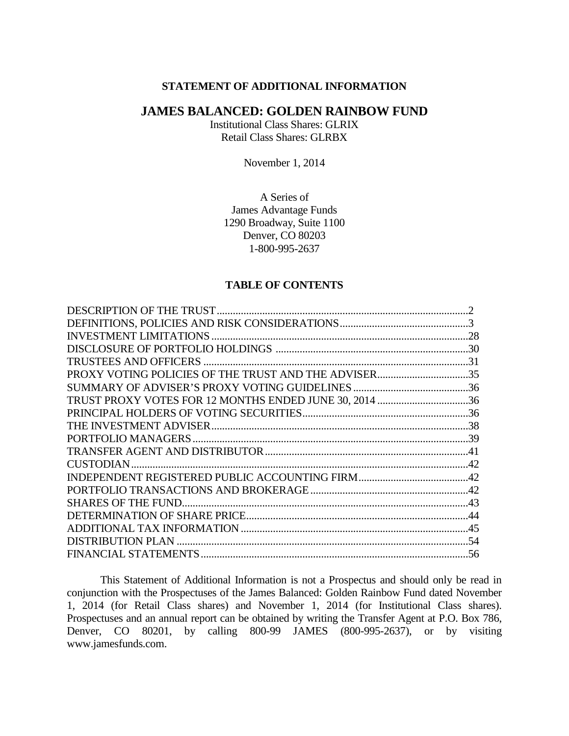#### **STATEMENT OF ADDITIONAL INFORMATION**

### **JAMES BALANCED: GOLDEN RAINBOW FUND**

Institutional Class Shares: GLRIX Retail Class Shares: GLRBX

November 1, 2014

A Series of James Advantage Funds 1290 Broadway, Suite 1100 Denver, CO 80203 1-800-995-2637

#### **TABLE OF CONTENTS**

| PROXY VOTING POLICIES OF THE TRUST AND THE ADVISER35   |  |
|--------------------------------------------------------|--|
|                                                        |  |
| TRUST PROXY VOTES FOR 12 MONTHS ENDED JUNE 30, 2014 36 |  |
|                                                        |  |
|                                                        |  |
|                                                        |  |
|                                                        |  |
|                                                        |  |
|                                                        |  |
|                                                        |  |
|                                                        |  |
|                                                        |  |
|                                                        |  |
|                                                        |  |
|                                                        |  |

This Statement of Additional Information is not a Prospectus and should only be read in conjunction with the Prospectuses of the James Balanced: Golden Rainbow Fund dated November 1, 2014 (for Retail Class shares) and November 1, 2014 (for Institutional Class shares). Prospectuses and an annual report can be obtained by writing the Transfer Agent at P.O. Box 786, Denver, CO 80201, by calling 800-99 JAMES (800-995-2637), or by visiting www.jamesfunds.com.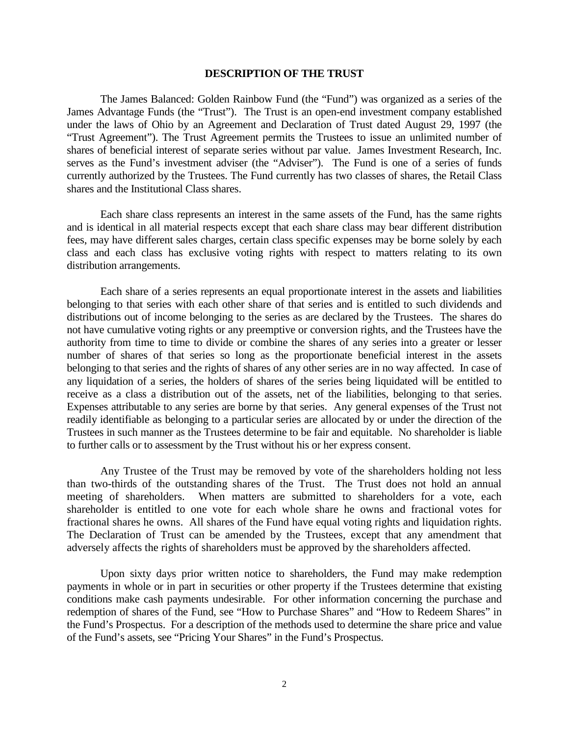#### **DESCRIPTION OF THE TRUST**

The James Balanced: Golden Rainbow Fund (the "Fund") was organized as a series of the James Advantage Funds (the "Trust"). The Trust is an open-end investment company established under the laws of Ohio by an Agreement and Declaration of Trust dated August 29, 1997 (the "Trust Agreement"). The Trust Agreement permits the Trustees to issue an unlimited number of shares of beneficial interest of separate series without par value. James Investment Research, Inc. serves as the Fund's investment adviser (the "Adviser"). The Fund is one of a series of funds currently authorized by the Trustees. The Fund currently has two classes of shares, the Retail Class shares and the Institutional Class shares.

Each share class represents an interest in the same assets of the Fund, has the same rights and is identical in all material respects except that each share class may bear different distribution fees, may have different sales charges, certain class specific expenses may be borne solely by each class and each class has exclusive voting rights with respect to matters relating to its own distribution arrangements.

Each share of a series represents an equal proportionate interest in the assets and liabilities belonging to that series with each other share of that series and is entitled to such dividends and distributions out of income belonging to the series as are declared by the Trustees. The shares do not have cumulative voting rights or any preemptive or conversion rights, and the Trustees have the authority from time to time to divide or combine the shares of any series into a greater or lesser number of shares of that series so long as the proportionate beneficial interest in the assets belonging to that series and the rights of shares of any other series are in no way affected. In case of any liquidation of a series, the holders of shares of the series being liquidated will be entitled to receive as a class a distribution out of the assets, net of the liabilities, belonging to that series. Expenses attributable to any series are borne by that series. Any general expenses of the Trust not readily identifiable as belonging to a particular series are allocated by or under the direction of the Trustees in such manner as the Trustees determine to be fair and equitable. No shareholder is liable to further calls or to assessment by the Trust without his or her express consent.

Any Trustee of the Trust may be removed by vote of the shareholders holding not less than two-thirds of the outstanding shares of the Trust. The Trust does not hold an annual meeting of shareholders. When matters are submitted to shareholders for a vote, each shareholder is entitled to one vote for each whole share he owns and fractional votes for fractional shares he owns. All shares of the Fund have equal voting rights and liquidation rights. The Declaration of Trust can be amended by the Trustees, except that any amendment that adversely affects the rights of shareholders must be approved by the shareholders affected.

Upon sixty days prior written notice to shareholders, the Fund may make redemption payments in whole or in part in securities or other property if the Trustees determine that existing conditions make cash payments undesirable. For other information concerning the purchase and redemption of shares of the Fund, see "How to Purchase Shares" and "How to Redeem Shares" in the Fund's Prospectus. For a description of the methods used to determine the share price and value of the Fund's assets, see "Pricing Your Shares" in the Fund's Prospectus.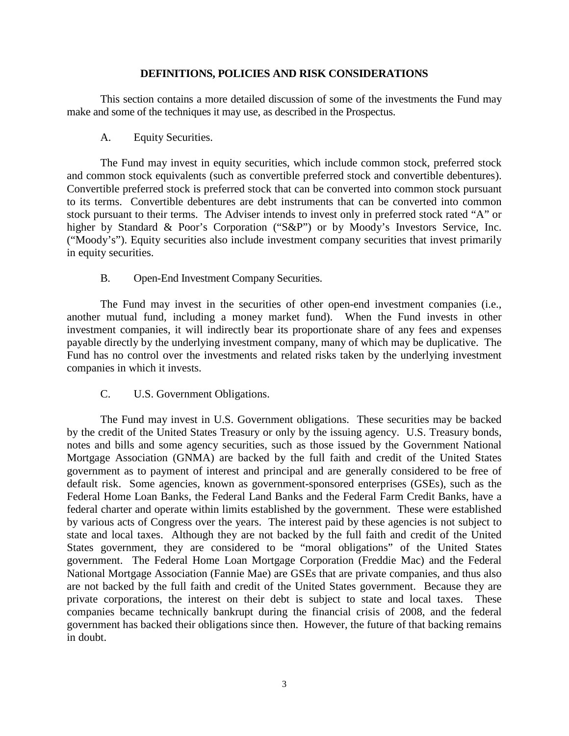### **DEFINITIONS, POLICIES AND RISK CONSIDERATIONS**

This section contains a more detailed discussion of some of the investments the Fund may make and some of the techniques it may use, as described in the Prospectus.

A. Equity Securities.

The Fund may invest in equity securities, which include common stock, preferred stock and common stock equivalents (such as convertible preferred stock and convertible debentures). Convertible preferred stock is preferred stock that can be converted into common stock pursuant to its terms. Convertible debentures are debt instruments that can be converted into common stock pursuant to their terms. The Adviser intends to invest only in preferred stock rated "A" or higher by Standard & Poor's Corporation ("S&P") or by Moody's Investors Service, Inc. ("Moody's"). Equity securities also include investment company securities that invest primarily in equity securities.

B. Open-End Investment Company Securities.

The Fund may invest in the securities of other open-end investment companies (i.e., another mutual fund, including a money market fund). When the Fund invests in other investment companies, it will indirectly bear its proportionate share of any fees and expenses payable directly by the underlying investment company, many of which may be duplicative. The Fund has no control over the investments and related risks taken by the underlying investment companies in which it invests.

C. U.S. Government Obligations.

The Fund may invest in U.S. Government obligations. These securities may be backed by the credit of the United States Treasury or only by the issuing agency. U.S. Treasury bonds, notes and bills and some agency securities, such as those issued by the Government National Mortgage Association (GNMA) are backed by the full faith and credit of the United States government as to payment of interest and principal and are generally considered to be free of default risk. Some agencies, known as government-sponsored enterprises (GSEs), such as the Federal Home Loan Banks, the Federal Land Banks and the Federal Farm Credit Banks, have a federal charter and operate within limits established by the government. These were established by various acts of Congress over the years. The interest paid by these agencies is not subject to state and local taxes. Although they are not backed by the full faith and credit of the United States government, they are considered to be "moral obligations" of the United States government. The Federal Home Loan Mortgage Corporation (Freddie Mac) and the Federal National Mortgage Association (Fannie Mae) are GSEs that are private companies, and thus also are not backed by the full faith and credit of the United States government. Because they are private corporations, the interest on their debt is subject to state and local taxes. These companies became technically bankrupt during the financial crisis of 2008, and the federal government has backed their obligations since then. However, the future of that backing remains in doubt.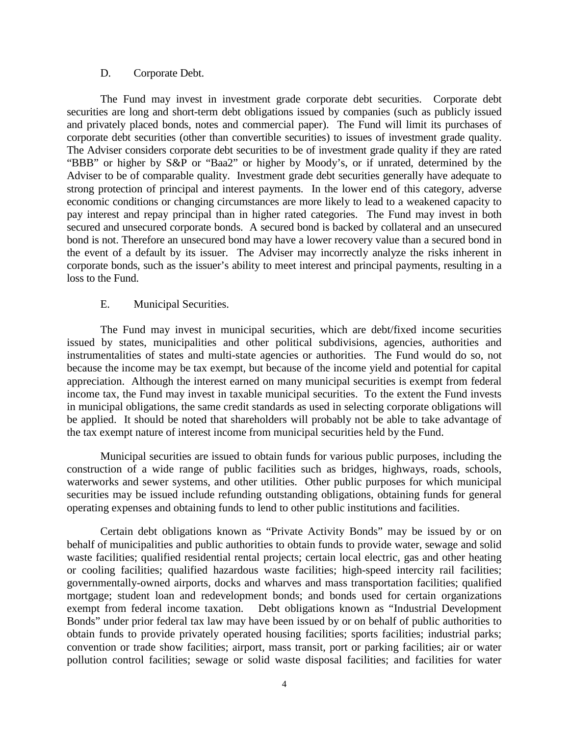#### D. Corporate Debt.

The Fund may invest in investment grade corporate debt securities. Corporate debt securities are long and short-term debt obligations issued by companies (such as publicly issued and privately placed bonds, notes and commercial paper). The Fund will limit its purchases of corporate debt securities (other than convertible securities) to issues of investment grade quality. The Adviser considers corporate debt securities to be of investment grade quality if they are rated "BBB" or higher by S&P or "Baa2" or higher by Moody's, or if unrated, determined by the Adviser to be of comparable quality. Investment grade debt securities generally have adequate to strong protection of principal and interest payments. In the lower end of this category, adverse economic conditions or changing circumstances are more likely to lead to a weakened capacity to pay interest and repay principal than in higher rated categories. The Fund may invest in both secured and unsecured corporate bonds. A secured bond is backed by collateral and an unsecured bond is not. Therefore an unsecured bond may have a lower recovery value than a secured bond in the event of a default by its issuer. The Adviser may incorrectly analyze the risks inherent in corporate bonds, such as the issuer's ability to meet interest and principal payments, resulting in a loss to the Fund.

### E. Municipal Securities.

The Fund may invest in municipal securities, which are debt/fixed income securities issued by states, municipalities and other political subdivisions, agencies, authorities and instrumentalities of states and multi-state agencies or authorities. The Fund would do so, not because the income may be tax exempt, but because of the income yield and potential for capital appreciation. Although the interest earned on many municipal securities is exempt from federal income tax, the Fund may invest in taxable municipal securities. To the extent the Fund invests in municipal obligations, the same credit standards as used in selecting corporate obligations will be applied. It should be noted that shareholders will probably not be able to take advantage of the tax exempt nature of interest income from municipal securities held by the Fund.

Municipal securities are issued to obtain funds for various public purposes, including the construction of a wide range of public facilities such as bridges, highways, roads, schools, waterworks and sewer systems, and other utilities. Other public purposes for which municipal securities may be issued include refunding outstanding obligations, obtaining funds for general operating expenses and obtaining funds to lend to other public institutions and facilities.

Certain debt obligations known as "Private Activity Bonds" may be issued by or on behalf of municipalities and public authorities to obtain funds to provide water, sewage and solid waste facilities; qualified residential rental projects; certain local electric, gas and other heating or cooling facilities; qualified hazardous waste facilities; high-speed intercity rail facilities; governmentally-owned airports, docks and wharves and mass transportation facilities; qualified mortgage; student loan and redevelopment bonds; and bonds used for certain organizations exempt from federal income taxation. Debt obligations known as "Industrial Development Bonds" under prior federal tax law may have been issued by or on behalf of public authorities to obtain funds to provide privately operated housing facilities; sports facilities; industrial parks; convention or trade show facilities; airport, mass transit, port or parking facilities; air or water pollution control facilities; sewage or solid waste disposal facilities; and facilities for water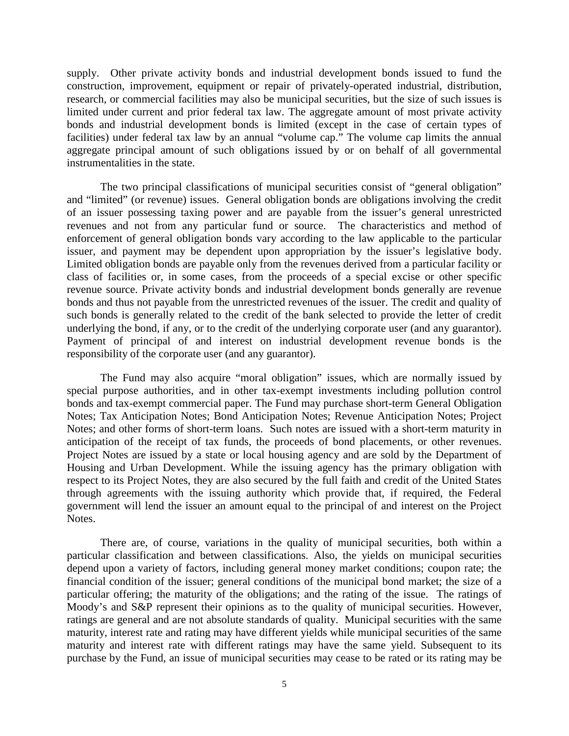supply. Other private activity bonds and industrial development bonds issued to fund the construction, improvement, equipment or repair of privately-operated industrial, distribution, research, or commercial facilities may also be municipal securities, but the size of such issues is limited under current and prior federal tax law. The aggregate amount of most private activity bonds and industrial development bonds is limited (except in the case of certain types of facilities) under federal tax law by an annual "volume cap." The volume cap limits the annual aggregate principal amount of such obligations issued by or on behalf of all governmental instrumentalities in the state.

The two principal classifications of municipal securities consist of "general obligation" and "limited" (or revenue) issues. General obligation bonds are obligations involving the credit of an issuer possessing taxing power and are payable from the issuer's general unrestricted revenues and not from any particular fund or source. The characteristics and method of enforcement of general obligation bonds vary according to the law applicable to the particular issuer, and payment may be dependent upon appropriation by the issuer's legislative body. Limited obligation bonds are payable only from the revenues derived from a particular facility or class of facilities or, in some cases, from the proceeds of a special excise or other specific revenue source. Private activity bonds and industrial development bonds generally are revenue bonds and thus not payable from the unrestricted revenues of the issuer. The credit and quality of such bonds is generally related to the credit of the bank selected to provide the letter of credit underlying the bond, if any, or to the credit of the underlying corporate user (and any guarantor). Payment of principal of and interest on industrial development revenue bonds is the responsibility of the corporate user (and any guarantor).

The Fund may also acquire "moral obligation" issues, which are normally issued by special purpose authorities, and in other tax-exempt investments including pollution control bonds and tax-exempt commercial paper. The Fund may purchase short-term General Obligation Notes; Tax Anticipation Notes; Bond Anticipation Notes; Revenue Anticipation Notes; Project Notes; and other forms of short-term loans. Such notes are issued with a short-term maturity in anticipation of the receipt of tax funds, the proceeds of bond placements, or other revenues. Project Notes are issued by a state or local housing agency and are sold by the Department of Housing and Urban Development. While the issuing agency has the primary obligation with respect to its Project Notes, they are also secured by the full faith and credit of the United States through agreements with the issuing authority which provide that, if required, the Federal government will lend the issuer an amount equal to the principal of and interest on the Project Notes.

There are, of course, variations in the quality of municipal securities, both within a particular classification and between classifications. Also, the yields on municipal securities depend upon a variety of factors, including general money market conditions; coupon rate; the financial condition of the issuer; general conditions of the municipal bond market; the size of a particular offering; the maturity of the obligations; and the rating of the issue. The ratings of Moody's and S&P represent their opinions as to the quality of municipal securities. However, ratings are general and are not absolute standards of quality. Municipal securities with the same maturity, interest rate and rating may have different yields while municipal securities of the same maturity and interest rate with different ratings may have the same yield. Subsequent to its purchase by the Fund, an issue of municipal securities may cease to be rated or its rating may be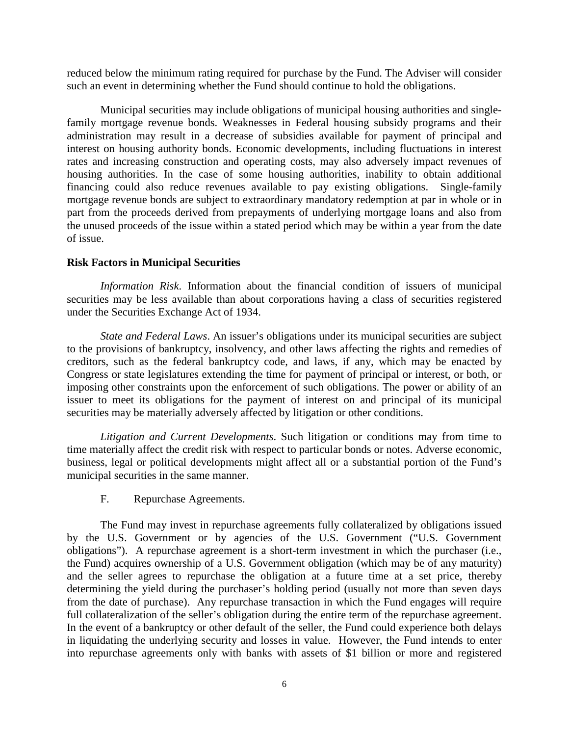reduced below the minimum rating required for purchase by the Fund. The Adviser will consider such an event in determining whether the Fund should continue to hold the obligations.

Municipal securities may include obligations of municipal housing authorities and singlefamily mortgage revenue bonds. Weaknesses in Federal housing subsidy programs and their administration may result in a decrease of subsidies available for payment of principal and interest on housing authority bonds. Economic developments, including fluctuations in interest rates and increasing construction and operating costs, may also adversely impact revenues of housing authorities. In the case of some housing authorities, inability to obtain additional financing could also reduce revenues available to pay existing obligations. Single-family mortgage revenue bonds are subject to extraordinary mandatory redemption at par in whole or in part from the proceeds derived from prepayments of underlying mortgage loans and also from the unused proceeds of the issue within a stated period which may be within a year from the date of issue.

### **Risk Factors in Municipal Securities**

*Information Risk*. Information about the financial condition of issuers of municipal securities may be less available than about corporations having a class of securities registered under the Securities Exchange Act of 1934.

*State and Federal Laws*. An issuer's obligations under its municipal securities are subject to the provisions of bankruptcy, insolvency, and other laws affecting the rights and remedies of creditors, such as the federal bankruptcy code, and laws, if any, which may be enacted by Congress or state legislatures extending the time for payment of principal or interest, or both, or imposing other constraints upon the enforcement of such obligations. The power or ability of an issuer to meet its obligations for the payment of interest on and principal of its municipal securities may be materially adversely affected by litigation or other conditions.

*Litigation and Current Developments*. Such litigation or conditions may from time to time materially affect the credit risk with respect to particular bonds or notes. Adverse economic, business, legal or political developments might affect all or a substantial portion of the Fund's municipal securities in the same manner.

F. Repurchase Agreements.

The Fund may invest in repurchase agreements fully collateralized by obligations issued by the U.S. Government or by agencies of the U.S. Government ("U.S. Government obligations"). A repurchase agreement is a short-term investment in which the purchaser (i.e., the Fund) acquires ownership of a U.S. Government obligation (which may be of any maturity) and the seller agrees to repurchase the obligation at a future time at a set price, thereby determining the yield during the purchaser's holding period (usually not more than seven days from the date of purchase). Any repurchase transaction in which the Fund engages will require full collateralization of the seller's obligation during the entire term of the repurchase agreement. In the event of a bankruptcy or other default of the seller, the Fund could experience both delays in liquidating the underlying security and losses in value. However, the Fund intends to enter into repurchase agreements only with banks with assets of \$1 billion or more and registered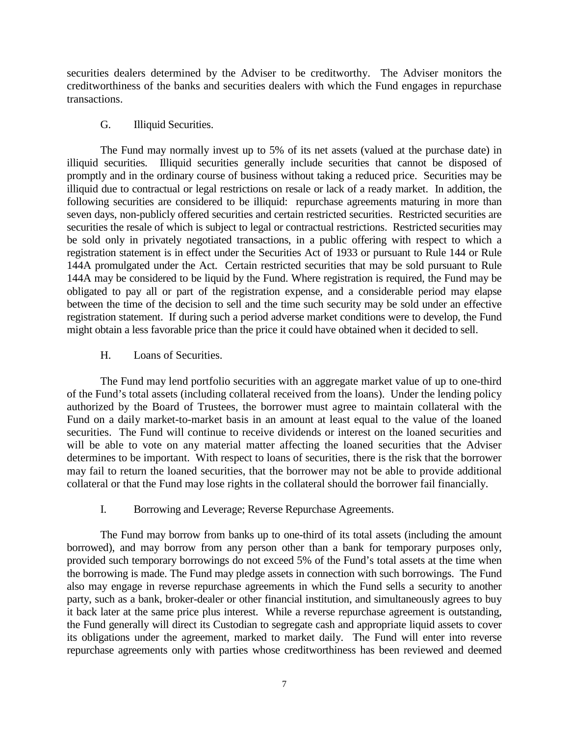securities dealers determined by the Adviser to be creditworthy. The Adviser monitors the creditworthiness of the banks and securities dealers with which the Fund engages in repurchase transactions.

# G. Illiquid Securities.

The Fund may normally invest up to 5% of its net assets (valued at the purchase date) in illiquid securities. Illiquid securities generally include securities that cannot be disposed of promptly and in the ordinary course of business without taking a reduced price. Securities may be illiquid due to contractual or legal restrictions on resale or lack of a ready market. In addition, the following securities are considered to be illiquid: repurchase agreements maturing in more than seven days, non-publicly offered securities and certain restricted securities. Restricted securities are securities the resale of which is subject to legal or contractual restrictions. Restricted securities may be sold only in privately negotiated transactions, in a public offering with respect to which a registration statement is in effect under the Securities Act of 1933 or pursuant to Rule 144 or Rule 144A promulgated under the Act. Certain restricted securities that may be sold pursuant to Rule 144A may be considered to be liquid by the Fund. Where registration is required, the Fund may be obligated to pay all or part of the registration expense, and a considerable period may elapse between the time of the decision to sell and the time such security may be sold under an effective registration statement. If during such a period adverse market conditions were to develop, the Fund might obtain a less favorable price than the price it could have obtained when it decided to sell.

# H. Loans of Securities.

The Fund may lend portfolio securities with an aggregate market value of up to one-third of the Fund's total assets (including collateral received from the loans). Under the lending policy authorized by the Board of Trustees, the borrower must agree to maintain collateral with the Fund on a daily market-to-market basis in an amount at least equal to the value of the loaned securities. The Fund will continue to receive dividends or interest on the loaned securities and will be able to vote on any material matter affecting the loaned securities that the Adviser determines to be important. With respect to loans of securities, there is the risk that the borrower may fail to return the loaned securities, that the borrower may not be able to provide additional collateral or that the Fund may lose rights in the collateral should the borrower fail financially.

# I. Borrowing and Leverage; Reverse Repurchase Agreements.

The Fund may borrow from banks up to one-third of its total assets (including the amount borrowed), and may borrow from any person other than a bank for temporary purposes only, provided such temporary borrowings do not exceed 5% of the Fund's total assets at the time when the borrowing is made. The Fund may pledge assets in connection with such borrowings. The Fund also may engage in reverse repurchase agreements in which the Fund sells a security to another party, such as a bank, broker-dealer or other financial institution, and simultaneously agrees to buy it back later at the same price plus interest. While a reverse repurchase agreement is outstanding, the Fund generally will direct its Custodian to segregate cash and appropriate liquid assets to cover its obligations under the agreement, marked to market daily. The Fund will enter into reverse repurchase agreements only with parties whose creditworthiness has been reviewed and deemed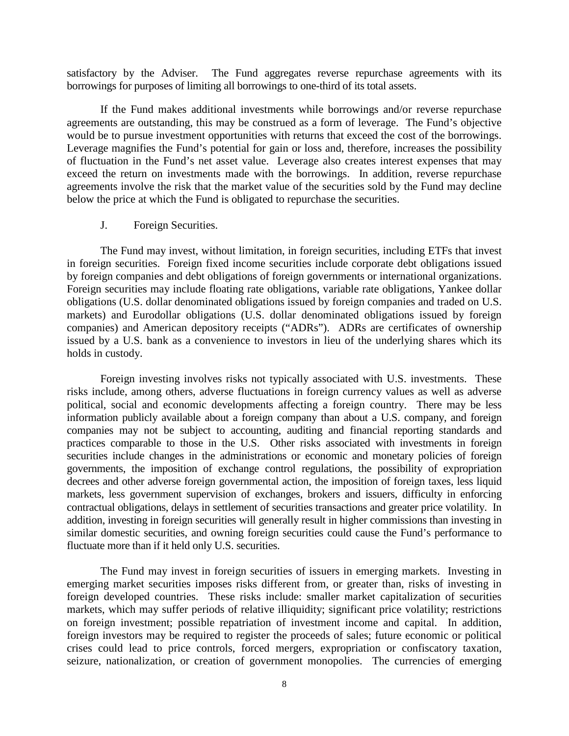satisfactory by the Adviser. The Fund aggregates reverse repurchase agreements with its borrowings for purposes of limiting all borrowings to one-third of its total assets.

If the Fund makes additional investments while borrowings and/or reverse repurchase agreements are outstanding, this may be construed as a form of leverage. The Fund's objective would be to pursue investment opportunities with returns that exceed the cost of the borrowings. Leverage magnifies the Fund's potential for gain or loss and, therefore, increases the possibility of fluctuation in the Fund's net asset value. Leverage also creates interest expenses that may exceed the return on investments made with the borrowings. In addition, reverse repurchase agreements involve the risk that the market value of the securities sold by the Fund may decline below the price at which the Fund is obligated to repurchase the securities.

### J. Foreign Securities.

The Fund may invest, without limitation, in foreign securities, including ETFs that invest in foreign securities. Foreign fixed income securities include corporate debt obligations issued by foreign companies and debt obligations of foreign governments or international organizations. Foreign securities may include floating rate obligations, variable rate obligations, Yankee dollar obligations (U.S. dollar denominated obligations issued by foreign companies and traded on U.S. markets) and Eurodollar obligations (U.S. dollar denominated obligations issued by foreign companies) and American depository receipts ("ADRs"). ADRs are certificates of ownership issued by a U.S. bank as a convenience to investors in lieu of the underlying shares which its holds in custody.

Foreign investing involves risks not typically associated with U.S. investments. These risks include, among others, adverse fluctuations in foreign currency values as well as adverse political, social and economic developments affecting a foreign country. There may be less information publicly available about a foreign company than about a U.S. company, and foreign companies may not be subject to accounting, auditing and financial reporting standards and practices comparable to those in the U.S. Other risks associated with investments in foreign securities include changes in the administrations or economic and monetary policies of foreign governments, the imposition of exchange control regulations, the possibility of expropriation decrees and other adverse foreign governmental action, the imposition of foreign taxes, less liquid markets, less government supervision of exchanges, brokers and issuers, difficulty in enforcing contractual obligations, delays in settlement of securities transactions and greater price volatility. In addition, investing in foreign securities will generally result in higher commissions than investing in similar domestic securities, and owning foreign securities could cause the Fund's performance to fluctuate more than if it held only U.S. securities.

The Fund may invest in foreign securities of issuers in emerging markets. Investing in emerging market securities imposes risks different from, or greater than, risks of investing in foreign developed countries. These risks include: smaller market capitalization of securities markets, which may suffer periods of relative illiquidity; significant price volatility; restrictions on foreign investment; possible repatriation of investment income and capital. In addition, foreign investors may be required to register the proceeds of sales; future economic or political crises could lead to price controls, forced mergers, expropriation or confiscatory taxation, seizure, nationalization, or creation of government monopolies. The currencies of emerging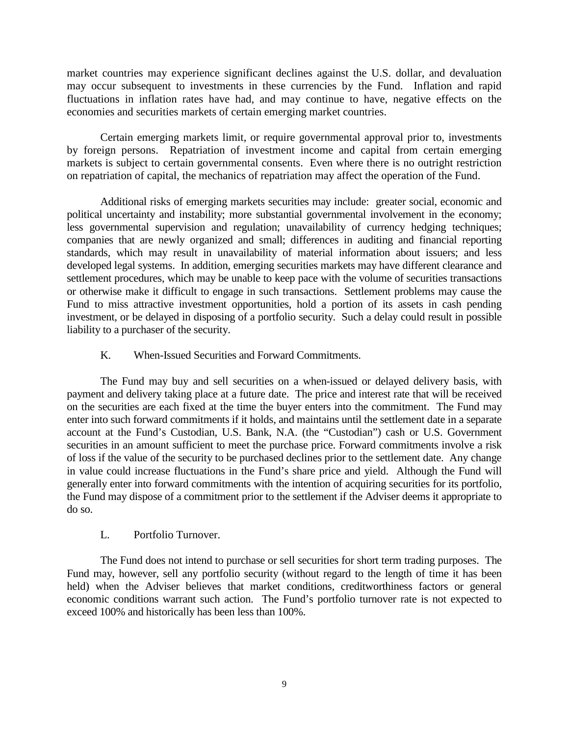market countries may experience significant declines against the U.S. dollar, and devaluation may occur subsequent to investments in these currencies by the Fund. Inflation and rapid fluctuations in inflation rates have had, and may continue to have, negative effects on the economies and securities markets of certain emerging market countries.

Certain emerging markets limit, or require governmental approval prior to, investments by foreign persons. Repatriation of investment income and capital from certain emerging markets is subject to certain governmental consents. Even where there is no outright restriction on repatriation of capital, the mechanics of repatriation may affect the operation of the Fund.

Additional risks of emerging markets securities may include: greater social, economic and political uncertainty and instability; more substantial governmental involvement in the economy; less governmental supervision and regulation; unavailability of currency hedging techniques; companies that are newly organized and small; differences in auditing and financial reporting standards, which may result in unavailability of material information about issuers; and less developed legal systems. In addition, emerging securities markets may have different clearance and settlement procedures, which may be unable to keep pace with the volume of securities transactions or otherwise make it difficult to engage in such transactions. Settlement problems may cause the Fund to miss attractive investment opportunities, hold a portion of its assets in cash pending investment, or be delayed in disposing of a portfolio security. Such a delay could result in possible liability to a purchaser of the security.

# K. When-Issued Securities and Forward Commitments.

The Fund may buy and sell securities on a when-issued or delayed delivery basis, with payment and delivery taking place at a future date. The price and interest rate that will be received on the securities are each fixed at the time the buyer enters into the commitment. The Fund may enter into such forward commitments if it holds, and maintains until the settlement date in a separate account at the Fund's Custodian, U.S. Bank, N.A. (the "Custodian") cash or U.S. Government securities in an amount sufficient to meet the purchase price. Forward commitments involve a risk of loss if the value of the security to be purchased declines prior to the settlement date. Any change in value could increase fluctuations in the Fund's share price and yield. Although the Fund will generally enter into forward commitments with the intention of acquiring securities for its portfolio, the Fund may dispose of a commitment prior to the settlement if the Adviser deems it appropriate to do so.

## L. Portfolio Turnover.

The Fund does not intend to purchase or sell securities for short term trading purposes. The Fund may, however, sell any portfolio security (without regard to the length of time it has been held) when the Adviser believes that market conditions, creditworthiness factors or general economic conditions warrant such action. The Fund's portfolio turnover rate is not expected to exceed 100% and historically has been less than 100%.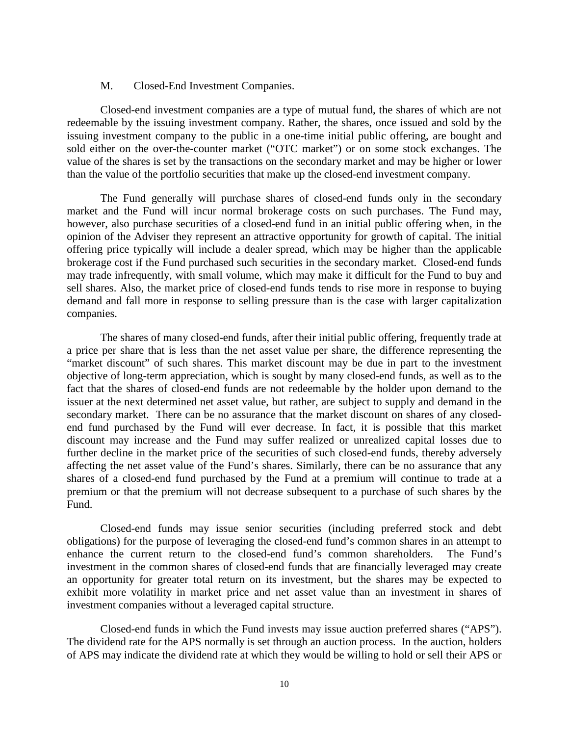#### M. Closed-End Investment Companies.

Closed-end investment companies are a type of mutual fund, the shares of which are not redeemable by the issuing investment company. Rather, the shares, once issued and sold by the issuing investment company to the public in a one-time initial public offering, are bought and sold either on the over-the-counter market ("OTC market") or on some stock exchanges. The value of the shares is set by the transactions on the secondary market and may be higher or lower than the value of the portfolio securities that make up the closed-end investment company.

The Fund generally will purchase shares of closed-end funds only in the secondary market and the Fund will incur normal brokerage costs on such purchases. The Fund may, however, also purchase securities of a closed-end fund in an initial public offering when, in the opinion of the Adviser they represent an attractive opportunity for growth of capital. The initial offering price typically will include a dealer spread, which may be higher than the applicable brokerage cost if the Fund purchased such securities in the secondary market. Closed-end funds may trade infrequently, with small volume, which may make it difficult for the Fund to buy and sell shares. Also, the market price of closed-end funds tends to rise more in response to buying demand and fall more in response to selling pressure than is the case with larger capitalization companies.

The shares of many closed-end funds, after their initial public offering, frequently trade at a price per share that is less than the net asset value per share, the difference representing the "market discount" of such shares. This market discount may be due in part to the investment objective of long-term appreciation, which is sought by many closed-end funds, as well as to the fact that the shares of closed-end funds are not redeemable by the holder upon demand to the issuer at the next determined net asset value, but rather, are subject to supply and demand in the secondary market. There can be no assurance that the market discount on shares of any closedend fund purchased by the Fund will ever decrease. In fact, it is possible that this market discount may increase and the Fund may suffer realized or unrealized capital losses due to further decline in the market price of the securities of such closed-end funds, thereby adversely affecting the net asset value of the Fund's shares. Similarly, there can be no assurance that any shares of a closed-end fund purchased by the Fund at a premium will continue to trade at a premium or that the premium will not decrease subsequent to a purchase of such shares by the Fund.

Closed-end funds may issue senior securities (including preferred stock and debt obligations) for the purpose of leveraging the closed-end fund's common shares in an attempt to enhance the current return to the closed-end fund's common shareholders. The Fund's investment in the common shares of closed-end funds that are financially leveraged may create an opportunity for greater total return on its investment, but the shares may be expected to exhibit more volatility in market price and net asset value than an investment in shares of investment companies without a leveraged capital structure.

Closed-end funds in which the Fund invests may issue auction preferred shares ("APS"). The dividend rate for the APS normally is set through an auction process. In the auction, holders of APS may indicate the dividend rate at which they would be willing to hold or sell their APS or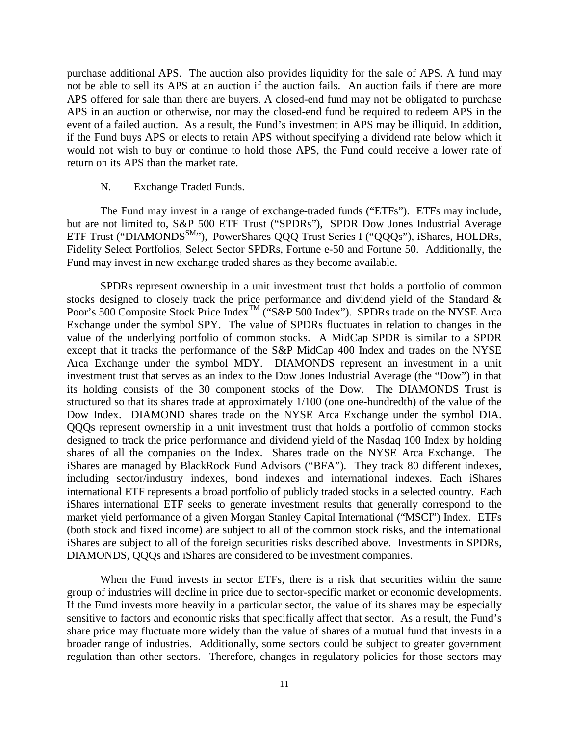purchase additional APS. The auction also provides liquidity for the sale of APS. A fund may not be able to sell its APS at an auction if the auction fails. An auction fails if there are more APS offered for sale than there are buyers. A closed-end fund may not be obligated to purchase APS in an auction or otherwise, nor may the closed-end fund be required to redeem APS in the event of a failed auction. As a result, the Fund's investment in APS may be illiquid. In addition, if the Fund buys APS or elects to retain APS without specifying a dividend rate below which it would not wish to buy or continue to hold those APS, the Fund could receive a lower rate of return on its APS than the market rate.

#### N. Exchange Traded Funds.

The Fund may invest in a range of exchange-traded funds ("ETFs"). ETFs may include, but are not limited to, S&P 500 ETF Trust ("SPDRs"), SPDR Dow Jones Industrial Average ETF Trust ("DIAMONDS<sup>SM</sup>"), PowerShares QQQ Trust Series I ("QQQs"), iShares, HOLDRs, Fidelity Select Portfolios, Select Sector SPDRs, Fortune e-50 and Fortune 50. Additionally, the Fund may invest in new exchange traded shares as they become available.

SPDRs represent ownership in a unit investment trust that holds a portfolio of common stocks designed to closely track the price performance and dividend yield of the Standard & Poor's 500 Composite Stock Price Index<sup>TM</sup> ("S&P 500 Index"). SPDRs trade on the NYSE Arca Exchange under the symbol SPY. The value of SPDRs fluctuates in relation to changes in the value of the underlying portfolio of common stocks. A MidCap SPDR is similar to a SPDR except that it tracks the performance of the S&P MidCap 400 Index and trades on the NYSE Arca Exchange under the symbol MDY.DIAMONDS represent an investment in a unit investment trust that serves as an index to the Dow Jones Industrial Average (the "Dow") in that its holding consists of the 30 component stocks of the Dow. The DIAMONDS Trust is structured so that its shares trade at approximately 1/100 (one one-hundredth) of the value of the Dow Index. DIAMOND shares trade on the NYSE Arca Exchange under the symbol DIA. QQQs represent ownership in a unit investment trust that holds a portfolio of common stocks designed to track the price performance and dividend yield of the Nasdaq 100 Index by holding shares of all the companies on the Index. Shares trade on the NYSE Arca Exchange. The iShares are managed by BlackRock Fund Advisors ("BFA"). They track 80 different indexes, including sector/industry indexes, bond indexes and international indexes. Each iShares international ETF represents a broad portfolio of publicly traded stocks in a selected country. Each iShares international ETF seeks to generate investment results that generally correspond to the market yield performance of a given Morgan Stanley Capital International ("MSCI") Index. ETFs (both stock and fixed income) are subject to all of the common stock risks, and the international iShares are subject to all of the foreign securities risks described above. Investments in SPDRs, DIAMONDS, QQQs and iShares are considered to be investment companies.

When the Fund invests in sector ETFs, there is a risk that securities within the same group of industries will decline in price due to sector-specific market or economic developments. If the Fund invests more heavily in a particular sector, the value of its shares may be especially sensitive to factors and economic risks that specifically affect that sector. As a result, the Fund's share price may fluctuate more widely than the value of shares of a mutual fund that invests in a broader range of industries. Additionally, some sectors could be subject to greater government regulation than other sectors. Therefore, changes in regulatory policies for those sectors may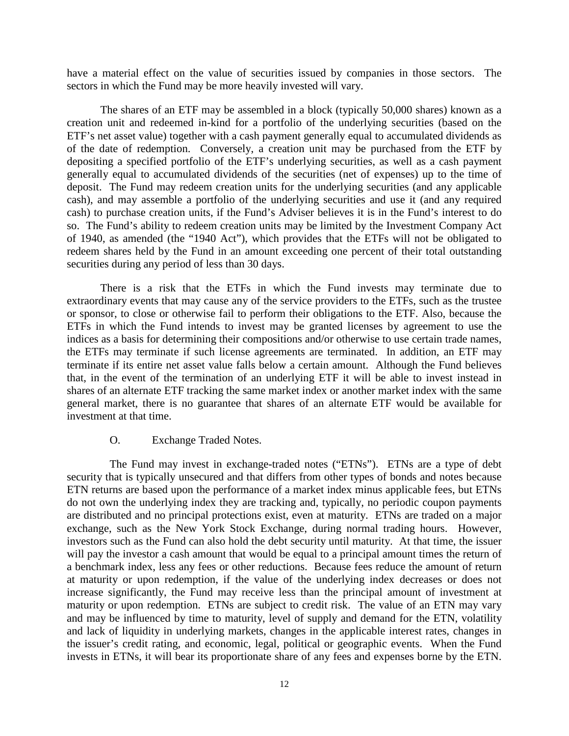have a material effect on the value of securities issued by companies in those sectors. The sectors in which the Fund may be more heavily invested will vary.

The shares of an ETF may be assembled in a block (typically 50,000 shares) known as a creation unit and redeemed in-kind for a portfolio of the underlying securities (based on the ETF's net asset value) together with a cash payment generally equal to accumulated dividends as of the date of redemption. Conversely, a creation unit may be purchased from the ETF by depositing a specified portfolio of the ETF's underlying securities, as well as a cash payment generally equal to accumulated dividends of the securities (net of expenses) up to the time of deposit. The Fund may redeem creation units for the underlying securities (and any applicable cash), and may assemble a portfolio of the underlying securities and use it (and any required cash) to purchase creation units, if the Fund's Adviser believes it is in the Fund's interest to do so. The Fund's ability to redeem creation units may be limited by the Investment Company Act of 1940, as amended (the "1940 Act"), which provides that the ETFs will not be obligated to redeem shares held by the Fund in an amount exceeding one percent of their total outstanding securities during any period of less than 30 days.

There is a risk that the ETFs in which the Fund invests may terminate due to extraordinary events that may cause any of the service providers to the ETFs, such as the trustee or sponsor, to close or otherwise fail to perform their obligations to the ETF. Also, because the ETFs in which the Fund intends to invest may be granted licenses by agreement to use the indices as a basis for determining their compositions and/or otherwise to use certain trade names, the ETFs may terminate if such license agreements are terminated. In addition, an ETF may terminate if its entire net asset value falls below a certain amount. Although the Fund believes that, in the event of the termination of an underlying ETF it will be able to invest instead in shares of an alternate ETF tracking the same market index or another market index with the same general market, there is no guarantee that shares of an alternate ETF would be available for investment at that time.

#### O. Exchange Traded Notes.

The Fund may invest in exchange-traded notes ("ETNs"). ETNs are a type of debt security that is typically unsecured and that differs from other types of bonds and notes because ETN returns are based upon the performance of a market index minus applicable fees, but ETNs do not own the underlying index they are tracking and, typically, no periodic coupon payments are distributed and no principal protections exist, even at maturity. ETNs are traded on a major exchange, such as the New York Stock Exchange, during normal trading hours. However, investors such as the Fund can also hold the debt security until maturity. At that time, the issuer will pay the investor a cash amount that would be equal to a principal amount times the return of a benchmark index, less any fees or other reductions. Because fees reduce the amount of return at maturity or upon redemption, if the value of the underlying index decreases or does not increase significantly, the Fund may receive less than the principal amount of investment at maturity or upon redemption. ETNs are subject to credit risk. The value of an ETN may vary and may be influenced by time to maturity, level of supply and demand for the ETN, volatility and lack of liquidity in underlying markets, changes in the applicable interest rates, changes in the issuer's credit rating, and economic, legal, political or geographic events. When the Fund invests in ETNs, it will bear its proportionate share of any fees and expenses borne by the ETN.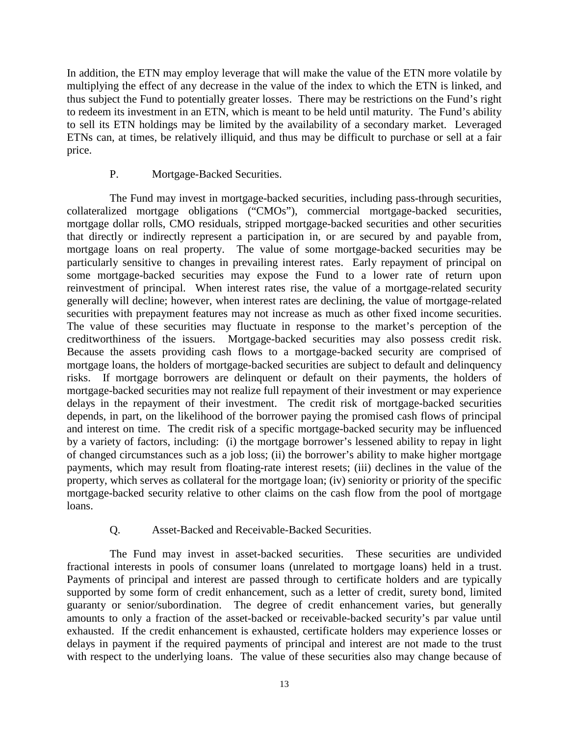In addition, the ETN may employ leverage that will make the value of the ETN more volatile by multiplying the effect of any decrease in the value of the index to which the ETN is linked, and thus subject the Fund to potentially greater losses. There may be restrictions on the Fund's right to redeem its investment in an ETN, which is meant to be held until maturity. The Fund's ability to sell its ETN holdings may be limited by the availability of a secondary market. Leveraged ETNs can, at times, be relatively illiquid, and thus may be difficult to purchase or sell at a fair price.

### P. Mortgage-Backed Securities.

The Fund may invest in mortgage-backed securities, including pass-through securities, collateralized mortgage obligations ("CMOs"), commercial mortgage-backed securities, mortgage dollar rolls, CMO residuals, stripped mortgage-backed securities and other securities that directly or indirectly represent a participation in, or are secured by and payable from, mortgage loans on real property. The value of some mortgage-backed securities may be particularly sensitive to changes in prevailing interest rates. Early repayment of principal on some mortgage-backed securities may expose the Fund to a lower rate of return upon reinvestment of principal. When interest rates rise, the value of a mortgage-related security generally will decline; however, when interest rates are declining, the value of mortgage-related securities with prepayment features may not increase as much as other fixed income securities. The value of these securities may fluctuate in response to the market's perception of the creditworthiness of the issuers. Mortgage-backed securities may also possess credit risk. Because the assets providing cash flows to a mortgage-backed security are comprised of mortgage loans, the holders of mortgage-backed securities are subject to default and delinquency risks. If mortgage borrowers are delinquent or default on their payments, the holders of mortgage-backed securities may not realize full repayment of their investment or may experience delays in the repayment of their investment. The credit risk of mortgage-backed securities depends, in part, on the likelihood of the borrower paying the promised cash flows of principal and interest on time. The credit risk of a specific mortgage-backed security may be influenced by a variety of factors, including: (i) the mortgage borrower's lessened ability to repay in light of changed circumstances such as a job loss; (ii) the borrower's ability to make higher mortgage payments, which may result from floating-rate interest resets; (iii) declines in the value of the property, which serves as collateral for the mortgage loan; (iv) seniority or priority of the specific mortgage-backed security relative to other claims on the cash flow from the pool of mortgage loans.

## Q. Asset-Backed and Receivable-Backed Securities.

The Fund may invest in asset-backed securities. These securities are undivided fractional interests in pools of consumer loans (unrelated to mortgage loans) held in a trust. Payments of principal and interest are passed through to certificate holders and are typically supported by some form of credit enhancement, such as a letter of credit, surety bond, limited guaranty or senior/subordination. The degree of credit enhancement varies, but generally amounts to only a fraction of the asset-backed or receivable-backed security's par value until exhausted. If the credit enhancement is exhausted, certificate holders may experience losses or delays in payment if the required payments of principal and interest are not made to the trust with respect to the underlying loans. The value of these securities also may change because of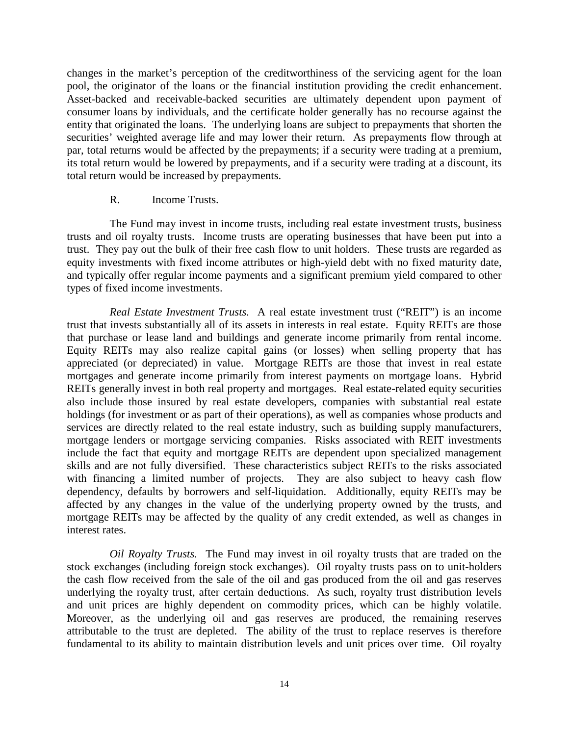changes in the market's perception of the creditworthiness of the servicing agent for the loan pool, the originator of the loans or the financial institution providing the credit enhancement. Asset-backed and receivable-backed securities are ultimately dependent upon payment of consumer loans by individuals, and the certificate holder generally has no recourse against the entity that originated the loans. The underlying loans are subject to prepayments that shorten the securities' weighted average life and may lower their return. As prepayments flow through at par, total returns would be affected by the prepayments; if a security were trading at a premium, its total return would be lowered by prepayments, and if a security were trading at a discount, its total return would be increased by prepayments.

### R. Income Trusts.

The Fund may invest in income trusts, including real estate investment trusts, business trusts and oil royalty trusts. Income trusts are operating businesses that have been put into a trust. They pay out the bulk of their free cash flow to unit holders. These trusts are regarded as equity investments with fixed income attributes or high-yield debt with no fixed maturity date, and typically offer regular income payments and a significant premium yield compared to other types of fixed income investments.

*Real Estate Investment Trusts.* A real estate investment trust ("REIT") is an income trust that invests substantially all of its assets in interests in real estate. Equity REITs are those that purchase or lease land and buildings and generate income primarily from rental income. Equity REITs may also realize capital gains (or losses) when selling property that has appreciated (or depreciated) in value. Mortgage REITs are those that invest in real estate mortgages and generate income primarily from interest payments on mortgage loans. Hybrid REITs generally invest in both real property and mortgages. Real estate-related equity securities also include those insured by real estate developers, companies with substantial real estate holdings (for investment or as part of their operations), as well as companies whose products and services are directly related to the real estate industry, such as building supply manufacturers, mortgage lenders or mortgage servicing companies. Risks associated with REIT investments include the fact that equity and mortgage REITs are dependent upon specialized management skills and are not fully diversified. These characteristics subject REITs to the risks associated with financing a limited number of projects. They are also subject to heavy cash flow dependency, defaults by borrowers and self-liquidation. Additionally, equity REITs may be affected by any changes in the value of the underlying property owned by the trusts, and mortgage REITs may be affected by the quality of any credit extended, as well as changes in interest rates.

*Oil Royalty Trusts.* The Fund may invest in oil royalty trusts that are traded on the stock exchanges (including foreign stock exchanges). Oil royalty trusts pass on to unit-holders the cash flow received from the sale of the oil and gas produced from the oil and gas reserves underlying the royalty trust, after certain deductions. As such, royalty trust distribution levels and unit prices are highly dependent on commodity prices, which can be highly volatile. Moreover, as the underlying oil and gas reserves are produced, the remaining reserves attributable to the trust are depleted. The ability of the trust to replace reserves is therefore fundamental to its ability to maintain distribution levels and unit prices over time. Oil royalty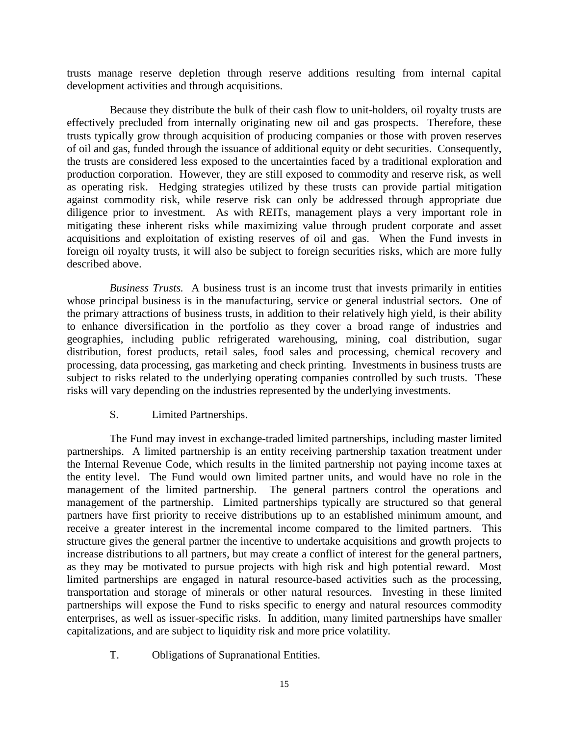trusts manage reserve depletion through reserve additions resulting from internal capital development activities and through acquisitions.

Because they distribute the bulk of their cash flow to unit-holders, oil royalty trusts are effectively precluded from internally originating new oil and gas prospects. Therefore, these trusts typically grow through acquisition of producing companies or those with proven reserves of oil and gas, funded through the issuance of additional equity or debt securities. Consequently, the trusts are considered less exposed to the uncertainties faced by a traditional exploration and production corporation. However, they are still exposed to commodity and reserve risk, as well as operating risk. Hedging strategies utilized by these trusts can provide partial mitigation against commodity risk, while reserve risk can only be addressed through appropriate due diligence prior to investment. As with REITs, management plays a very important role in mitigating these inherent risks while maximizing value through prudent corporate and asset acquisitions and exploitation of existing reserves of oil and gas. When the Fund invests in foreign oil royalty trusts, it will also be subject to foreign securities risks, which are more fully described above.

*Business Trusts.* A business trust is an income trust that invests primarily in entities whose principal business is in the manufacturing, service or general industrial sectors. One of the primary attractions of business trusts, in addition to their relatively high yield, is their ability to enhance diversification in the portfolio as they cover a broad range of industries and geographies, including public refrigerated warehousing, mining, coal distribution, sugar distribution, forest products, retail sales, food sales and processing, chemical recovery and processing, data processing, gas marketing and check printing. Investments in business trusts are subject to risks related to the underlying operating companies controlled by such trusts. These risks will vary depending on the industries represented by the underlying investments.

S. Limited Partnerships.

The Fund may invest in exchange-traded limited partnerships, including master limited partnerships. A limited partnership is an entity receiving partnership taxation treatment under the Internal Revenue Code, which results in the limited partnership not paying income taxes at the entity level. The Fund would own limited partner units, and would have no role in the management of the limited partnership. The general partners control the operations and management of the partnership. Limited partnerships typically are structured so that general partners have first priority to receive distributions up to an established minimum amount, and receive a greater interest in the incremental income compared to the limited partners. This structure gives the general partner the incentive to undertake acquisitions and growth projects to increase distributions to all partners, but may create a conflict of interest for the general partners, as they may be motivated to pursue projects with high risk and high potential reward. Most limited partnerships are engaged in natural resource-based activities such as the processing, transportation and storage of minerals or other natural resources. Investing in these limited partnerships will expose the Fund to risks specific to energy and natural resources commodity enterprises, as well as issuer-specific risks. In addition, many limited partnerships have smaller capitalizations, and are subject to liquidity risk and more price volatility.

T. Obligations of Supranational Entities.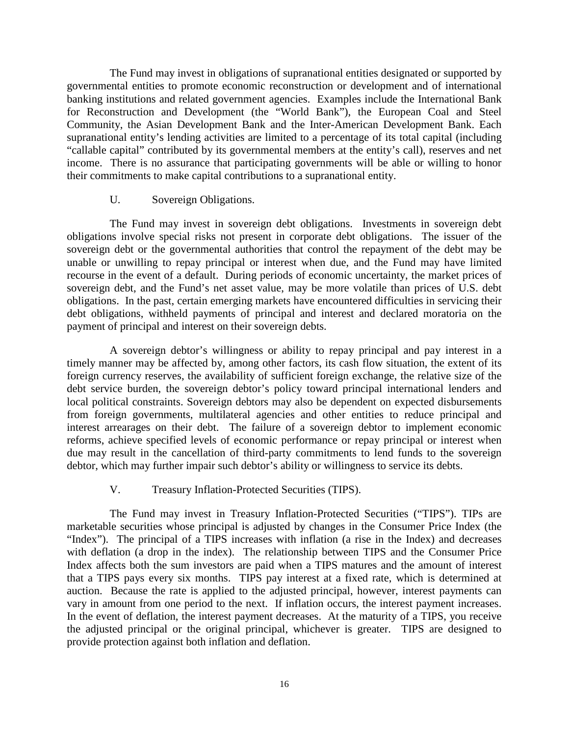The Fund may invest in obligations of supranational entities designated or supported by governmental entities to promote economic reconstruction or development and of international banking institutions and related government agencies. Examples include the International Bank for Reconstruction and Development (the "World Bank"), the European Coal and Steel Community, the Asian Development Bank and the Inter-American Development Bank. Each supranational entity's lending activities are limited to a percentage of its total capital (including "callable capital" contributed by its governmental members at the entity's call), reserves and net income. There is no assurance that participating governments will be able or willing to honor their commitments to make capital contributions to a supranational entity.

### U. Sovereign Obligations.

The Fund may invest in sovereign debt obligations. Investments in sovereign debt obligations involve special risks not present in corporate debt obligations. The issuer of the sovereign debt or the governmental authorities that control the repayment of the debt may be unable or unwilling to repay principal or interest when due, and the Fund may have limited recourse in the event of a default. During periods of economic uncertainty, the market prices of sovereign debt, and the Fund's net asset value, may be more volatile than prices of U.S. debt obligations. In the past, certain emerging markets have encountered difficulties in servicing their debt obligations, withheld payments of principal and interest and declared moratoria on the payment of principal and interest on their sovereign debts.

A sovereign debtor's willingness or ability to repay principal and pay interest in a timely manner may be affected by, among other factors, its cash flow situation, the extent of its foreign currency reserves, the availability of sufficient foreign exchange, the relative size of the debt service burden, the sovereign debtor's policy toward principal international lenders and local political constraints. Sovereign debtors may also be dependent on expected disbursements from foreign governments, multilateral agencies and other entities to reduce principal and interest arrearages on their debt. The failure of a sovereign debtor to implement economic reforms, achieve specified levels of economic performance or repay principal or interest when due may result in the cancellation of third-party commitments to lend funds to the sovereign debtor, which may further impair such debtor's ability or willingness to service its debts.

## V. Treasury Inflation-Protected Securities (TIPS).

The Fund may invest in Treasury Inflation-Protected Securities ("TIPS"). TIPs are marketable securities whose principal is adjusted by changes in the Consumer Price Index (the "Index"). The principal of a TIPS increases with inflation (a rise in the Index) and decreases with deflation (a drop in the index). The relationship between TIPS and the Consumer Price Index affects both the sum investors are paid when a TIPS matures and the amount of interest that a TIPS pays every six months. TIPS pay interest at a fixed rate, which is determined at auction. Because the rate is applied to the adjusted principal, however, interest payments can vary in amount from one period to the next. If inflation occurs, the interest payment increases. In the event of deflation, the interest payment decreases. At the maturity of a TIPS, you receive the adjusted principal or the original principal, whichever is greater. TIPS are designed to provide protection against both inflation and deflation.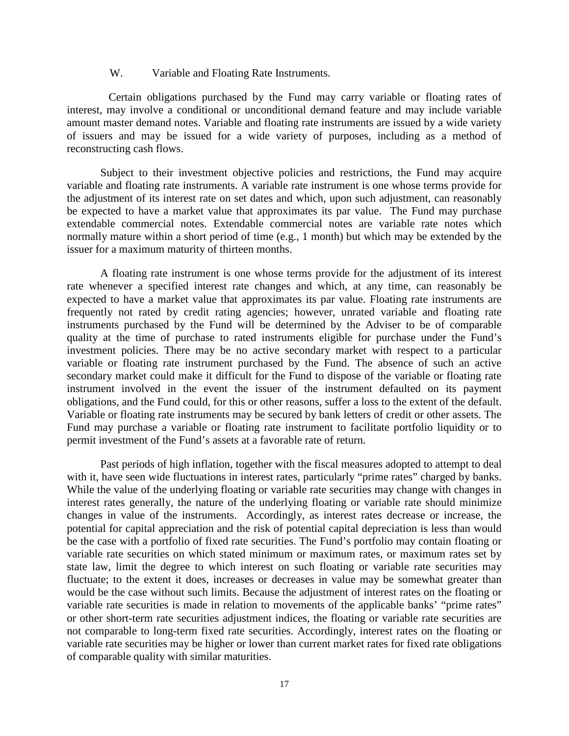### W. Variable and Floating Rate Instruments.

Certain obligations purchased by the Fund may carry variable or floating rates of interest, may involve a conditional or unconditional demand feature and may include variable amount master demand notes. Variable and floating rate instruments are issued by a wide variety of issuers and may be issued for a wide variety of purposes, including as a method of reconstructing cash flows.

Subject to their investment objective policies and restrictions, the Fund may acquire variable and floating rate instruments. A variable rate instrument is one whose terms provide for the adjustment of its interest rate on set dates and which, upon such adjustment, can reasonably be expected to have a market value that approximates its par value. The Fund may purchase extendable commercial notes. Extendable commercial notes are variable rate notes which normally mature within a short period of time (e.g., 1 month) but which may be extended by the issuer for a maximum maturity of thirteen months.

A floating rate instrument is one whose terms provide for the adjustment of its interest rate whenever a specified interest rate changes and which, at any time, can reasonably be expected to have a market value that approximates its par value. Floating rate instruments are frequently not rated by credit rating agencies; however, unrated variable and floating rate instruments purchased by the Fund will be determined by the Adviser to be of comparable quality at the time of purchase to rated instruments eligible for purchase under the Fund's investment policies. There may be no active secondary market with respect to a particular variable or floating rate instrument purchased by the Fund. The absence of such an active secondary market could make it difficult for the Fund to dispose of the variable or floating rate instrument involved in the event the issuer of the instrument defaulted on its payment obligations, and the Fund could, for this or other reasons, suffer a loss to the extent of the default. Variable or floating rate instruments may be secured by bank letters of credit or other assets. The Fund may purchase a variable or floating rate instrument to facilitate portfolio liquidity or to permit investment of the Fund's assets at a favorable rate of return.

Past periods of high inflation, together with the fiscal measures adopted to attempt to deal with it, have seen wide fluctuations in interest rates, particularly "prime rates" charged by banks. While the value of the underlying floating or variable rate securities may change with changes in interest rates generally, the nature of the underlying floating or variable rate should minimize changes in value of the instruments. Accordingly, as interest rates decrease or increase, the potential for capital appreciation and the risk of potential capital depreciation is less than would be the case with a portfolio of fixed rate securities. The Fund's portfolio may contain floating or variable rate securities on which stated minimum or maximum rates, or maximum rates set by state law, limit the degree to which interest on such floating or variable rate securities may fluctuate; to the extent it does, increases or decreases in value may be somewhat greater than would be the case without such limits. Because the adjustment of interest rates on the floating or variable rate securities is made in relation to movements of the applicable banks' "prime rates" or other short-term rate securities adjustment indices, the floating or variable rate securities are not comparable to long-term fixed rate securities. Accordingly, interest rates on the floating or variable rate securities may be higher or lower than current market rates for fixed rate obligations of comparable quality with similar maturities.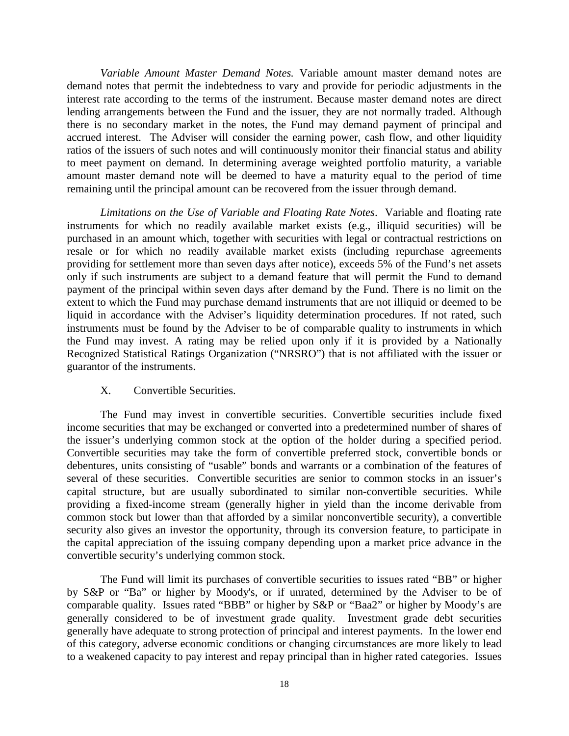*Variable Amount Master Demand Notes.* Variable amount master demand notes are demand notes that permit the indebtedness to vary and provide for periodic adjustments in the interest rate according to the terms of the instrument. Because master demand notes are direct lending arrangements between the Fund and the issuer, they are not normally traded. Although there is no secondary market in the notes, the Fund may demand payment of principal and accrued interest. The Adviser will consider the earning power, cash flow, and other liquidity ratios of the issuers of such notes and will continuously monitor their financial status and ability to meet payment on demand. In determining average weighted portfolio maturity, a variable amount master demand note will be deemed to have a maturity equal to the period of time remaining until the principal amount can be recovered from the issuer through demand.

*Limitations on the Use of Variable and Floating Rate Notes*. Variable and floating rate instruments for which no readily available market exists (e.g., illiquid securities) will be purchased in an amount which, together with securities with legal or contractual restrictions on resale or for which no readily available market exists (including repurchase agreements providing for settlement more than seven days after notice), exceeds 5% of the Fund's net assets only if such instruments are subject to a demand feature that will permit the Fund to demand payment of the principal within seven days after demand by the Fund. There is no limit on the extent to which the Fund may purchase demand instruments that are not illiquid or deemed to be liquid in accordance with the Adviser's liquidity determination procedures. If not rated, such instruments must be found by the Adviser to be of comparable quality to instruments in which the Fund may invest. A rating may be relied upon only if it is provided by a Nationally Recognized Statistical Ratings Organization ("NRSRO") that is not affiliated with the issuer or guarantor of the instruments.

### X. Convertible Securities.

The Fund may invest in convertible securities. Convertible securities include fixed income securities that may be exchanged or converted into a predetermined number of shares of the issuer's underlying common stock at the option of the holder during a specified period. Convertible securities may take the form of convertible preferred stock, convertible bonds or debentures, units consisting of "usable" bonds and warrants or a combination of the features of several of these securities. Convertible securities are senior to common stocks in an issuer's capital structure, but are usually subordinated to similar non-convertible securities. While providing a fixed-income stream (generally higher in yield than the income derivable from common stock but lower than that afforded by a similar nonconvertible security), a convertible security also gives an investor the opportunity, through its conversion feature, to participate in the capital appreciation of the issuing company depending upon a market price advance in the convertible security's underlying common stock.

The Fund will limit its purchases of convertible securities to issues rated "BB" or higher by S&P or "Ba" or higher by Moody's, or if unrated, determined by the Adviser to be of comparable quality. Issues rated "BBB" or higher by S&P or "Baa2" or higher by Moody's are generally considered to be of investment grade quality. Investment grade debt securities generally have adequate to strong protection of principal and interest payments. In the lower end of this category, adverse economic conditions or changing circumstances are more likely to lead to a weakened capacity to pay interest and repay principal than in higher rated categories. Issues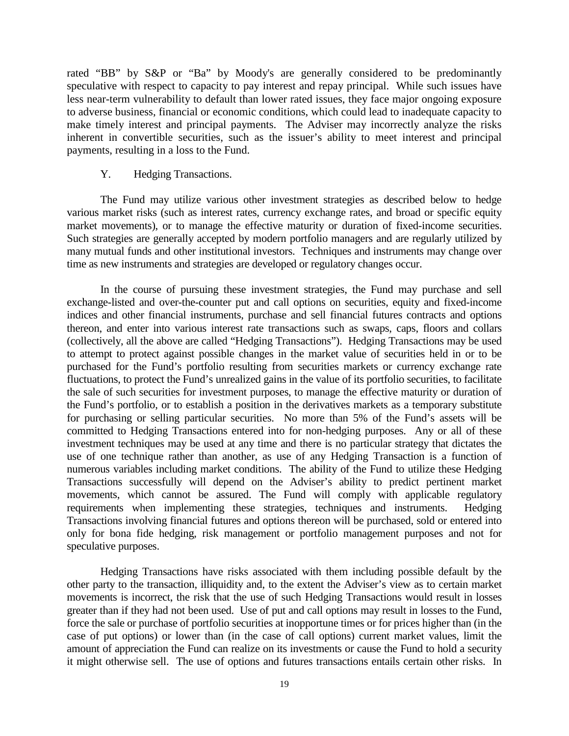rated "BB" by S&P or "Ba" by Moody's are generally considered to be predominantly speculative with respect to capacity to pay interest and repay principal. While such issues have less near-term vulnerability to default than lower rated issues, they face major ongoing exposure to adverse business, financial or economic conditions, which could lead to inadequate capacity to make timely interest and principal payments. The Adviser may incorrectly analyze the risks inherent in convertible securities, such as the issuer's ability to meet interest and principal payments, resulting in a loss to the Fund.

### Y. Hedging Transactions.

The Fund may utilize various other investment strategies as described below to hedge various market risks (such as interest rates, currency exchange rates, and broad or specific equity market movements), or to manage the effective maturity or duration of fixed-income securities. Such strategies are generally accepted by modern portfolio managers and are regularly utilized by many mutual funds and other institutional investors. Techniques and instruments may change over time as new instruments and strategies are developed or regulatory changes occur.

In the course of pursuing these investment strategies, the Fund may purchase and sell exchange-listed and over-the-counter put and call options on securities, equity and fixed-income indices and other financial instruments, purchase and sell financial futures contracts and options thereon, and enter into various interest rate transactions such as swaps, caps, floors and collars (collectively, all the above are called "Hedging Transactions"). Hedging Transactions may be used to attempt to protect against possible changes in the market value of securities held in or to be purchased for the Fund's portfolio resulting from securities markets or currency exchange rate fluctuations, to protect the Fund's unrealized gains in the value of its portfolio securities, to facilitate the sale of such securities for investment purposes, to manage the effective maturity or duration of the Fund's portfolio, or to establish a position in the derivatives markets as a temporary substitute for purchasing or selling particular securities. No more than 5% of the Fund's assets will be committed to Hedging Transactions entered into for non-hedging purposes. Any or all of these investment techniques may be used at any time and there is no particular strategy that dictates the use of one technique rather than another, as use of any Hedging Transaction is a function of numerous variables including market conditions. The ability of the Fund to utilize these Hedging Transactions successfully will depend on the Adviser's ability to predict pertinent market movements, which cannot be assured. The Fund will comply with applicable regulatory requirements when implementing these strategies, techniques and instruments. Hedging Transactions involving financial futures and options thereon will be purchased, sold or entered into only for bona fide hedging, risk management or portfolio management purposes and not for speculative purposes.

Hedging Transactions have risks associated with them including possible default by the other party to the transaction, illiquidity and, to the extent the Adviser's view as to certain market movements is incorrect, the risk that the use of such Hedging Transactions would result in losses greater than if they had not been used. Use of put and call options may result in losses to the Fund, force the sale or purchase of portfolio securities at inopportune times or for prices higher than (in the case of put options) or lower than (in the case of call options) current market values, limit the amount of appreciation the Fund can realize on its investments or cause the Fund to hold a security it might otherwise sell. The use of options and futures transactions entails certain other risks. In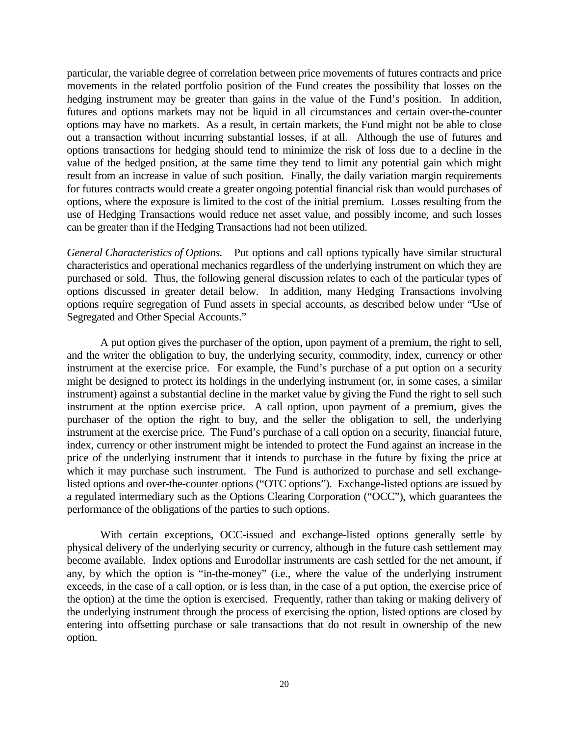particular, the variable degree of correlation between price movements of futures contracts and price movements in the related portfolio position of the Fund creates the possibility that losses on the hedging instrument may be greater than gains in the value of the Fund's position. In addition, futures and options markets may not be liquid in all circumstances and certain over-the-counter options may have no markets. As a result, in certain markets, the Fund might not be able to close out a transaction without incurring substantial losses, if at all. Although the use of futures and options transactions for hedging should tend to minimize the risk of loss due to a decline in the value of the hedged position, at the same time they tend to limit any potential gain which might result from an increase in value of such position. Finally, the daily variation margin requirements for futures contracts would create a greater ongoing potential financial risk than would purchases of options, where the exposure is limited to the cost of the initial premium. Losses resulting from the use of Hedging Transactions would reduce net asset value, and possibly income, and such losses can be greater than if the Hedging Transactions had not been utilized.

*General Characteristics of Options.* Put options and call options typically have similar structural characteristics and operational mechanics regardless of the underlying instrument on which they are purchased or sold. Thus, the following general discussion relates to each of the particular types of options discussed in greater detail below. In addition, many Hedging Transactions involving options require segregation of Fund assets in special accounts, as described below under "Use of Segregated and Other Special Accounts."

A put option gives the purchaser of the option, upon payment of a premium, the right to sell, and the writer the obligation to buy, the underlying security, commodity, index, currency or other instrument at the exercise price. For example, the Fund's purchase of a put option on a security might be designed to protect its holdings in the underlying instrument (or, in some cases, a similar instrument) against a substantial decline in the market value by giving the Fund the right to sell such instrument at the option exercise price. A call option, upon payment of a premium, gives the purchaser of the option the right to buy, and the seller the obligation to sell, the underlying instrument at the exercise price. The Fund's purchase of a call option on a security, financial future, index, currency or other instrument might be intended to protect the Fund against an increase in the price of the underlying instrument that it intends to purchase in the future by fixing the price at which it may purchase such instrument. The Fund is authorized to purchase and sell exchangelisted options and over-the-counter options ("OTC options"). Exchange-listed options are issued by a regulated intermediary such as the Options Clearing Corporation ("OCC"), which guarantees the performance of the obligations of the parties to such options.

With certain exceptions, OCC-issued and exchange-listed options generally settle by physical delivery of the underlying security or currency, although in the future cash settlement may become available. Index options and Eurodollar instruments are cash settled for the net amount, if any, by which the option is "in-the-money" (i.e., where the value of the underlying instrument exceeds, in the case of a call option, or is less than, in the case of a put option, the exercise price of the option) at the time the option is exercised. Frequently, rather than taking or making delivery of the underlying instrument through the process of exercising the option, listed options are closed by entering into offsetting purchase or sale transactions that do not result in ownership of the new option.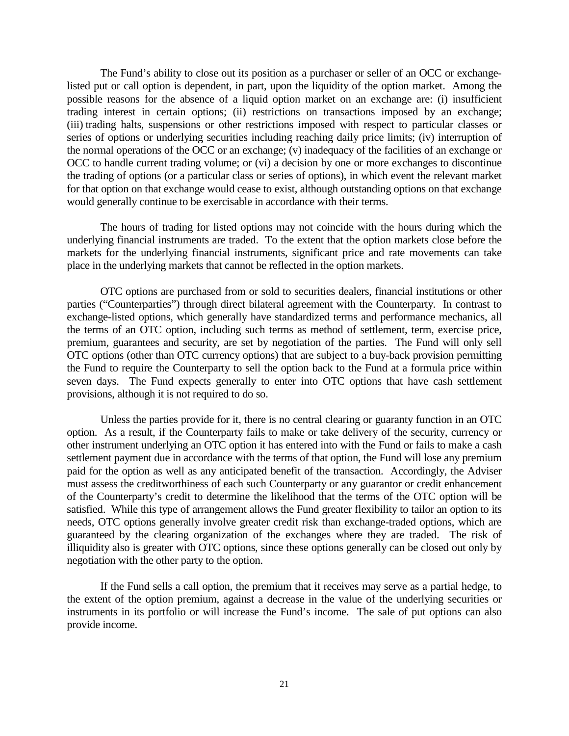The Fund's ability to close out its position as a purchaser or seller of an OCC or exchangelisted put or call option is dependent, in part, upon the liquidity of the option market. Among the possible reasons for the absence of a liquid option market on an exchange are: (i) insufficient trading interest in certain options; (ii) restrictions on transactions imposed by an exchange; (iii) trading halts, suspensions or other restrictions imposed with respect to particular classes or series of options or underlying securities including reaching daily price limits; (iv) interruption of the normal operations of the OCC or an exchange; (v) inadequacy of the facilities of an exchange or OCC to handle current trading volume; or (vi) a decision by one or more exchanges to discontinue the trading of options (or a particular class or series of options), in which event the relevant market for that option on that exchange would cease to exist, although outstanding options on that exchange would generally continue to be exercisable in accordance with their terms.

The hours of trading for listed options may not coincide with the hours during which the underlying financial instruments are traded. To the extent that the option markets close before the markets for the underlying financial instruments, significant price and rate movements can take place in the underlying markets that cannot be reflected in the option markets.

OTC options are purchased from or sold to securities dealers, financial institutions or other parties ("Counterparties") through direct bilateral agreement with the Counterparty. In contrast to exchange-listed options, which generally have standardized terms and performance mechanics, all the terms of an OTC option, including such terms as method of settlement, term, exercise price, premium, guarantees and security, are set by negotiation of the parties. The Fund will only sell OTC options (other than OTC currency options) that are subject to a buy-back provision permitting the Fund to require the Counterparty to sell the option back to the Fund at a formula price within seven days. The Fund expects generally to enter into OTC options that have cash settlement provisions, although it is not required to do so.

Unless the parties provide for it, there is no central clearing or guaranty function in an OTC option. As a result, if the Counterparty fails to make or take delivery of the security, currency or other instrument underlying an OTC option it has entered into with the Fund or fails to make a cash settlement payment due in accordance with the terms of that option, the Fund will lose any premium paid for the option as well as any anticipated benefit of the transaction. Accordingly, the Adviser must assess the creditworthiness of each such Counterparty or any guarantor or credit enhancement of the Counterparty's credit to determine the likelihood that the terms of the OTC option will be satisfied. While this type of arrangement allows the Fund greater flexibility to tailor an option to its needs, OTC options generally involve greater credit risk than exchange-traded options, which are guaranteed by the clearing organization of the exchanges where they are traded. The risk of illiquidity also is greater with OTC options, since these options generally can be closed out only by negotiation with the other party to the option.

If the Fund sells a call option, the premium that it receives may serve as a partial hedge, to the extent of the option premium, against a decrease in the value of the underlying securities or instruments in its portfolio or will increase the Fund's income. The sale of put options can also provide income.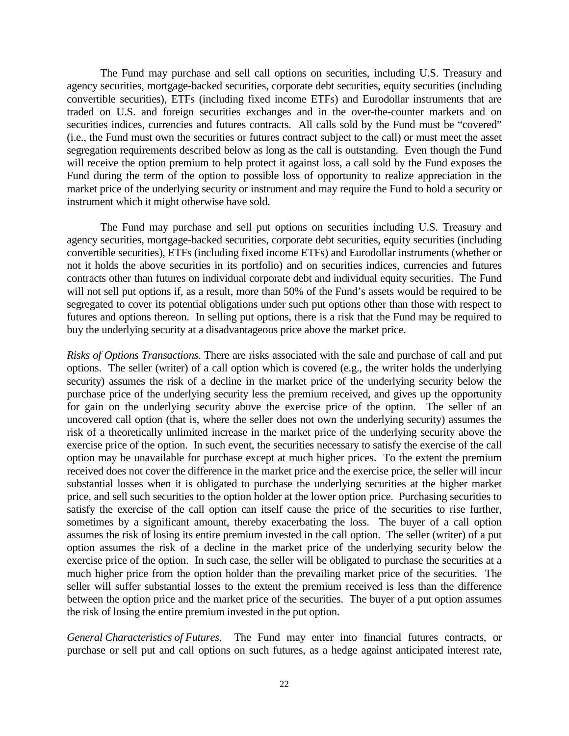The Fund may purchase and sell call options on securities, including U.S. Treasury and agency securities, mortgage-backed securities, corporate debt securities, equity securities (including convertible securities), ETFs (including fixed income ETFs) and Eurodollar instruments that are traded on U.S. and foreign securities exchanges and in the over-the-counter markets and on securities indices, currencies and futures contracts. All calls sold by the Fund must be "covered" (i.e., the Fund must own the securities or futures contract subject to the call) or must meet the asset segregation requirements described below as long as the call is outstanding. Even though the Fund will receive the option premium to help protect it against loss, a call sold by the Fund exposes the Fund during the term of the option to possible loss of opportunity to realize appreciation in the market price of the underlying security or instrument and may require the Fund to hold a security or instrument which it might otherwise have sold.

The Fund may purchase and sell put options on securities including U.S. Treasury and agency securities, mortgage-backed securities, corporate debt securities, equity securities (including convertible securities), ETFs (including fixed income ETFs) and Eurodollar instruments (whether or not it holds the above securities in its portfolio) and on securities indices, currencies and futures contracts other than futures on individual corporate debt and individual equity securities. The Fund will not sell put options if, as a result, more than 50% of the Fund's assets would be required to be segregated to cover its potential obligations under such put options other than those with respect to futures and options thereon. In selling put options, there is a risk that the Fund may be required to buy the underlying security at a disadvantageous price above the market price.

*Risks of Options Transactions*. There are risks associated with the sale and purchase of call and put options. The seller (writer) of a call option which is covered (e.g., the writer holds the underlying security) assumes the risk of a decline in the market price of the underlying security below the purchase price of the underlying security less the premium received, and gives up the opportunity for gain on the underlying security above the exercise price of the option. The seller of an uncovered call option (that is, where the seller does not own the underlying security) assumes the risk of a theoretically unlimited increase in the market price of the underlying security above the exercise price of the option. In such event, the securities necessary to satisfy the exercise of the call option may be unavailable for purchase except at much higher prices. To the extent the premium received does not cover the difference in the market price and the exercise price, the seller will incur substantial losses when it is obligated to purchase the underlying securities at the higher market price, and sell such securities to the option holder at the lower option price. Purchasing securities to satisfy the exercise of the call option can itself cause the price of the securities to rise further, sometimes by a significant amount, thereby exacerbating the loss. The buyer of a call option assumes the risk of losing its entire premium invested in the call option. The seller (writer) of a put option assumes the risk of a decline in the market price of the underlying security below the exercise price of the option. In such case, the seller will be obligated to purchase the securities at a much higher price from the option holder than the prevailing market price of the securities. The seller will suffer substantial losses to the extent the premium received is less than the difference between the option price and the market price of the securities. The buyer of a put option assumes the risk of losing the entire premium invested in the put option.

*General Characteristics of Futures.* The Fund may enter into financial futures contracts, or purchase or sell put and call options on such futures, as a hedge against anticipated interest rate,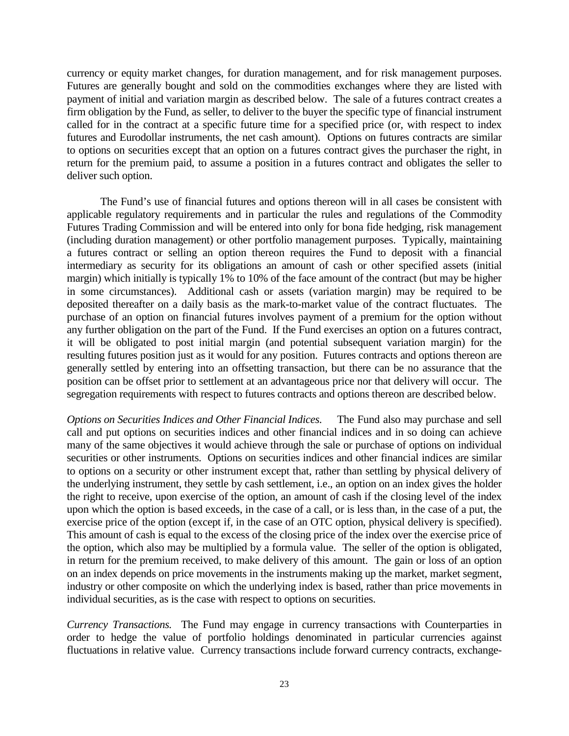currency or equity market changes, for duration management, and for risk management purposes. Futures are generally bought and sold on the commodities exchanges where they are listed with payment of initial and variation margin as described below. The sale of a futures contract creates a firm obligation by the Fund, as seller, to deliver to the buyer the specific type of financial instrument called for in the contract at a specific future time for a specified price (or, with respect to index futures and Eurodollar instruments, the net cash amount). Options on futures contracts are similar to options on securities except that an option on a futures contract gives the purchaser the right, in return for the premium paid, to assume a position in a futures contract and obligates the seller to deliver such option.

The Fund's use of financial futures and options thereon will in all cases be consistent with applicable regulatory requirements and in particular the rules and regulations of the Commodity Futures Trading Commission and will be entered into only for bona fide hedging, risk management (including duration management) or other portfolio management purposes. Typically, maintaining a futures contract or selling an option thereon requires the Fund to deposit with a financial intermediary as security for its obligations an amount of cash or other specified assets (initial margin) which initially is typically 1% to 10% of the face amount of the contract (but may be higher in some circumstances). Additional cash or assets (variation margin) may be required to be deposited thereafter on a daily basis as the mark-to-market value of the contract fluctuates. The purchase of an option on financial futures involves payment of a premium for the option without any further obligation on the part of the Fund. If the Fund exercises an option on a futures contract, it will be obligated to post initial margin (and potential subsequent variation margin) for the resulting futures position just as it would for any position. Futures contracts and options thereon are generally settled by entering into an offsetting transaction, but there can be no assurance that the position can be offset prior to settlement at an advantageous price nor that delivery will occur. The segregation requirements with respect to futures contracts and options thereon are described below.

*Options on Securities Indices and Other Financial Indices.* The Fund also may purchase and sell call and put options on securities indices and other financial indices and in so doing can achieve many of the same objectives it would achieve through the sale or purchase of options on individual securities or other instruments. Options on securities indices and other financial indices are similar to options on a security or other instrument except that, rather than settling by physical delivery of the underlying instrument, they settle by cash settlement, i.e., an option on an index gives the holder the right to receive, upon exercise of the option, an amount of cash if the closing level of the index upon which the option is based exceeds, in the case of a call, or is less than, in the case of a put, the exercise price of the option (except if, in the case of an OTC option, physical delivery is specified). This amount of cash is equal to the excess of the closing price of the index over the exercise price of the option, which also may be multiplied by a formula value. The seller of the option is obligated, in return for the premium received, to make delivery of this amount. The gain or loss of an option on an index depends on price movements in the instruments making up the market, market segment, industry or other composite on which the underlying index is based, rather than price movements in individual securities, as is the case with respect to options on securities.

*Currency Transactions.* The Fund may engage in currency transactions with Counterparties in order to hedge the value of portfolio holdings denominated in particular currencies against fluctuations in relative value. Currency transactions include forward currency contracts, exchange-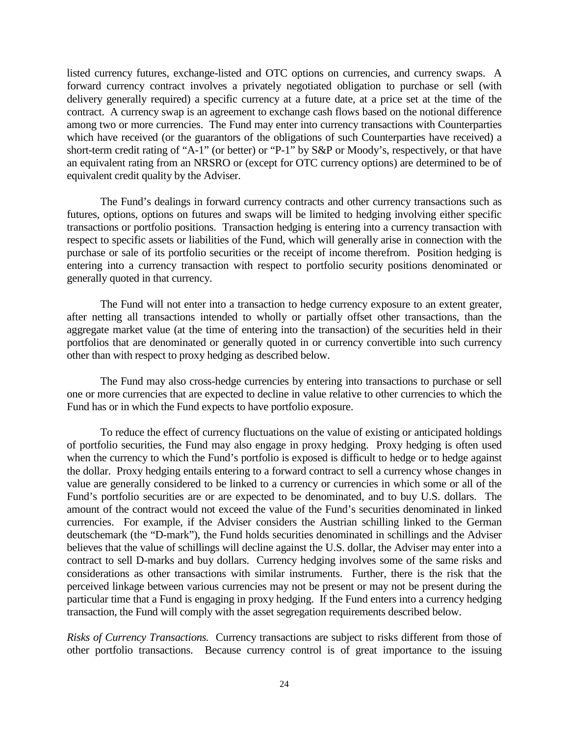listed currency futures, exchange-listed and OTC options on currencies, and currency swaps. A forward currency contract involves a privately negotiated obligation to purchase or sell (with delivery generally required) a specific currency at a future date, at a price set at the time of the contract. A currency swap is an agreement to exchange cash flows based on the notional difference among two or more currencies. The Fund may enter into currency transactions with Counterparties which have received (or the guarantors of the obligations of such Counterparties have received) a short-term credit rating of "A-1" (or better) or "P-1" by S&P or Moody's, respectively, or that have an equivalent rating from an NRSRO or (except for OTC currency options) are determined to be of equivalent credit quality by the Adviser.

The Fund's dealings in forward currency contracts and other currency transactions such as futures, options, options on futures and swaps will be limited to hedging involving either specific transactions or portfolio positions. Transaction hedging is entering into a currency transaction with respect to specific assets or liabilities of the Fund, which will generally arise in connection with the purchase or sale of its portfolio securities or the receipt of income therefrom. Position hedging is entering into a currency transaction with respect to portfolio security positions denominated or generally quoted in that currency.

The Fund will not enter into a transaction to hedge currency exposure to an extent greater, after netting all transactions intended to wholly or partially offset other transactions, than the aggregate market value (at the time of entering into the transaction) of the securities held in their portfolios that are denominated or generally quoted in or currency convertible into such currency other than with respect to proxy hedging as described below.

The Fund may also cross-hedge currencies by entering into transactions to purchase or sell one or more currencies that are expected to decline in value relative to other currencies to which the Fund has or in which the Fund expects to have portfolio exposure.

To reduce the effect of currency fluctuations on the value of existing or anticipated holdings of portfolio securities, the Fund may also engage in proxy hedging. Proxy hedging is often used when the currency to which the Fund's portfolio is exposed is difficult to hedge or to hedge against the dollar. Proxy hedging entails entering to a forward contract to sell a currency whose changes in value are generally considered to be linked to a currency or currencies in which some or all of the Fund's portfolio securities are or are expected to be denominated, and to buy U.S. dollars. The amount of the contract would not exceed the value of the Fund's securities denominated in linked currencies. For example, if the Adviser considers the Austrian schilling linked to the German deutschemark (the "D-mark"), the Fund holds securities denominated in schillings and the Adviser believes that the value of schillings will decline against the U.S. dollar, the Adviser may enter into a contract to sell D-marks and buy dollars. Currency hedging involves some of the same risks and considerations as other transactions with similar instruments. Further, there is the risk that the perceived linkage between various currencies may not be present or may not be present during the particular time that a Fund is engaging in proxy hedging. If the Fund enters into a currency hedging transaction, the Fund will comply with the asset segregation requirements described below.

*Risks of Currency Transactions.* Currency transactions are subject to risks different from those of other portfolio transactions. Because currency control is of great importance to the issuing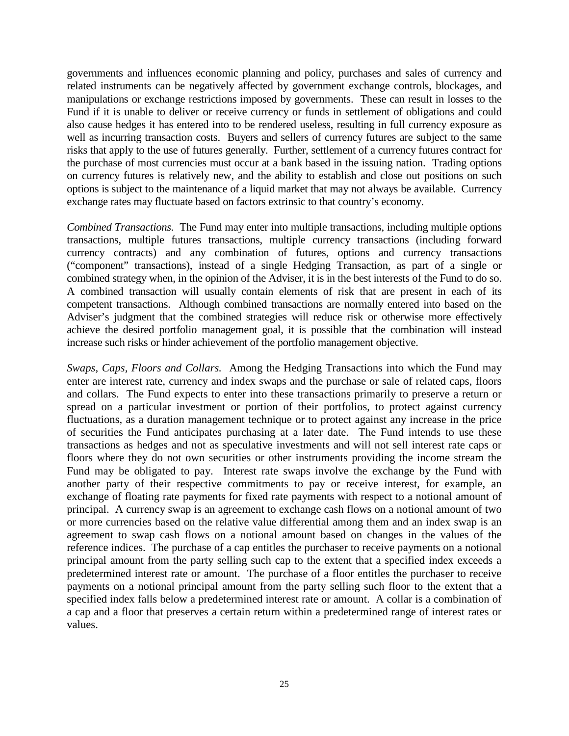governments and influences economic planning and policy, purchases and sales of currency and related instruments can be negatively affected by government exchange controls, blockages, and manipulations or exchange restrictions imposed by governments. These can result in losses to the Fund if it is unable to deliver or receive currency or funds in settlement of obligations and could also cause hedges it has entered into to be rendered useless, resulting in full currency exposure as well as incurring transaction costs. Buyers and sellers of currency futures are subject to the same risks that apply to the use of futures generally. Further, settlement of a currency futures contract for the purchase of most currencies must occur at a bank based in the issuing nation. Trading options on currency futures is relatively new, and the ability to establish and close out positions on such options is subject to the maintenance of a liquid market that may not always be available. Currency exchange rates may fluctuate based on factors extrinsic to that country's economy.

*Combined Transactions.* The Fund may enter into multiple transactions, including multiple options transactions, multiple futures transactions, multiple currency transactions (including forward currency contracts) and any combination of futures, options and currency transactions ("component" transactions), instead of a single Hedging Transaction, as part of a single or combined strategy when, in the opinion of the Adviser, it is in the best interests of the Fund to do so. A combined transaction will usually contain elements of risk that are present in each of its competent transactions. Although combined transactions are normally entered into based on the Adviser's judgment that the combined strategies will reduce risk or otherwise more effectively achieve the desired portfolio management goal, it is possible that the combination will instead increase such risks or hinder achievement of the portfolio management objective.

*Swaps, Caps, Floors and Collars.* Among the Hedging Transactions into which the Fund may enter are interest rate, currency and index swaps and the purchase or sale of related caps, floors and collars. The Fund expects to enter into these transactions primarily to preserve a return or spread on a particular investment or portion of their portfolios, to protect against currency fluctuations, as a duration management technique or to protect against any increase in the price of securities the Fund anticipates purchasing at a later date. The Fund intends to use these transactions as hedges and not as speculative investments and will not sell interest rate caps or floors where they do not own securities or other instruments providing the income stream the Fund may be obligated to pay. Interest rate swaps involve the exchange by the Fund with another party of their respective commitments to pay or receive interest, for example, an exchange of floating rate payments for fixed rate payments with respect to a notional amount of principal. A currency swap is an agreement to exchange cash flows on a notional amount of two or more currencies based on the relative value differential among them and an index swap is an agreement to swap cash flows on a notional amount based on changes in the values of the reference indices. The purchase of a cap entitles the purchaser to receive payments on a notional principal amount from the party selling such cap to the extent that a specified index exceeds a predetermined interest rate or amount. The purchase of a floor entitles the purchaser to receive payments on a notional principal amount from the party selling such floor to the extent that a specified index falls below a predetermined interest rate or amount. A collar is a combination of a cap and a floor that preserves a certain return within a predetermined range of interest rates or values.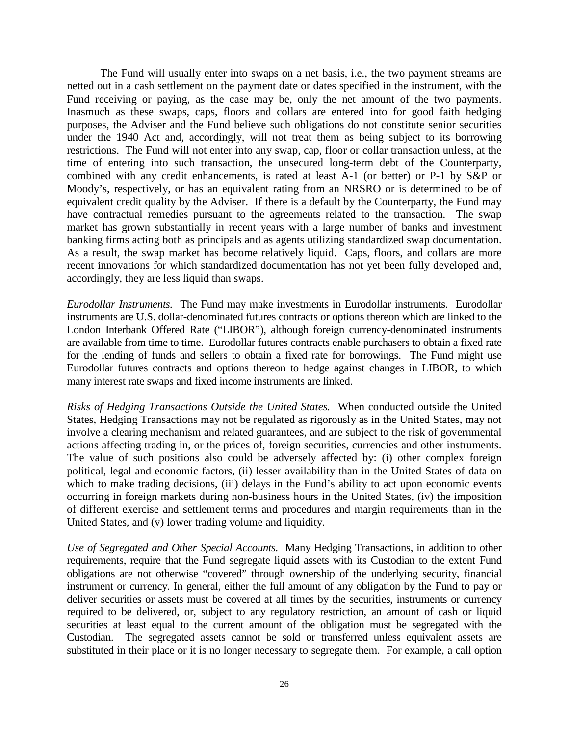The Fund will usually enter into swaps on a net basis, i.e., the two payment streams are netted out in a cash settlement on the payment date or dates specified in the instrument, with the Fund receiving or paying, as the case may be, only the net amount of the two payments. Inasmuch as these swaps, caps, floors and collars are entered into for good faith hedging purposes, the Adviser and the Fund believe such obligations do not constitute senior securities under the 1940 Act and, accordingly, will not treat them as being subject to its borrowing restrictions. The Fund will not enter into any swap, cap, floor or collar transaction unless, at the time of entering into such transaction, the unsecured long-term debt of the Counterparty, combined with any credit enhancements, is rated at least A-1 (or better) or P-1 by S&P or Moody's, respectively, or has an equivalent rating from an NRSRO or is determined to be of equivalent credit quality by the Adviser. If there is a default by the Counterparty, the Fund may have contractual remedies pursuant to the agreements related to the transaction. The swap market has grown substantially in recent years with a large number of banks and investment banking firms acting both as principals and as agents utilizing standardized swap documentation. As a result, the swap market has become relatively liquid. Caps, floors, and collars are more recent innovations for which standardized documentation has not yet been fully developed and, accordingly, they are less liquid than swaps.

*Eurodollar Instruments.* The Fund may make investments in Eurodollar instruments. Eurodollar instruments are U.S. dollar-denominated futures contracts or options thereon which are linked to the London Interbank Offered Rate ("LIBOR"), although foreign currency-denominated instruments are available from time to time. Eurodollar futures contracts enable purchasers to obtain a fixed rate for the lending of funds and sellers to obtain a fixed rate for borrowings. The Fund might use Eurodollar futures contracts and options thereon to hedge against changes in LIBOR, to which many interest rate swaps and fixed income instruments are linked.

*Risks of Hedging Transactions Outside the United States.* When conducted outside the United States, Hedging Transactions may not be regulated as rigorously as in the United States, may not involve a clearing mechanism and related guarantees, and are subject to the risk of governmental actions affecting trading in, or the prices of, foreign securities, currencies and other instruments. The value of such positions also could be adversely affected by: (i) other complex foreign political, legal and economic factors, (ii) lesser availability than in the United States of data on which to make trading decisions, (iii) delays in the Fund's ability to act upon economic events occurring in foreign markets during non-business hours in the United States, (iv) the imposition of different exercise and settlement terms and procedures and margin requirements than in the United States, and (v) lower trading volume and liquidity.

*Use of Segregated and Other Special Accounts.* Many Hedging Transactions, in addition to other requirements, require that the Fund segregate liquid assets with its Custodian to the extent Fund obligations are not otherwise "covered" through ownership of the underlying security, financial instrument or currency. In general, either the full amount of any obligation by the Fund to pay or deliver securities or assets must be covered at all times by the securities, instruments or currency required to be delivered, or, subject to any regulatory restriction, an amount of cash or liquid securities at least equal to the current amount of the obligation must be segregated with the Custodian. The segregated assets cannot be sold or transferred unless equivalent assets are substituted in their place or it is no longer necessary to segregate them. For example, a call option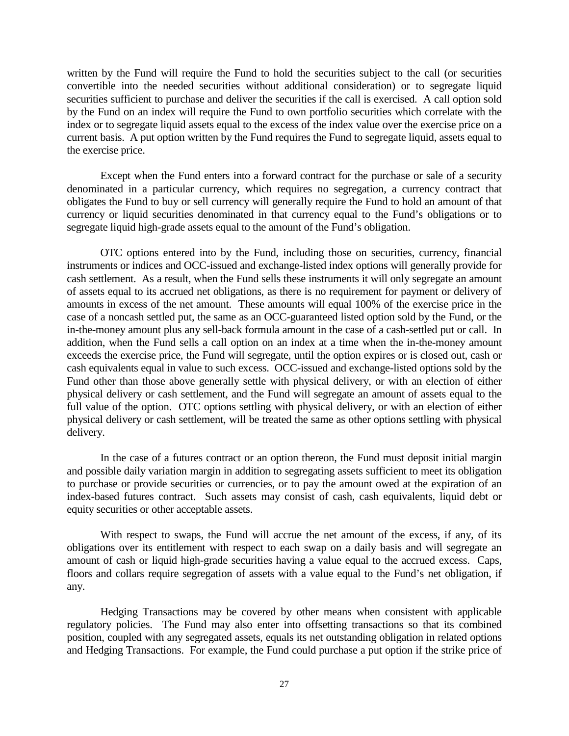written by the Fund will require the Fund to hold the securities subject to the call (or securities convertible into the needed securities without additional consideration) or to segregate liquid securities sufficient to purchase and deliver the securities if the call is exercised. A call option sold by the Fund on an index will require the Fund to own portfolio securities which correlate with the index or to segregate liquid assets equal to the excess of the index value over the exercise price on a current basis. A put option written by the Fund requires the Fund to segregate liquid, assets equal to the exercise price.

Except when the Fund enters into a forward contract for the purchase or sale of a security denominated in a particular currency, which requires no segregation, a currency contract that obligates the Fund to buy or sell currency will generally require the Fund to hold an amount of that currency or liquid securities denominated in that currency equal to the Fund's obligations or to segregate liquid high-grade assets equal to the amount of the Fund's obligation.

OTC options entered into by the Fund, including those on securities, currency, financial instruments or indices and OCC-issued and exchange-listed index options will generally provide for cash settlement. As a result, when the Fund sells these instruments it will only segregate an amount of assets equal to its accrued net obligations, as there is no requirement for payment or delivery of amounts in excess of the net amount. These amounts will equal 100% of the exercise price in the case of a noncash settled put, the same as an OCC-guaranteed listed option sold by the Fund, or the in-the-money amount plus any sell-back formula amount in the case of a cash-settled put or call. In addition, when the Fund sells a call option on an index at a time when the in-the-money amount exceeds the exercise price, the Fund will segregate, until the option expires or is closed out, cash or cash equivalents equal in value to such excess. OCC-issued and exchange-listed options sold by the Fund other than those above generally settle with physical delivery, or with an election of either physical delivery or cash settlement, and the Fund will segregate an amount of assets equal to the full value of the option. OTC options settling with physical delivery, or with an election of either physical delivery or cash settlement, will be treated the same as other options settling with physical delivery.

In the case of a futures contract or an option thereon, the Fund must deposit initial margin and possible daily variation margin in addition to segregating assets sufficient to meet its obligation to purchase or provide securities or currencies, or to pay the amount owed at the expiration of an index-based futures contract. Such assets may consist of cash, cash equivalents, liquid debt or equity securities or other acceptable assets.

With respect to swaps, the Fund will accrue the net amount of the excess, if any, of its obligations over its entitlement with respect to each swap on a daily basis and will segregate an amount of cash or liquid high-grade securities having a value equal to the accrued excess. Caps, floors and collars require segregation of assets with a value equal to the Fund's net obligation, if any.

Hedging Transactions may be covered by other means when consistent with applicable regulatory policies. The Fund may also enter into offsetting transactions so that its combined position, coupled with any segregated assets, equals its net outstanding obligation in related options and Hedging Transactions. For example, the Fund could purchase a put option if the strike price of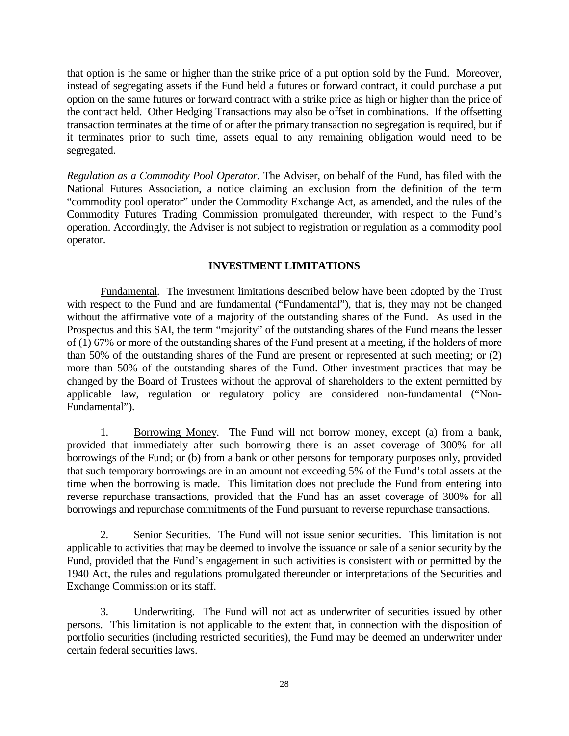that option is the same or higher than the strike price of a put option sold by the Fund. Moreover, instead of segregating assets if the Fund held a futures or forward contract, it could purchase a put option on the same futures or forward contract with a strike price as high or higher than the price of the contract held. Other Hedging Transactions may also be offset in combinations. If the offsetting transaction terminates at the time of or after the primary transaction no segregation is required, but if it terminates prior to such time, assets equal to any remaining obligation would need to be segregated.

*Regulation as a Commodity Pool Operator.* The Adviser, on behalf of the Fund, has filed with the National Futures Association, a notice claiming an exclusion from the definition of the term "commodity pool operator" under the Commodity Exchange Act, as amended, and the rules of the Commodity Futures Trading Commission promulgated thereunder, with respect to the Fund's operation. Accordingly, the Adviser is not subject to registration or regulation as a commodity pool operator.

# **INVESTMENT LIMITATIONS**

Fundamental. The investment limitations described below have been adopted by the Trust with respect to the Fund and are fundamental ("Fundamental"), that is, they may not be changed without the affirmative vote of a majority of the outstanding shares of the Fund. As used in the Prospectus and this SAI, the term "majority" of the outstanding shares of the Fund means the lesser of (1) 67% or more of the outstanding shares of the Fund present at a meeting, if the holders of more than 50% of the outstanding shares of the Fund are present or represented at such meeting; or (2) more than 50% of the outstanding shares of the Fund. Other investment practices that may be changed by the Board of Trustees without the approval of shareholders to the extent permitted by applicable law, regulation or regulatory policy are considered non-fundamental ("Non-Fundamental").

1. Borrowing Money. The Fund will not borrow money, except (a) from a bank, provided that immediately after such borrowing there is an asset coverage of 300% for all borrowings of the Fund; or (b) from a bank or other persons for temporary purposes only, provided that such temporary borrowings are in an amount not exceeding 5% of the Fund's total assets at the time when the borrowing is made. This limitation does not preclude the Fund from entering into reverse repurchase transactions, provided that the Fund has an asset coverage of 300% for all borrowings and repurchase commitments of the Fund pursuant to reverse repurchase transactions.

2. Senior Securities. The Fund will not issue senior securities. This limitation is not applicable to activities that may be deemed to involve the issuance or sale of a senior security by the Fund, provided that the Fund's engagement in such activities is consistent with or permitted by the 1940 Act, the rules and regulations promulgated thereunder or interpretations of the Securities and Exchange Commission or its staff.

3. Underwriting. The Fund will not act as underwriter of securities issued by other persons. This limitation is not applicable to the extent that, in connection with the disposition of portfolio securities (including restricted securities), the Fund may be deemed an underwriter under certain federal securities laws.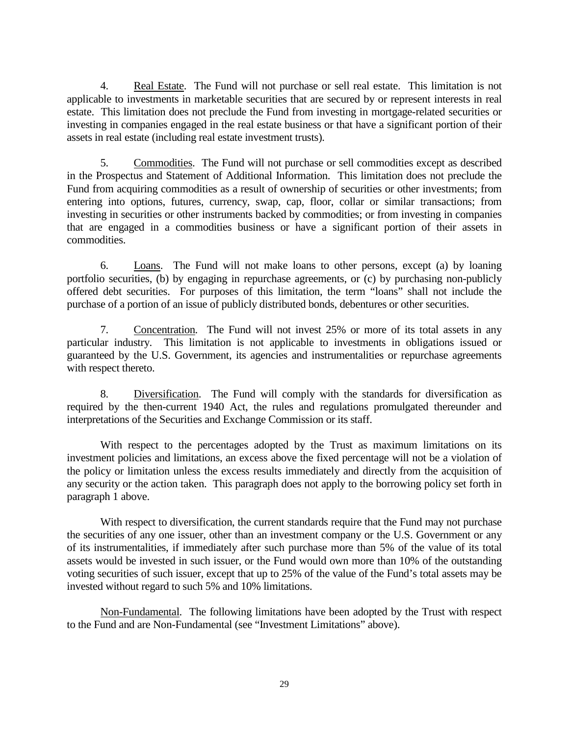4. Real Estate. The Fund will not purchase or sell real estate. This limitation is not applicable to investments in marketable securities that are secured by or represent interests in real estate. This limitation does not preclude the Fund from investing in mortgage-related securities or investing in companies engaged in the real estate business or that have a significant portion of their assets in real estate (including real estate investment trusts).

5. Commodities. The Fund will not purchase or sell commodities except as described in the Prospectus and Statement of Additional Information. This limitation does not preclude the Fund from acquiring commodities as a result of ownership of securities or other investments; from entering into options, futures, currency, swap, cap, floor, collar or similar transactions; from investing in securities or other instruments backed by commodities; or from investing in companies that are engaged in a commodities business or have a significant portion of their assets in commodities.

6. Loans. The Fund will not make loans to other persons, except (a) by loaning portfolio securities, (b) by engaging in repurchase agreements, or (c) by purchasing non-publicly offered debt securities. For purposes of this limitation, the term "loans" shall not include the purchase of a portion of an issue of publicly distributed bonds, debentures or other securities.

7. Concentration. The Fund will not invest 25% or more of its total assets in any particular industry. This limitation is not applicable to investments in obligations issued or guaranteed by the U.S. Government, its agencies and instrumentalities or repurchase agreements with respect thereto.

8. Diversification. The Fund will comply with the standards for diversification as required by the then-current 1940 Act, the rules and regulations promulgated thereunder and interpretations of the Securities and Exchange Commission or its staff.

With respect to the percentages adopted by the Trust as maximum limitations on its investment policies and limitations, an excess above the fixed percentage will not be a violation of the policy or limitation unless the excess results immediately and directly from the acquisition of any security or the action taken. This paragraph does not apply to the borrowing policy set forth in paragraph 1 above.

With respect to diversification, the current standards require that the Fund may not purchase the securities of any one issuer, other than an investment company or the U.S. Government or any of its instrumentalities, if immediately after such purchase more than 5% of the value of its total assets would be invested in such issuer, or the Fund would own more than 10% of the outstanding voting securities of such issuer, except that up to 25% of the value of the Fund's total assets may be invested without regard to such 5% and 10% limitations.

Non-Fundamental. The following limitations have been adopted by the Trust with respect to the Fund and are Non-Fundamental (see "Investment Limitations" above).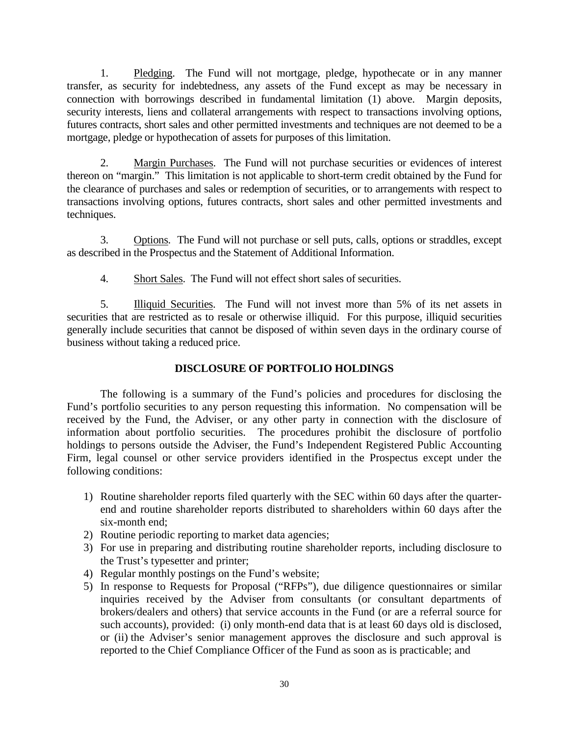1. Pledging. The Fund will not mortgage, pledge, hypothecate or in any manner transfer, as security for indebtedness, any assets of the Fund except as may be necessary in connection with borrowings described in fundamental limitation (1) above. Margin deposits, security interests, liens and collateral arrangements with respect to transactions involving options, futures contracts, short sales and other permitted investments and techniques are not deemed to be a mortgage, pledge or hypothecation of assets for purposes of this limitation.

2. Margin Purchases. The Fund will not purchase securities or evidences of interest thereon on "margin." This limitation is not applicable to short-term credit obtained by the Fund for the clearance of purchases and sales or redemption of securities, or to arrangements with respect to transactions involving options, futures contracts, short sales and other permitted investments and techniques.

3. Options. The Fund will not purchase or sell puts, calls, options or straddles, except as described in the Prospectus and the Statement of Additional Information.

4. Short Sales. The Fund will not effect short sales of securities.

5. Illiquid Securities. The Fund will not invest more than 5% of its net assets in securities that are restricted as to resale or otherwise illiquid. For this purpose, illiquid securities generally include securities that cannot be disposed of within seven days in the ordinary course of business without taking a reduced price.

# **DISCLOSURE OF PORTFOLIO HOLDINGS**

The following is a summary of the Fund's policies and procedures for disclosing the Fund's portfolio securities to any person requesting this information. No compensation will be received by the Fund, the Adviser, or any other party in connection with the disclosure of information about portfolio securities. The procedures prohibit the disclosure of portfolio holdings to persons outside the Adviser, the Fund's Independent Registered Public Accounting Firm, legal counsel or other service providers identified in the Prospectus except under the following conditions:

- 1) Routine shareholder reports filed quarterly with the SEC within 60 days after the quarterend and routine shareholder reports distributed to shareholders within 60 days after the six-month end;
- 2) Routine periodic reporting to market data agencies;
- 3) For use in preparing and distributing routine shareholder reports, including disclosure to the Trust's typesetter and printer;
- 4) Regular monthly postings on the Fund's website;
- 5) In response to Requests for Proposal ("RFPs"), due diligence questionnaires or similar inquiries received by the Adviser from consultants (or consultant departments of brokers/dealers and others) that service accounts in the Fund (or are a referral source for such accounts), provided: (i) only month-end data that is at least 60 days old is disclosed, or (ii) the Adviser's senior management approves the disclosure and such approval is reported to the Chief Compliance Officer of the Fund as soon as is practicable; and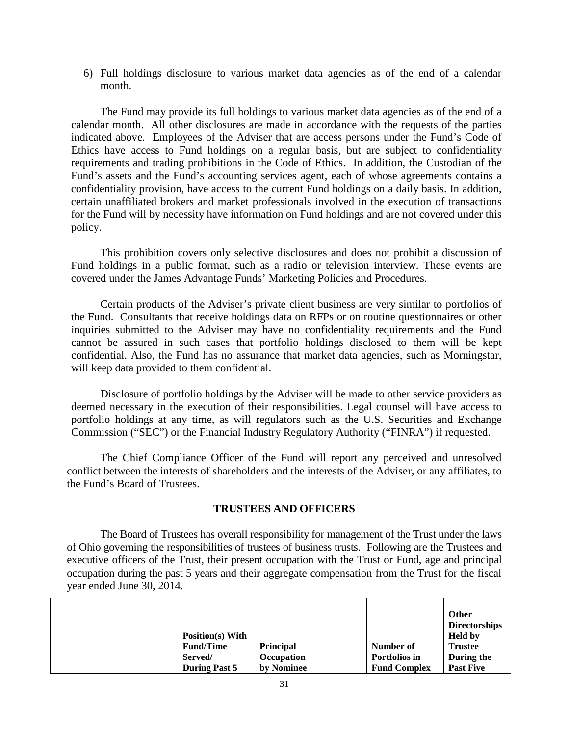6) Full holdings disclosure to various market data agencies as of the end of a calendar month.

The Fund may provide its full holdings to various market data agencies as of the end of a calendar month. All other disclosures are made in accordance with the requests of the parties indicated above. Employees of the Adviser that are access persons under the Fund's Code of Ethics have access to Fund holdings on a regular basis, but are subject to confidentiality requirements and trading prohibitions in the Code of Ethics. In addition, the Custodian of the Fund's assets and the Fund's accounting services agent, each of whose agreements contains a confidentiality provision, have access to the current Fund holdings on a daily basis. In addition, certain unaffiliated brokers and market professionals involved in the execution of transactions for the Fund will by necessity have information on Fund holdings and are not covered under this policy.

This prohibition covers only selective disclosures and does not prohibit a discussion of Fund holdings in a public format, such as a radio or television interview. These events are covered under the James Advantage Funds' Marketing Policies and Procedures.

Certain products of the Adviser's private client business are very similar to portfolios of the Fund. Consultants that receive holdings data on RFPs or on routine questionnaires or other inquiries submitted to the Adviser may have no confidentiality requirements and the Fund cannot be assured in such cases that portfolio holdings disclosed to them will be kept confidential. Also, the Fund has no assurance that market data agencies, such as Morningstar, will keep data provided to them confidential.

Disclosure of portfolio holdings by the Adviser will be made to other service providers as deemed necessary in the execution of their responsibilities. Legal counsel will have access to portfolio holdings at any time, as will regulators such as the U.S. Securities and Exchange Commission ("SEC") or the Financial Industry Regulatory Authority ("FINRA") if requested.

The Chief Compliance Officer of the Fund will report any perceived and unresolved conflict between the interests of shareholders and the interests of the Adviser, or any affiliates, to the Fund's Board of Trustees.

## **TRUSTEES AND OFFICERS**

The Board of Trustees has overall responsibility for management of the Trust under the laws of Ohio governing the responsibilities of trustees of business trusts. Following are the Trustees and executive officers of the Trust, their present occupation with the Trust or Fund, age and principal occupation during the past 5 years and their aggregate compensation from the Trust for the fiscal year ended June 30, 2014.

|  | <b>Position(s)</b> With<br><b>Fund/Time</b><br>Served/<br><b>During Past 5</b> | Principal<br><b>Occupation</b><br>by Nominee | Number of<br>Portfolios in<br><b>Fund Complex</b> | <b>Other</b><br><b>Directorships</b><br><b>Held by</b><br><b>Trustee</b><br>During the<br><b>Past Five</b> |
|--|--------------------------------------------------------------------------------|----------------------------------------------|---------------------------------------------------|------------------------------------------------------------------------------------------------------------|
|--|--------------------------------------------------------------------------------|----------------------------------------------|---------------------------------------------------|------------------------------------------------------------------------------------------------------------|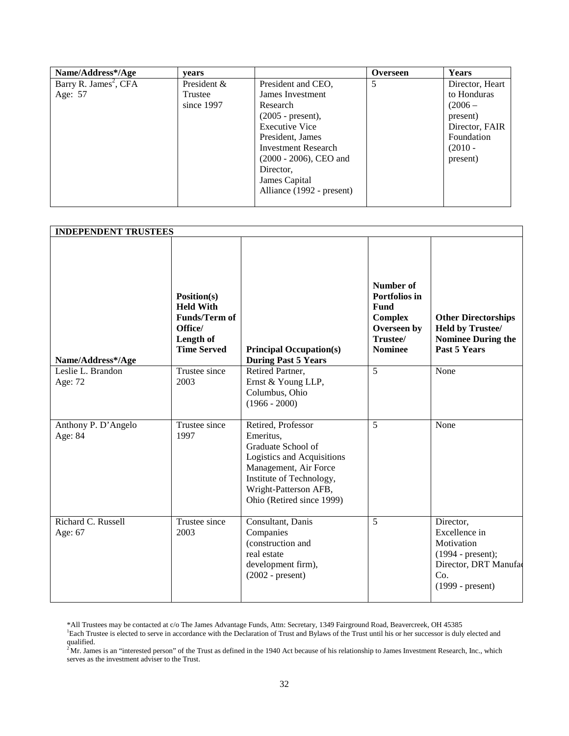| Name/Address*/Age                 | vears       |                           | <b>Overseen</b> | Years           |
|-----------------------------------|-------------|---------------------------|-----------------|-----------------|
| Barry R. James <sup>2</sup> , CFA | President & | President and CEO,        | 5               | Director, Heart |
| Age: 57                           | Trustee     | James Investment          |                 | to Honduras     |
|                                   | since 1997  | Research                  |                 | $(2006 -$       |
|                                   |             | $(2005 - present)$ ,      |                 | present)        |
|                                   |             | <b>Executive Vice</b>     |                 | Director, FAIR  |
|                                   |             | President, James          |                 | Foundation      |
|                                   |             | Investment Research       |                 | $(2010 -$       |
|                                   |             | $(2000 - 2006)$ , CEO and |                 | present)        |
|                                   |             | Director,                 |                 |                 |
|                                   |             | James Capital             |                 |                 |
|                                   |             | Alliance (1992 - present) |                 |                 |
|                                   |             |                           |                 |                 |

|                                                   |                                                                                                                                | <b>INDEPENDENT TRUSTEES</b>                                                                                                                                                                    |                                                                                                        |                                                                                                                       |  |  |
|---------------------------------------------------|--------------------------------------------------------------------------------------------------------------------------------|------------------------------------------------------------------------------------------------------------------------------------------------------------------------------------------------|--------------------------------------------------------------------------------------------------------|-----------------------------------------------------------------------------------------------------------------------|--|--|
| Name/Address*/Age<br>Leslie L. Brandon<br>Age: 72 | Position(s)<br><b>Held With</b><br><b>Funds/Term of</b><br>Office/<br>Length of<br><b>Time Served</b><br>Trustee since<br>2003 | <b>Principal Occupation(s)</b><br><b>During Past 5 Years</b><br>Retired Partner,<br>Ernst & Young LLP,<br>Columbus, Ohio<br>$(1966 - 2000)$                                                    | Number of<br>Portfolios in<br>Fund<br><b>Complex</b><br>Overseen by<br>Trustee/<br><b>Nominee</b><br>5 | <b>Other Directorships</b><br><b>Held by Trustee/</b><br><b>Nominee During the</b><br><b>Past 5 Years</b><br>None     |  |  |
| Anthony P. D'Angelo<br>Age: 84                    | Trustee since<br>1997                                                                                                          | Retired, Professor<br>Emeritus,<br>Graduate School of<br>Logistics and Acquisitions<br>Management, Air Force<br>Institute of Technology,<br>Wright-Patterson AFB,<br>Ohio (Retired since 1999) | 5                                                                                                      | None                                                                                                                  |  |  |
| Richard C. Russell<br>Age: 67                     | Trustee since<br>2003                                                                                                          | Consultant, Danis<br>Companies<br>(construction and<br>real estate<br>development firm),<br>$(2002 - present)$                                                                                 | 5                                                                                                      | Director,<br>Excellence in<br>Motivation<br>$(1994 - present);$<br>Director, DRT Manufac<br>Co.<br>$(1999 - present)$ |  |  |

\*All Trustees may be contacted at c/o The James Advantage Funds, Attn: Secretary, 1349 Fairground Road, Beavercreek, OH 45385<br><sup>1</sup>Each Trustee is elected to serve in accordance with the Declaration of Trust and Bylaws of th qualified.

 $^{2}$ Mr. James is an "interested person" of the Trust as defined in the 1940 Act because of his relationship to James Investment Research, Inc., which serves as the investment adviser to the Trust.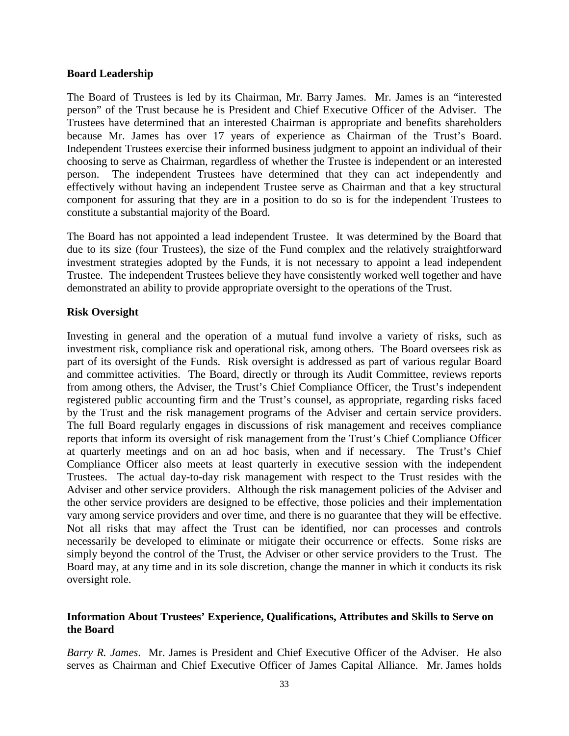### **Board Leadership**

The Board of Trustees is led by its Chairman, Mr. Barry James. Mr. James is an "interested person" of the Trust because he is President and Chief Executive Officer of the Adviser. The Trustees have determined that an interested Chairman is appropriate and benefits shareholders because Mr. James has over 17 years of experience as Chairman of the Trust's Board. Independent Trustees exercise their informed business judgment to appoint an individual of their choosing to serve as Chairman, regardless of whether the Trustee is independent or an interested person. The independent Trustees have determined that they can act independently and effectively without having an independent Trustee serve as Chairman and that a key structural component for assuring that they are in a position to do so is for the independent Trustees to constitute a substantial majority of the Board.

The Board has not appointed a lead independent Trustee. It was determined by the Board that due to its size (four Trustees), the size of the Fund complex and the relatively straightforward investment strategies adopted by the Funds, it is not necessary to appoint a lead independent Trustee. The independent Trustees believe they have consistently worked well together and have demonstrated an ability to provide appropriate oversight to the operations of the Trust.

## **Risk Oversight**

Investing in general and the operation of a mutual fund involve a variety of risks, such as investment risk, compliance risk and operational risk, among others. The Board oversees risk as part of its oversight of the Funds. Risk oversight is addressed as part of various regular Board and committee activities. The Board, directly or through its Audit Committee, reviews reports from among others, the Adviser, the Trust's Chief Compliance Officer, the Trust's independent registered public accounting firm and the Trust's counsel, as appropriate, regarding risks faced by the Trust and the risk management programs of the Adviser and certain service providers. The full Board regularly engages in discussions of risk management and receives compliance reports that inform its oversight of risk management from the Trust's Chief Compliance Officer at quarterly meetings and on an ad hoc basis, when and if necessary. The Trust's Chief Compliance Officer also meets at least quarterly in executive session with the independent Trustees. The actual day-to-day risk management with respect to the Trust resides with the Adviser and other service providers. Although the risk management policies of the Adviser and the other service providers are designed to be effective, those policies and their implementation vary among service providers and over time, and there is no guarantee that they will be effective. Not all risks that may affect the Trust can be identified, nor can processes and controls necessarily be developed to eliminate or mitigate their occurrence or effects. Some risks are simply beyond the control of the Trust, the Adviser or other service providers to the Trust. The Board may, at any time and in its sole discretion, change the manner in which it conducts its risk oversight role.

# **Information About Trustees' Experience, Qualifications, Attributes and Skills to Serve on the Board**

*Barry R. James*. Mr. James is President and Chief Executive Officer of the Adviser. He also serves as Chairman and Chief Executive Officer of James Capital Alliance. Mr. James holds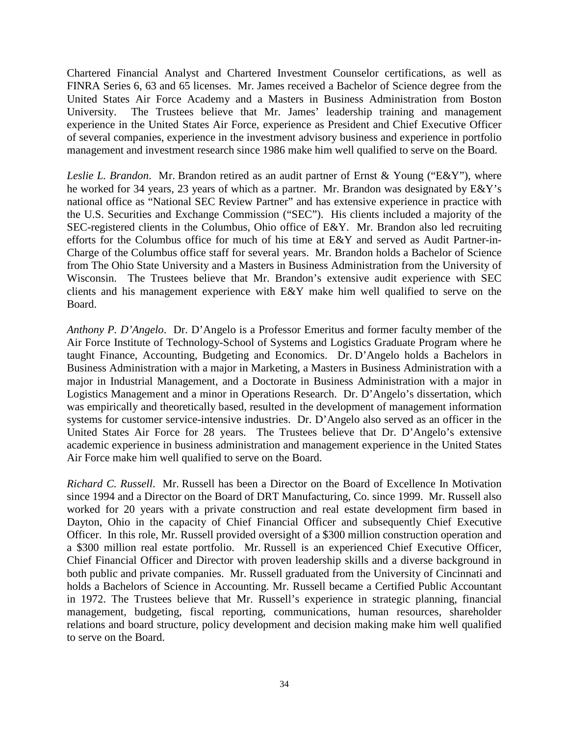Chartered Financial Analyst and Chartered Investment Counselor certifications, as well as FINRA Series 6, 63 and 65 licenses. Mr. James received a Bachelor of Science degree from the United States Air Force Academy and a Masters in Business Administration from Boston University. The Trustees believe that Mr. James' leadership training and management experience in the United States Air Force, experience as President and Chief Executive Officer of several companies, experience in the investment advisory business and experience in portfolio management and investment research since 1986 make him well qualified to serve on the Board.

*Leslie L. Brandon*. Mr. Brandon retired as an audit partner of Ernst & Young ("E&Y"), where he worked for 34 years, 23 years of which as a partner. Mr. Brandon was designated by E&Y's national office as "National SEC Review Partner" and has extensive experience in practice with the U.S. Securities and Exchange Commission ("SEC"). His clients included a majority of the SEC-registered clients in the Columbus, Ohio office of E&Y. Mr. Brandon also led recruiting efforts for the Columbus office for much of his time at E&Y and served as Audit Partner-in-Charge of the Columbus office staff for several years. Mr. Brandon holds a Bachelor of Science from The Ohio State University and a Masters in Business Administration from the University of Wisconsin. The Trustees believe that Mr. Brandon's extensive audit experience with SEC clients and his management experience with E&Y make him well qualified to serve on the Board.

*Anthony P. D'Angelo*. Dr. D'Angelo is a Professor Emeritus and former faculty member of the Air Force Institute of Technology-School of Systems and Logistics Graduate Program where he taught Finance, Accounting, Budgeting and Economics. Dr. D'Angelo holds a Bachelors in Business Administration with a major in Marketing, a Masters in Business Administration with a major in Industrial Management, and a Doctorate in Business Administration with a major in Logistics Management and a minor in Operations Research. Dr. D'Angelo's dissertation, which was empirically and theoretically based, resulted in the development of management information systems for customer service-intensive industries. Dr. D'Angelo also served as an officer in the United States Air Force for 28 years. The Trustees believe that Dr. D'Angelo's extensive academic experience in business administration and management experience in the United States Air Force make him well qualified to serve on the Board.

*Richard C. Russell*. Mr. Russell has been a Director on the Board of Excellence In Motivation since 1994 and a Director on the Board of DRT Manufacturing, Co. since 1999. Mr. Russell also worked for 20 years with a private construction and real estate development firm based in Dayton, Ohio in the capacity of Chief Financial Officer and subsequently Chief Executive Officer. In this role, Mr. Russell provided oversight of a \$300 million construction operation and a \$300 million real estate portfolio. Mr. Russell is an experienced Chief Executive Officer, Chief Financial Officer and Director with proven leadership skills and a diverse background in both public and private companies. Mr. Russell graduated from the University of Cincinnati and holds a Bachelors of Science in Accounting. Mr. Russell became a Certified Public Accountant in 1972. The Trustees believe that Mr. Russell's experience in strategic planning, financial management, budgeting, fiscal reporting, communications, human resources, shareholder relations and board structure, policy development and decision making make him well qualified to serve on the Board.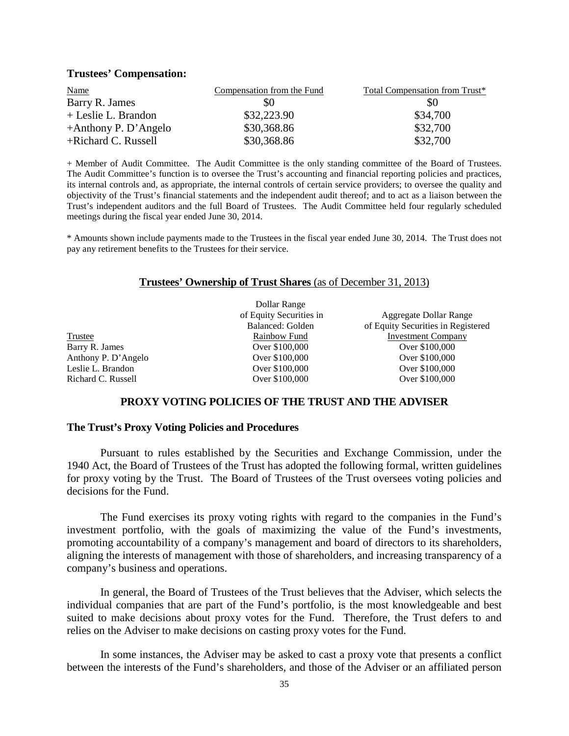#### **Trustees' Compensation:**

| <b>Name</b>             | Compensation from the Fund | Total Compensation from Trust* |
|-------------------------|----------------------------|--------------------------------|
| Barry R. James          | \$0                        | \$0                            |
| + Leslie L. Brandon     | \$32,223.90                | \$34,700                       |
| $+A$ nthony P. D'Angelo | \$30,368.86                | \$32,700                       |
| +Richard C. Russell     | \$30,368.86                | \$32,700                       |

+ Member of Audit Committee. The Audit Committee is the only standing committee of the Board of Trustees. The Audit Committee's function is to oversee the Trust's accounting and financial reporting policies and practices, its internal controls and, as appropriate, the internal controls of certain service providers; to oversee the quality and objectivity of the Trust's financial statements and the independent audit thereof; and to act as a liaison between the Trust's independent auditors and the full Board of Trustees. The Audit Committee held four regularly scheduled meetings during the fiscal year ended June 30, 2014.

\* Amounts shown include payments made to the Trustees in the fiscal year ended June 30, 2014. The Trust does not pay any retirement benefits to the Trustees for their service.

#### **Trustees' Ownership of Trust Shares** (as of December 31, 2013)

Trustee Barry R. James

Dollar Range of Equity Securities in Balanced: Golden Rainbow Fund<br>Over \$100,000 Over \$100,000

Aggregate Dollar Range of Equity Securities in Registered Investment Company<br>Over \$100,000 Anthony P. D'Angelo Over \$100,000 Over \$100,000 Leslie L. Brandon Over \$100,000 Over \$100,000

### **PROXY VOTING POLICIES OF THE TRUST AND THE ADVISER**

#### **The Trust's Proxy Voting Policies and Procedures**

Pursuant to rules established by the Securities and Exchange Commission, under the 1940 Act, the Board of Trustees of the Trust has adopted the following formal, written guidelines for proxy voting by the Trust. The Board of Trustees of the Trust oversees voting policies and decisions for the Fund.

The Fund exercises its proxy voting rights with regard to the companies in the Fund's investment portfolio, with the goals of maximizing the value of the Fund's investments, promoting accountability of a company's management and board of directors to its shareholders, aligning the interests of management with those of shareholders, and increasing transparency of a company's business and operations.

In general, the Board of Trustees of the Trust believes that the Adviser, which selects the individual companies that are part of the Fund's portfolio, is the most knowledgeable and best suited to make decisions about proxy votes for the Fund. Therefore, the Trust defers to and relies on the Adviser to make decisions on casting proxy votes for the Fund.

In some instances, the Adviser may be asked to cast a proxy vote that presents a conflict between the interests of the Fund's shareholders, and those of the Adviser or an affiliated person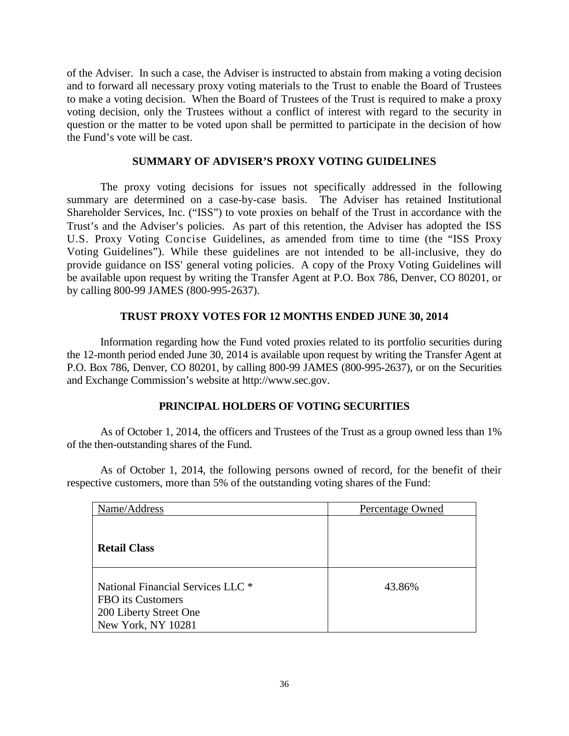of the Adviser. In such a case, the Adviser is instructed to abstain from making a voting decision and to forward all necessary proxy voting materials to the Trust to enable the Board of Trustees to make a voting decision. When the Board of Trustees of the Trust is required to make a proxy voting decision, only the Trustees without a conflict of interest with regard to the security in question or the matter to be voted upon shall be permitted to participate in the decision of how the Fund's vote will be cast.

### **SUMMARY OF ADVISER'S PROXY VOTING GUIDELINES**

The proxy voting decisions for issues not specifically addressed in the following summary are determined on a case-by-case basis. The Adviser has retained Institutional Shareholder Services, Inc. ("ISS") to vote proxies on behalf of the Trust in accordance with the Trust's and the Adviser's policies. As part of this retention, the Adviser has adopted the ISS U.S. Proxy Voting Concise Guidelines, as amended from time to time (the "ISS Proxy Voting Guidelines"). While these guidelines are not intended to be all-inclusive, they do provide guidance on ISS' general voting policies. A copy of the Proxy Voting Guidelines will be available upon request by writing the Transfer Agent at P.O. Box 786, Denver, CO 80201, or by calling 800-99 JAMES (800-995-2637).

# **TRUST PROXY VOTES FOR 12 MONTHS ENDED JUNE 30, 2014**

Information regarding how the Fund voted proxies related to its portfolio securities during the 12-month period ended June 30, 2014 is available upon request by writing the Transfer Agent at P.O. Box 786, Denver, CO 80201, by calling 800-99 JAMES (800-995-2637), or on the Securities and Exchange Commission's website at http://www.sec.gov.

## **PRINCIPAL HOLDERS OF VOTING SECURITIES**

As of October 1, 2014, the officers and Trustees of the Trust as a group owned less than 1% of the then-outstanding shares of the Fund.

As of October 1, 2014, the following persons owned of record, for the benefit of their respective customers, more than 5% of the outstanding voting shares of the Fund:

| Name/Address                                                                                           | Percentage Owned |
|--------------------------------------------------------------------------------------------------------|------------------|
| <b>Retail Class</b>                                                                                    |                  |
| National Financial Services LLC *<br>FBO its Customers<br>200 Liberty Street One<br>New York, NY 10281 | 43.86%           |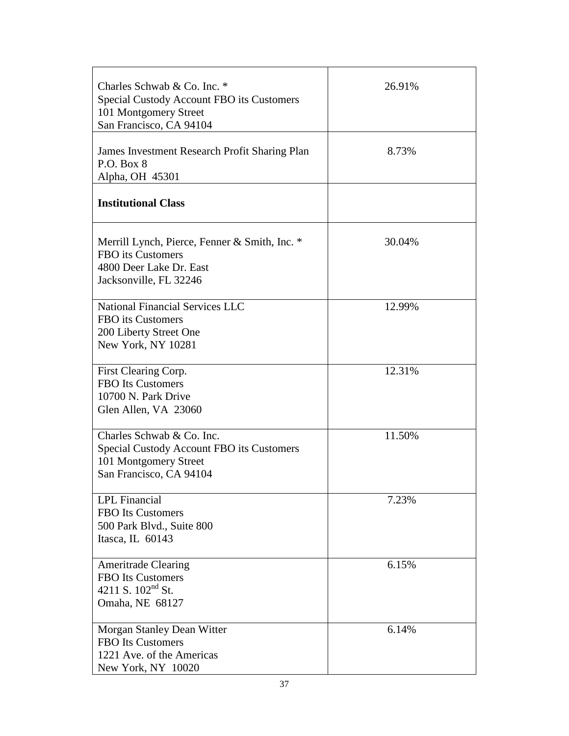| Charles Schwab & Co. Inc. *<br>Special Custody Account FBO its Customers<br>101 Montgomery Street<br>San Francisco, CA 94104 | 26.91% |
|------------------------------------------------------------------------------------------------------------------------------|--------|
| James Investment Research Profit Sharing Plan<br>P.O. Box 8<br>Alpha, OH 45301                                               | 8.73%  |
| <b>Institutional Class</b>                                                                                                   |        |
| Merrill Lynch, Pierce, Fenner & Smith, Inc. *<br>FBO its Customers<br>4800 Deer Lake Dr. East<br>Jacksonville, FL 32246      | 30.04% |
| <b>National Financial Services LLC</b><br>FBO its Customers<br>200 Liberty Street One<br>New York, NY 10281                  | 12.99% |
| First Clearing Corp.<br><b>FBO</b> Its Customers<br>10700 N. Park Drive<br>Glen Allen, VA 23060                              | 12.31% |
| Charles Schwab & Co. Inc.<br>Special Custody Account FBO its Customers<br>101 Montgomery Street<br>San Francisco, CA 94104   | 11.50% |
| <b>LPL</b> Financial<br><b>FBO</b> Its Customers<br>500 Park Blvd., Suite 800<br>Itasca, IL 60143                            | 7.23%  |
| <b>Ameritrade Clearing</b><br>FBO Its Customers<br>4211 S. $102nd$ St.<br>Omaha, NE 68127                                    | 6.15%  |
| Morgan Stanley Dean Witter<br><b>FBO</b> Its Customers<br>1221 Ave. of the Americas<br>New York, NY 10020                    | 6.14%  |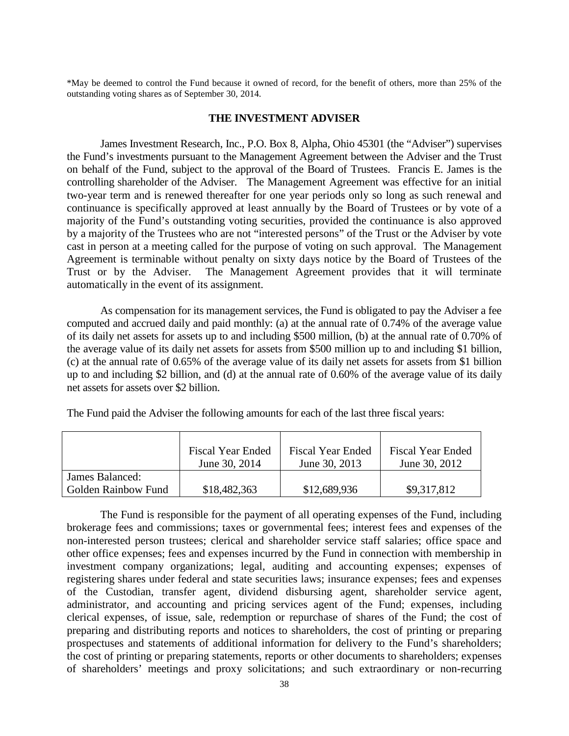\*May be deemed to control the Fund because it owned of record, for the benefit of others, more than 25% of the outstanding voting shares as of September 30, 2014.

#### **THE INVESTMENT ADVISER**

James Investment Research, Inc., P.O. Box 8, Alpha, Ohio 45301 (the "Adviser") supervises the Fund's investments pursuant to the Management Agreement between the Adviser and the Trust on behalf of the Fund, subject to the approval of the Board of Trustees. Francis E. James is the controlling shareholder of the Adviser. The Management Agreement was effective for an initial two-year term and is renewed thereafter for one year periods only so long as such renewal and continuance is specifically approved at least annually by the Board of Trustees or by vote of a majority of the Fund's outstanding voting securities, provided the continuance is also approved by a majority of the Trustees who are not "interested persons" of the Trust or the Adviser by vote cast in person at a meeting called for the purpose of voting on such approval. The Management Agreement is terminable without penalty on sixty days notice by the Board of Trustees of the Trust or by the Adviser. The Management Agreement provides that it will terminate automatically in the event of its assignment.

As compensation for its management services, the Fund is obligated to pay the Adviser a fee computed and accrued daily and paid monthly: (a) at the annual rate of 0.74% of the average value of its daily net assets for assets up to and including \$500 million, (b) at the annual rate of 0.70% of the average value of its daily net assets for assets from \$500 million up to and including \$1 billion, (c) at the annual rate of 0.65% of the average value of its daily net assets for assets from \$1 billion up to and including \$2 billion, and (d) at the annual rate of 0.60% of the average value of its daily net assets for assets over \$2 billion.

The Fund paid the Adviser the following amounts for each of the last three fiscal years:

|                                               | <b>Fiscal Year Ended</b> | <b>Fiscal Year Ended</b> | <b>Fiscal Year Ended</b> |
|-----------------------------------------------|--------------------------|--------------------------|--------------------------|
|                                               | June 30, 2014            | June 30, 2013            | June 30, 2012            |
| James Balanced:<br><b>Golden Rainbow Fund</b> | \$18,482,363             | \$12,689,936             | \$9,317,812              |

The Fund is responsible for the payment of all operating expenses of the Fund, including brokerage fees and commissions; taxes or governmental fees; interest fees and expenses of the non-interested person trustees; clerical and shareholder service staff salaries; office space and other office expenses; fees and expenses incurred by the Fund in connection with membership in investment company organizations; legal, auditing and accounting expenses; expenses of registering shares under federal and state securities laws; insurance expenses; fees and expenses of the Custodian, transfer agent, dividend disbursing agent, shareholder service agent, administrator, and accounting and pricing services agent of the Fund; expenses, including clerical expenses, of issue, sale, redemption or repurchase of shares of the Fund; the cost of preparing and distributing reports and notices to shareholders, the cost of printing or preparing prospectuses and statements of additional information for delivery to the Fund's shareholders; the cost of printing or preparing statements, reports or other documents to shareholders; expenses of shareholders' meetings and proxy solicitations; and such extraordinary or non-recurring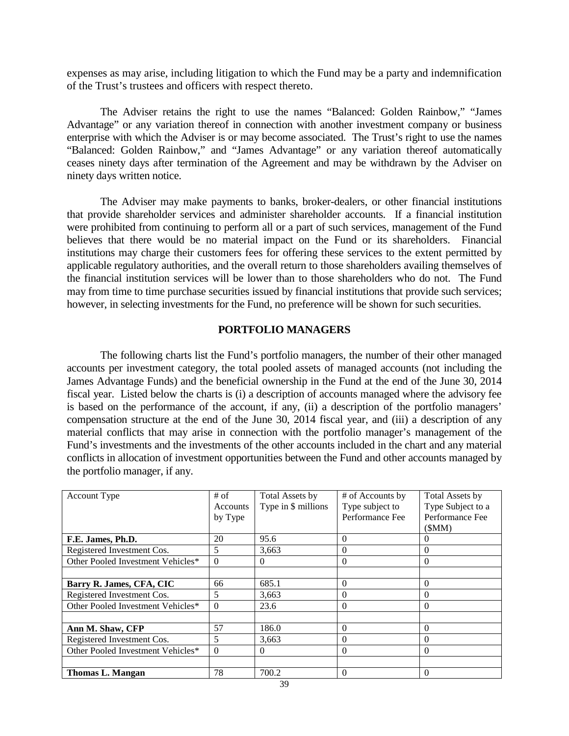expenses as may arise, including litigation to which the Fund may be a party and indemnification of the Trust's trustees and officers with respect thereto.

The Adviser retains the right to use the names "Balanced: Golden Rainbow," "James Advantage" or any variation thereof in connection with another investment company or business enterprise with which the Adviser is or may become associated. The Trust's right to use the names "Balanced: Golden Rainbow," and "James Advantage" or any variation thereof automatically ceases ninety days after termination of the Agreement and may be withdrawn by the Adviser on ninety days written notice.

The Adviser may make payments to banks, broker-dealers, or other financial institutions that provide shareholder services and administer shareholder accounts. If a financial institution were prohibited from continuing to perform all or a part of such services, management of the Fund believes that there would be no material impact on the Fund or its shareholders. Financial institutions may charge their customers fees for offering these services to the extent permitted by applicable regulatory authorities, and the overall return to those shareholders availing themselves of the financial institution services will be lower than to those shareholders who do not. The Fund may from time to time purchase securities issued by financial institutions that provide such services; however, in selecting investments for the Fund, no preference will be shown for such securities.

## **PORTFOLIO MANAGERS**

The following charts list the Fund's portfolio managers, the number of their other managed accounts per investment category, the total pooled assets of managed accounts (not including the James Advantage Funds) and the beneficial ownership in the Fund at the end of the June 30, 2014 fiscal year. Listed below the charts is (i) a description of accounts managed where the advisory fee is based on the performance of the account, if any, (ii) a description of the portfolio managers' compensation structure at the end of the June 30, 2014 fiscal year, and (iii) a description of any material conflicts that may arise in connection with the portfolio manager's management of the Fund's investments and the investments of the other accounts included in the chart and any material conflicts in allocation of investment opportunities between the Fund and other accounts managed by the portfolio manager, if any.

| Account Type                      | $#$ of   | Total Assets by     | # of Accounts by | Total Assets by   |
|-----------------------------------|----------|---------------------|------------------|-------------------|
|                                   | Accounts | Type in \$ millions | Type subject to  | Type Subject to a |
|                                   | by Type  |                     | Performance Fee  | Performance Fee   |
|                                   |          |                     |                  | (SMM)             |
| F.E. James, Ph.D.                 | 20       | 95.6                | $\Omega$         |                   |
| Registered Investment Cos.        | 5        | 3,663               | $\Omega$         | $\Omega$          |
| Other Pooled Investment Vehicles* | $\theta$ | 0                   | $\Omega$         | 0                 |
|                                   |          |                     |                  |                   |
| Barry R. James, CFA, CIC          | 66       | 685.1               | $\Omega$         | $\Omega$          |
| Registered Investment Cos.        | 5        | 3,663               | $\Omega$         | $\Omega$          |
| Other Pooled Investment Vehicles* | $\theta$ | 23.6                | $\Omega$         | $\Omega$          |
|                                   |          |                     |                  |                   |
| Ann M. Shaw, CFP                  | 57       | 186.0               | 0                | 0                 |
| Registered Investment Cos.        | 5        | 3,663               | $\Omega$         | 0                 |
| Other Pooled Investment Vehicles* | $\theta$ | $\theta$            | $\Omega$         | $\Omega$          |
|                                   |          |                     |                  |                   |
| <b>Thomas L. Mangan</b>           | 78       | 700.2               | $\Omega$         | $\Omega$          |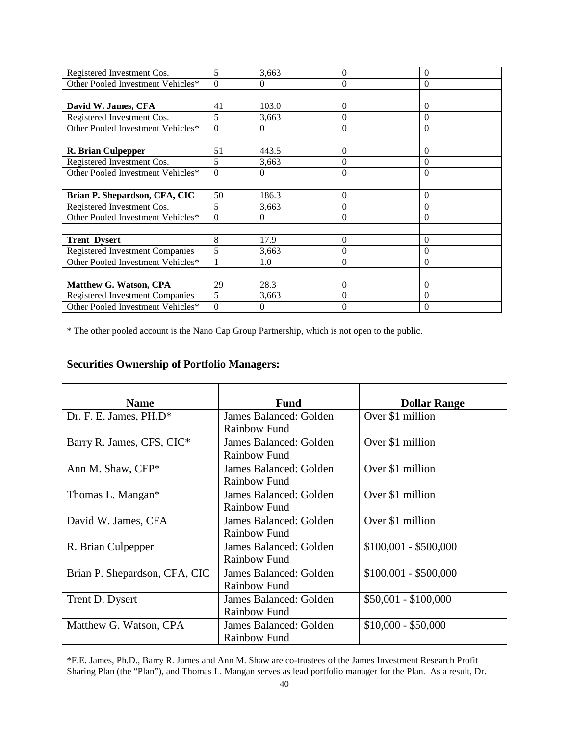| Registered Investment Cos.             | 5        | 3,663    | $\overline{0}$ | $\overline{0}$ |
|----------------------------------------|----------|----------|----------------|----------------|
| Other Pooled Investment Vehicles*      | $\Omega$ | $\Omega$ | $\theta$       | $\theta$       |
|                                        |          |          |                |                |
| David W. James, CFA                    | 41       | 103.0    | $\Omega$       | $\Omega$       |
| Registered Investment Cos.             | 5        | 3,663    | $\overline{0}$ | $\theta$       |
| Other Pooled Investment Vehicles*      | $\theta$ | $\Omega$ | $\Omega$       | $\Omega$       |
|                                        |          |          |                |                |
| R. Brian Culpepper                     | 51       | 443.5    | $\overline{0}$ | $\Omega$       |
| Registered Investment Cos.             | 5        | 3,663    | $\Omega$       | $\Omega$       |
| Other Pooled Investment Vehicles*      | $\theta$ | $\Omega$ | $\Omega$       | $\theta$       |
|                                        |          |          |                |                |
| Brian P. Shepardson, CFA, CIC          | 50       | 186.3    | $\Omega$       | $\Omega$       |
| Registered Investment Cos.             | 5        | 3,663    | $\theta$       | 0              |
| Other Pooled Investment Vehicles*      | $\Omega$ | $\Omega$ | $\Omega$       | $\Omega$       |
|                                        |          |          |                |                |
| <b>Trent Dysert</b>                    | 8        | 17.9     | $\overline{0}$ | $\overline{0}$ |
| <b>Registered Investment Companies</b> | 5        | 3,663    | $\overline{0}$ | $\theta$       |
| Other Pooled Investment Vehicles*      | 1        | 1.0      | $\overline{0}$ | $\overline{0}$ |
|                                        |          |          |                |                |
| Matthew G. Watson, CPA                 | 29       | 28.3     | $\overline{0}$ | $\Omega$       |
| <b>Registered Investment Companies</b> | 5        | 3,663    | $\overline{0}$ | $\overline{0}$ |
| Other Pooled Investment Vehicles*      | $\theta$ | $\Omega$ | 0              | $\Omega$       |

\* The other pooled account is the Nano Cap Group Partnership, which is not open to the public.

# **Securities Ownership of Portfolio Managers:**

| <b>Name</b>                   | <b>Fund</b>            | <b>Dollar Range</b>   |
|-------------------------------|------------------------|-----------------------|
| Dr. F. E. James, $PH.D^*$     | James Balanced: Golden | Over \$1 million      |
|                               | Rainbow Fund           |                       |
| Barry R. James, CFS, CIC*     | James Balanced: Golden | Over \$1 million      |
|                               | <b>Rainbow Fund</b>    |                       |
| Ann M. Shaw, CFP*             | James Balanced: Golden | Over \$1 million      |
|                               | <b>Rainbow Fund</b>    |                       |
| Thomas L. Mangan*             | James Balanced: Golden | Over \$1 million      |
|                               | Rainbow Fund           |                       |
| David W. James, CFA           | James Balanced: Golden | Over \$1 million      |
|                               | Rainbow Fund           |                       |
| R. Brian Culpepper            | James Balanced: Golden | $$100,001 - $500,000$ |
|                               | Rainbow Fund           |                       |
| Brian P. Shepardson, CFA, CIC | James Balanced: Golden | $$100,001 - $500,000$ |
|                               | Rainbow Fund           |                       |
| Trent D. Dysert               | James Balanced: Golden | $$50,001 - $100,000$  |
|                               | Rainbow Fund           |                       |
| Matthew G. Watson, CPA        | James Balanced: Golden | $$10,000 - $50,000$   |
|                               | <b>Rainbow Fund</b>    |                       |

\*F.E. James, Ph.D., Barry R. James and Ann M. Shaw are co-trustees of the James Investment Research Profit Sharing Plan (the "Plan"), and Thomas L. Mangan serves as lead portfolio manager for the Plan. As a result, Dr.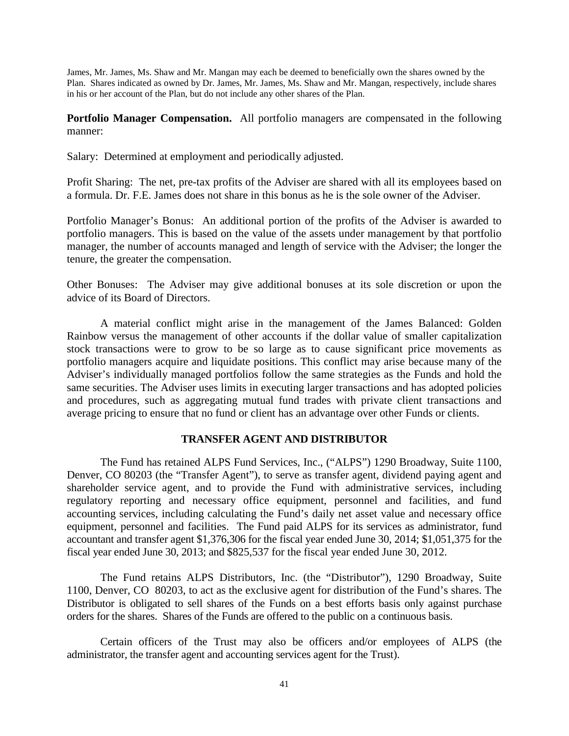James, Mr. James, Ms. Shaw and Mr. Mangan may each be deemed to beneficially own the shares owned by the Plan. Shares indicated as owned by Dr. James, Mr. James, Ms. Shaw and Mr. Mangan, respectively, include shares in his or her account of the Plan, but do not include any other shares of the Plan.

**Portfolio Manager Compensation.** All portfolio managers are compensated in the following manner:

Salary: Determined at employment and periodically adjusted.

Profit Sharing: The net, pre-tax profits of the Adviser are shared with all its employees based on a formula. Dr. F.E. James does not share in this bonus as he is the sole owner of the Adviser.

Portfolio Manager's Bonus: An additional portion of the profits of the Adviser is awarded to portfolio managers. This is based on the value of the assets under management by that portfolio manager, the number of accounts managed and length of service with the Adviser; the longer the tenure, the greater the compensation.

Other Bonuses: The Adviser may give additional bonuses at its sole discretion or upon the advice of its Board of Directors.

A material conflict might arise in the management of the James Balanced: Golden Rainbow versus the management of other accounts if the dollar value of smaller capitalization stock transactions were to grow to be so large as to cause significant price movements as portfolio managers acquire and liquidate positions. This conflict may arise because many of the Adviser's individually managed portfolios follow the same strategies as the Funds and hold the same securities. The Adviser uses limits in executing larger transactions and has adopted policies and procedures, such as aggregating mutual fund trades with private client transactions and average pricing to ensure that no fund or client has an advantage over other Funds or clients.

## **TRANSFER AGENT AND DISTRIBUTOR**

The Fund has retained ALPS Fund Services, Inc., ("ALPS") 1290 Broadway, Suite 1100, Denver, CO 80203 (the "Transfer Agent"), to serve as transfer agent, dividend paying agent and shareholder service agent, and to provide the Fund with administrative services, including regulatory reporting and necessary office equipment, personnel and facilities, and fund accounting services, including calculating the Fund's daily net asset value and necessary office equipment, personnel and facilities. The Fund paid ALPS for its services as administrator, fund accountant and transfer agent \$1,376,306 for the fiscal year ended June 30, 2014; \$1,051,375 for the fiscal year ended June 30, 2013; and \$825,537 for the fiscal year ended June 30, 2012.

The Fund retains ALPS Distributors, Inc. (the "Distributor"), 1290 Broadway, Suite 1100, Denver, CO 80203, to act as the exclusive agent for distribution of the Fund's shares. The Distributor is obligated to sell shares of the Funds on a best efforts basis only against purchase orders for the shares. Shares of the Funds are offered to the public on a continuous basis.

Certain officers of the Trust may also be officers and/or employees of ALPS (the administrator, the transfer agent and accounting services agent for the Trust).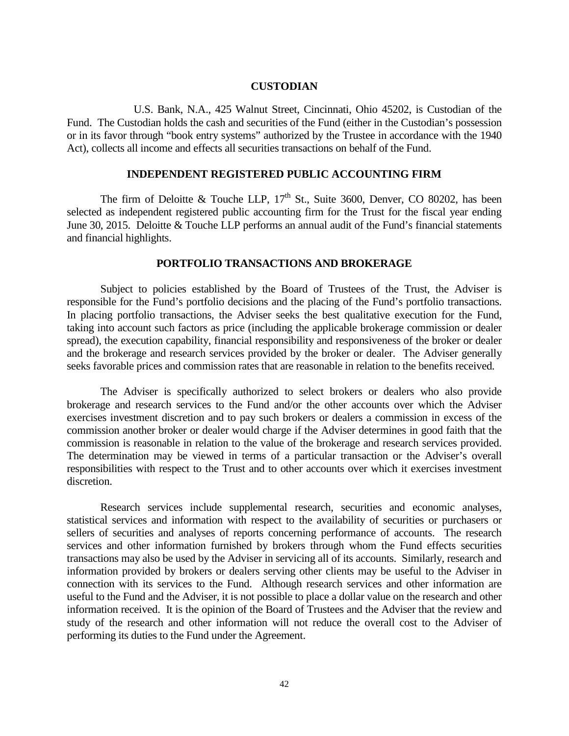#### **CUSTODIAN**

U.S. Bank, N.A., 425 Walnut Street, Cincinnati, Ohio 45202, is Custodian of the Fund. The Custodian holds the cash and securities of the Fund (either in the Custodian's possession or in its favor through "book entry systems" authorized by the Trustee in accordance with the 1940 Act), collects all income and effects all securities transactions on behalf of the Fund.

### **INDEPENDENT REGISTERED PUBLIC ACCOUNTING FIRM**

The firm of Deloitte & Touche LLP,  $17<sup>th</sup>$  St., Suite 3600, Denver, CO 80202, has been selected as independent registered public accounting firm for the Trust for the fiscal year ending June 30, 2015. Deloitte & Touche LLP performs an annual audit of the Fund's financial statements and financial highlights.

#### **PORTFOLIO TRANSACTIONS AND BROKERAGE**

Subject to policies established by the Board of Trustees of the Trust, the Adviser is responsible for the Fund's portfolio decisions and the placing of the Fund's portfolio transactions. In placing portfolio transactions, the Adviser seeks the best qualitative execution for the Fund, taking into account such factors as price (including the applicable brokerage commission or dealer spread), the execution capability, financial responsibility and responsiveness of the broker or dealer and the brokerage and research services provided by the broker or dealer. The Adviser generally seeks favorable prices and commission rates that are reasonable in relation to the benefits received.

The Adviser is specifically authorized to select brokers or dealers who also provide brokerage and research services to the Fund and/or the other accounts over which the Adviser exercises investment discretion and to pay such brokers or dealers a commission in excess of the commission another broker or dealer would charge if the Adviser determines in good faith that the commission is reasonable in relation to the value of the brokerage and research services provided. The determination may be viewed in terms of a particular transaction or the Adviser's overall responsibilities with respect to the Trust and to other accounts over which it exercises investment discretion.

Research services include supplemental research, securities and economic analyses, statistical services and information with respect to the availability of securities or purchasers or sellers of securities and analyses of reports concerning performance of accounts. The research services and other information furnished by brokers through whom the Fund effects securities transactions may also be used by the Adviser in servicing all of its accounts. Similarly, research and information provided by brokers or dealers serving other clients may be useful to the Adviser in connection with its services to the Fund. Although research services and other information are useful to the Fund and the Adviser, it is not possible to place a dollar value on the research and other information received. It is the opinion of the Board of Trustees and the Adviser that the review and study of the research and other information will not reduce the overall cost to the Adviser of performing its duties to the Fund under the Agreement.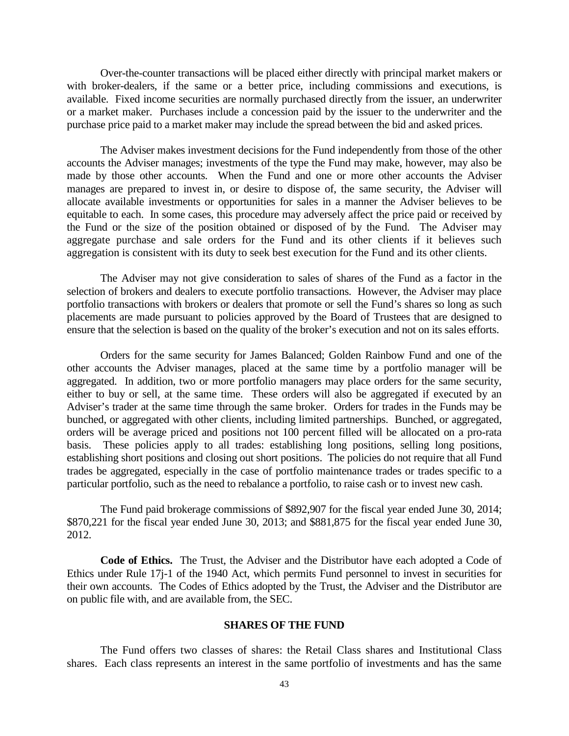Over-the-counter transactions will be placed either directly with principal market makers or with broker-dealers, if the same or a better price, including commissions and executions, is available. Fixed income securities are normally purchased directly from the issuer, an underwriter or a market maker. Purchases include a concession paid by the issuer to the underwriter and the purchase price paid to a market maker may include the spread between the bid and asked prices.

The Adviser makes investment decisions for the Fund independently from those of the other accounts the Adviser manages; investments of the type the Fund may make, however, may also be made by those other accounts. When the Fund and one or more other accounts the Adviser manages are prepared to invest in, or desire to dispose of, the same security, the Adviser will allocate available investments or opportunities for sales in a manner the Adviser believes to be equitable to each. In some cases, this procedure may adversely affect the price paid or received by the Fund or the size of the position obtained or disposed of by the Fund. The Adviser may aggregate purchase and sale orders for the Fund and its other clients if it believes such aggregation is consistent with its duty to seek best execution for the Fund and its other clients.

The Adviser may not give consideration to sales of shares of the Fund as a factor in the selection of brokers and dealers to execute portfolio transactions. However, the Adviser may place portfolio transactions with brokers or dealers that promote or sell the Fund's shares so long as such placements are made pursuant to policies approved by the Board of Trustees that are designed to ensure that the selection is based on the quality of the broker's execution and not on its sales efforts.

Orders for the same security for James Balanced; Golden Rainbow Fund and one of the other accounts the Adviser manages, placed at the same time by a portfolio manager will be aggregated. In addition, two or more portfolio managers may place orders for the same security, either to buy or sell, at the same time. These orders will also be aggregated if executed by an Adviser's trader at the same time through the same broker. Orders for trades in the Funds may be bunched, or aggregated with other clients, including limited partnerships. Bunched, or aggregated, orders will be average priced and positions not 100 percent filled will be allocated on a pro-rata basis. These policies apply to all trades: establishing long positions, selling long positions, establishing short positions and closing out short positions. The policies do not require that all Fund trades be aggregated, especially in the case of portfolio maintenance trades or trades specific to a particular portfolio, such as the need to rebalance a portfolio, to raise cash or to invest new cash.

The Fund paid brokerage commissions of \$892,907 for the fiscal year ended June 30, 2014; \$870,221 for the fiscal year ended June 30, 2013; and \$881,875 for the fiscal year ended June 30, 2012.

**Code of Ethics.** The Trust, the Adviser and the Distributor have each adopted a Code of Ethics under Rule 17j-1 of the 1940 Act, which permits Fund personnel to invest in securities for their own accounts. The Codes of Ethics adopted by the Trust, the Adviser and the Distributor are on public file with, and are available from, the SEC.

## **SHARES OF THE FUND**

The Fund offers two classes of shares: the Retail Class shares and Institutional Class shares. Each class represents an interest in the same portfolio of investments and has the same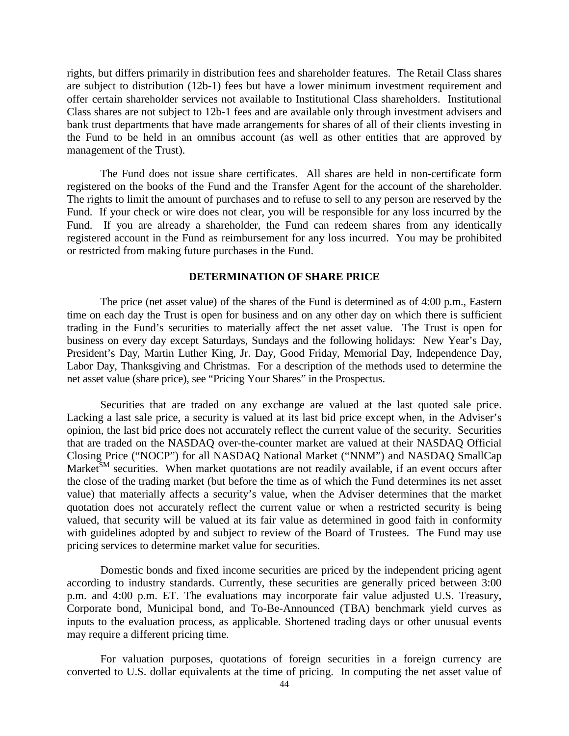rights, but differs primarily in distribution fees and shareholder features. The Retail Class shares are subject to distribution (12b-1) fees but have a lower minimum investment requirement and offer certain shareholder services not available to Institutional Class shareholders. Institutional Class shares are not subject to 12b-1 fees and are available only through investment advisers and bank trust departments that have made arrangements for shares of all of their clients investing in the Fund to be held in an omnibus account (as well as other entities that are approved by management of the Trust).

The Fund does not issue share certificates. All shares are held in non-certificate form registered on the books of the Fund and the Transfer Agent for the account of the shareholder. The rights to limit the amount of purchases and to refuse to sell to any person are reserved by the Fund. If your check or wire does not clear, you will be responsible for any loss incurred by the Fund. If you are already a shareholder, the Fund can redeem shares from any identically registered account in the Fund as reimbursement for any loss incurred. You may be prohibited or restricted from making future purchases in the Fund.

### **DETERMINATION OF SHARE PRICE**

The price (net asset value) of the shares of the Fund is determined as of 4:00 p.m., Eastern time on each day the Trust is open for business and on any other day on which there is sufficient trading in the Fund's securities to materially affect the net asset value. The Trust is open for business on every day except Saturdays, Sundays and the following holidays: New Year's Day, President's Day, Martin Luther King, Jr. Day, Good Friday, Memorial Day, Independence Day, Labor Day, Thanksgiving and Christmas. For a description of the methods used to determine the net asset value (share price), see "Pricing Your Shares" in the Prospectus.

Securities that are traded on any exchange are valued at the last quoted sale price. Lacking a last sale price, a security is valued at its last bid price except when, in the Adviser's opinion, the last bid price does not accurately reflect the current value of the security. Securities that are traded on the NASDAQ over-the-counter market are valued at their NASDAQ Official Closing Price ("NOCP") for all NASDAQ National Market ("NNM") and NASDAQ SmallCap Market<sup>SM</sup> securities. When market quotations are not readily available, if an event occurs after the close of the trading market (but before the time as of which the Fund determines its net asset value) that materially affects a security's value, when the Adviser determines that the market quotation does not accurately reflect the current value or when a restricted security is being valued, that security will be valued at its fair value as determined in good faith in conformity with guidelines adopted by and subject to review of the Board of Trustees. The Fund may use pricing services to determine market value for securities.

Domestic bonds and fixed income securities are priced by the independent pricing agent according to industry standards. Currently, these securities are generally priced between 3:00 p.m. and 4:00 p.m. ET. The evaluations may incorporate fair value adjusted U.S. Treasury, Corporate bond, Municipal bond, and To-Be-Announced (TBA) benchmark yield curves as inputs to the evaluation process, as applicable. Shortened trading days or other unusual events may require a different pricing time.

For valuation purposes, quotations of foreign securities in a foreign currency are converted to U.S. dollar equivalents at the time of pricing. In computing the net asset value of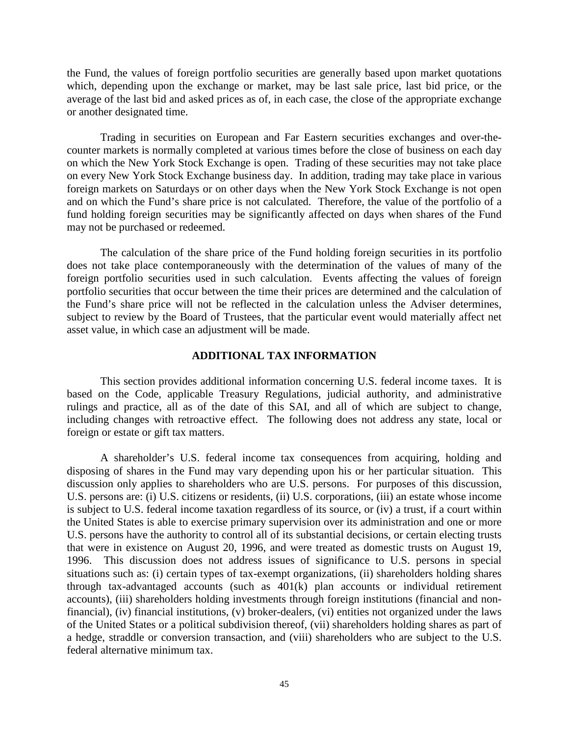the Fund, the values of foreign portfolio securities are generally based upon market quotations which, depending upon the exchange or market, may be last sale price, last bid price, or the average of the last bid and asked prices as of, in each case, the close of the appropriate exchange or another designated time.

Trading in securities on European and Far Eastern securities exchanges and over-thecounter markets is normally completed at various times before the close of business on each day on which the New York Stock Exchange is open. Trading of these securities may not take place on every New York Stock Exchange business day. In addition, trading may take place in various foreign markets on Saturdays or on other days when the New York Stock Exchange is not open and on which the Fund's share price is not calculated. Therefore, the value of the portfolio of a fund holding foreign securities may be significantly affected on days when shares of the Fund may not be purchased or redeemed.

The calculation of the share price of the Fund holding foreign securities in its portfolio does not take place contemporaneously with the determination of the values of many of the foreign portfolio securities used in such calculation. Events affecting the values of foreign portfolio securities that occur between the time their prices are determined and the calculation of the Fund's share price will not be reflected in the calculation unless the Adviser determines, subject to review by the Board of Trustees, that the particular event would materially affect net asset value, in which case an adjustment will be made.

#### **ADDITIONAL TAX INFORMATION**

This section provides additional information concerning U.S. federal income taxes. It is based on the Code, applicable Treasury Regulations, judicial authority, and administrative rulings and practice, all as of the date of this SAI, and all of which are subject to change, including changes with retroactive effect. The following does not address any state, local or foreign or estate or gift tax matters.

A shareholder's U.S. federal income tax consequences from acquiring, holding and disposing of shares in the Fund may vary depending upon his or her particular situation. This discussion only applies to shareholders who are U.S. persons. For purposes of this discussion, U.S. persons are: (i) U.S. citizens or residents, (ii) U.S. corporations, (iii) an estate whose income is subject to U.S. federal income taxation regardless of its source, or (iv) a trust, if a court within the United States is able to exercise primary supervision over its administration and one or more U.S. persons have the authority to control all of its substantial decisions, or certain electing trusts that were in existence on August 20, 1996, and were treated as domestic trusts on August 19, 1996. This discussion does not address issues of significance to U.S. persons in special situations such as: (i) certain types of tax-exempt organizations, (ii) shareholders holding shares through tax-advantaged accounts (such as 401(k) plan accounts or individual retirement accounts), (iii) shareholders holding investments through foreign institutions (financial and nonfinancial), (iv) financial institutions, (v) broker-dealers, (vi) entities not organized under the laws of the United States or a political subdivision thereof, (vii) shareholders holding shares as part of a hedge, straddle or conversion transaction, and (viii) shareholders who are subject to the U.S. federal alternative minimum tax.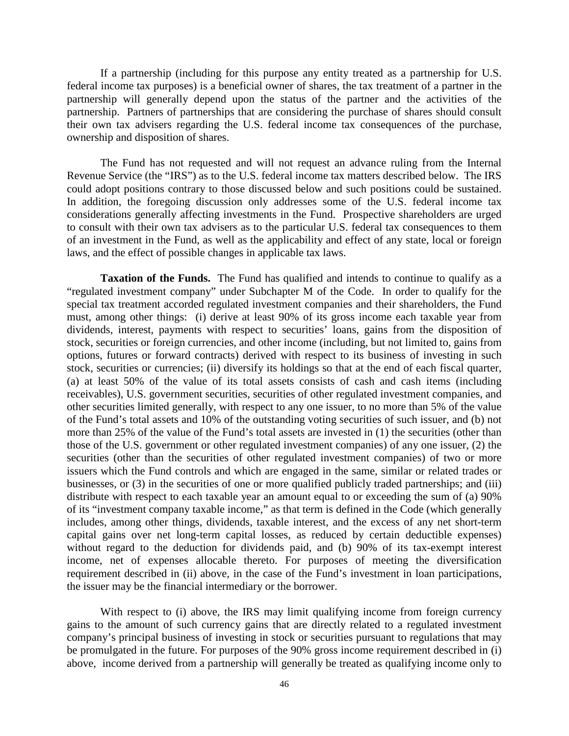If a partnership (including for this purpose any entity treated as a partnership for U.S. federal income tax purposes) is a beneficial owner of shares, the tax treatment of a partner in the partnership will generally depend upon the status of the partner and the activities of the partnership. Partners of partnerships that are considering the purchase of shares should consult their own tax advisers regarding the U.S. federal income tax consequences of the purchase, ownership and disposition of shares.

The Fund has not requested and will not request an advance ruling from the Internal Revenue Service (the "IRS") as to the U.S. federal income tax matters described below. The IRS could adopt positions contrary to those discussed below and such positions could be sustained. In addition, the foregoing discussion only addresses some of the U.S. federal income tax considerations generally affecting investments in the Fund. Prospective shareholders are urged to consult with their own tax advisers as to the particular U.S. federal tax consequences to them of an investment in the Fund, as well as the applicability and effect of any state, local or foreign laws, and the effect of possible changes in applicable tax laws.

**Taxation of the Funds.** The Fund has qualified and intends to continue to qualify as a "regulated investment company" under Subchapter M of the Code. In order to qualify for the special tax treatment accorded regulated investment companies and their shareholders, the Fund must, among other things: (i) derive at least 90% of its gross income each taxable year from dividends, interest, payments with respect to securities' loans, gains from the disposition of stock, securities or foreign currencies, and other income (including, but not limited to, gains from options, futures or forward contracts) derived with respect to its business of investing in such stock, securities or currencies; (ii) diversify its holdings so that at the end of each fiscal quarter, (a) at least 50% of the value of its total assets consists of cash and cash items (including receivables), U.S. government securities, securities of other regulated investment companies, and other securities limited generally, with respect to any one issuer, to no more than 5% of the value of the Fund's total assets and 10% of the outstanding voting securities of such issuer, and (b) not more than 25% of the value of the Fund's total assets are invested in (1) the securities (other than those of the U.S. government or other regulated investment companies) of any one issuer, (2) the securities (other than the securities of other regulated investment companies) of two or more issuers which the Fund controls and which are engaged in the same, similar or related trades or businesses, or (3) in the securities of one or more qualified publicly traded partnerships; and (iii) distribute with respect to each taxable year an amount equal to or exceeding the sum of (a) 90% of its "investment company taxable income," as that term is defined in the Code (which generally includes, among other things, dividends, taxable interest, and the excess of any net short-term capital gains over net long-term capital losses, as reduced by certain deductible expenses) without regard to the deduction for dividends paid, and (b) 90% of its tax-exempt interest income, net of expenses allocable thereto. For purposes of meeting the diversification requirement described in (ii) above, in the case of the Fund's investment in loan participations, the issuer may be the financial intermediary or the borrower.

With respect to (i) above, the IRS may limit qualifying income from foreign currency gains to the amount of such currency gains that are directly related to a regulated investment company's principal business of investing in stock or securities pursuant to regulations that may be promulgated in the future. For purposes of the 90% gross income requirement described in (i) above, income derived from a partnership will generally be treated as qualifying income only to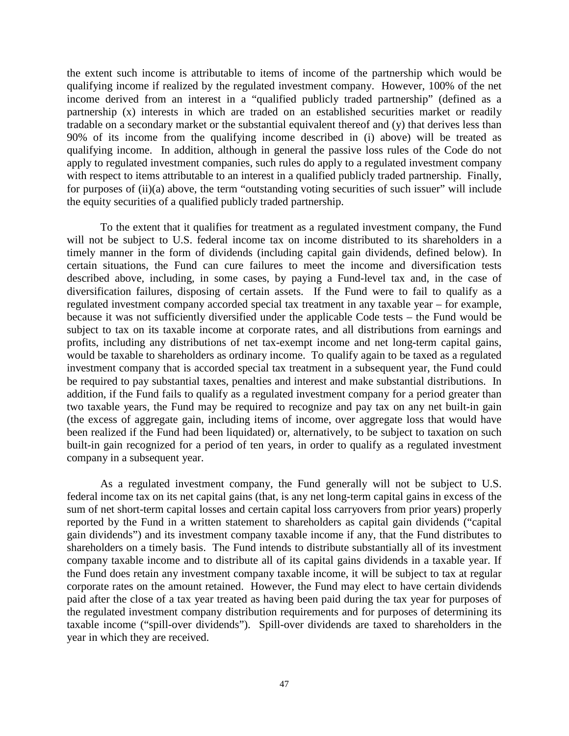the extent such income is attributable to items of income of the partnership which would be qualifying income if realized by the regulated investment company. However, 100% of the net income derived from an interest in a "qualified publicly traded partnership" (defined as a partnership (x) interests in which are traded on an established securities market or readily tradable on a secondary market or the substantial equivalent thereof and (y) that derives less than 90% of its income from the qualifying income described in (i) above) will be treated as qualifying income. In addition, although in general the passive loss rules of the Code do not apply to regulated investment companies, such rules do apply to a regulated investment company with respect to items attributable to an interest in a qualified publicly traded partnership. Finally, for purposes of (ii)(a) above, the term "outstanding voting securities of such issuer" will include the equity securities of a qualified publicly traded partnership.

To the extent that it qualifies for treatment as a regulated investment company, the Fund will not be subject to U.S. federal income tax on income distributed to its shareholders in a timely manner in the form of dividends (including capital gain dividends, defined below). In certain situations, the Fund can cure failures to meet the income and diversification tests described above, including, in some cases, by paying a Fund-level tax and, in the case of diversification failures, disposing of certain assets. If the Fund were to fail to qualify as a regulated investment company accorded special tax treatment in any taxable year – for example, because it was not sufficiently diversified under the applicable Code tests – the Fund would be subject to tax on its taxable income at corporate rates, and all distributions from earnings and profits, including any distributions of net tax-exempt income and net long-term capital gains, would be taxable to shareholders as ordinary income. To qualify again to be taxed as a regulated investment company that is accorded special tax treatment in a subsequent year, the Fund could be required to pay substantial taxes, penalties and interest and make substantial distributions. In addition, if the Fund fails to qualify as a regulated investment company for a period greater than two taxable years, the Fund may be required to recognize and pay tax on any net built-in gain (the excess of aggregate gain, including items of income, over aggregate loss that would have been realized if the Fund had been liquidated) or, alternatively, to be subject to taxation on such built-in gain recognized for a period of ten years, in order to qualify as a regulated investment company in a subsequent year.

As a regulated investment company, the Fund generally will not be subject to U.S. federal income tax on its net capital gains (that, is any net long-term capital gains in excess of the sum of net short-term capital losses and certain capital loss carryovers from prior years) properly reported by the Fund in a written statement to shareholders as capital gain dividends ("capital gain dividends") and its investment company taxable income if any, that the Fund distributes to shareholders on a timely basis. The Fund intends to distribute substantially all of its investment company taxable income and to distribute all of its capital gains dividends in a taxable year. If the Fund does retain any investment company taxable income, it will be subject to tax at regular corporate rates on the amount retained. However, the Fund may elect to have certain dividends paid after the close of a tax year treated as having been paid during the tax year for purposes of the regulated investment company distribution requirements and for purposes of determining its taxable income ("spill-over dividends"). Spill-over dividends are taxed to shareholders in the year in which they are received.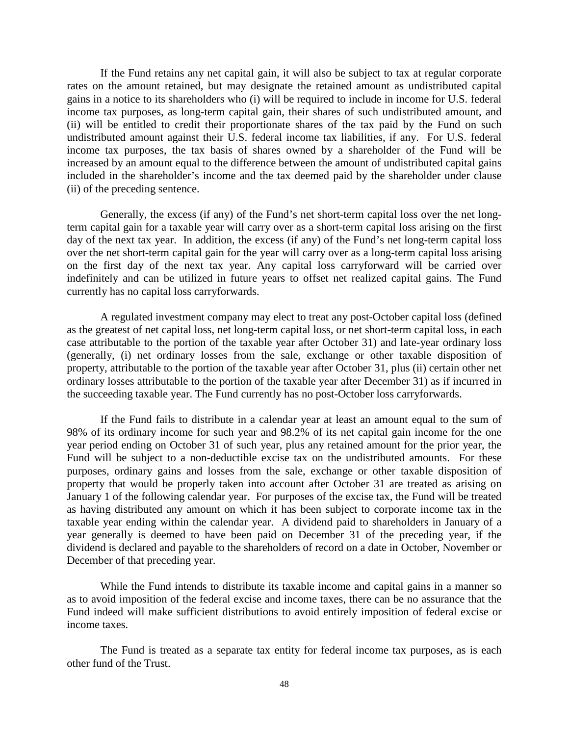If the Fund retains any net capital gain, it will also be subject to tax at regular corporate rates on the amount retained, but may designate the retained amount as undistributed capital gains in a notice to its shareholders who (i) will be required to include in income for U.S. federal income tax purposes, as long-term capital gain, their shares of such undistributed amount, and (ii) will be entitled to credit their proportionate shares of the tax paid by the Fund on such undistributed amount against their U.S. federal income tax liabilities, if any. For U.S. federal income tax purposes, the tax basis of shares owned by a shareholder of the Fund will be increased by an amount equal to the difference between the amount of undistributed capital gains included in the shareholder's income and the tax deemed paid by the shareholder under clause (ii) of the preceding sentence.

Generally, the excess (if any) of the Fund's net short-term capital loss over the net longterm capital gain for a taxable year will carry over as a short-term capital loss arising on the first day of the next tax year. In addition, the excess (if any) of the Fund's net long-term capital loss over the net short-term capital gain for the year will carry over as a long-term capital loss arising on the first day of the next tax year. Any capital loss carryforward will be carried over indefinitely and can be utilized in future years to offset net realized capital gains. The Fund currently has no capital loss carryforwards.

A regulated investment company may elect to treat any post-October capital loss (defined as the greatest of net capital loss, net long-term capital loss, or net short-term capital loss, in each case attributable to the portion of the taxable year after October 31) and late-year ordinary loss (generally, (i) net ordinary losses from the sale, exchange or other taxable disposition of property, attributable to the portion of the taxable year after October 31, plus (ii) certain other net ordinary losses attributable to the portion of the taxable year after December 31) as if incurred in the succeeding taxable year. The Fund currently has no post-October loss carryforwards.

If the Fund fails to distribute in a calendar year at least an amount equal to the sum of 98% of its ordinary income for such year and 98.2% of its net capital gain income for the one year period ending on October 31 of such year, plus any retained amount for the prior year, the Fund will be subject to a non-deductible excise tax on the undistributed amounts. For these purposes, ordinary gains and losses from the sale, exchange or other taxable disposition of property that would be properly taken into account after October 31 are treated as arising on January 1 of the following calendar year. For purposes of the excise tax, the Fund will be treated as having distributed any amount on which it has been subject to corporate income tax in the taxable year ending within the calendar year. A dividend paid to shareholders in January of a year generally is deemed to have been paid on December 31 of the preceding year, if the dividend is declared and payable to the shareholders of record on a date in October, November or December of that preceding year.

While the Fund intends to distribute its taxable income and capital gains in a manner so as to avoid imposition of the federal excise and income taxes, there can be no assurance that the Fund indeed will make sufficient distributions to avoid entirely imposition of federal excise or income taxes.

The Fund is treated as a separate tax entity for federal income tax purposes, as is each other fund of the Trust.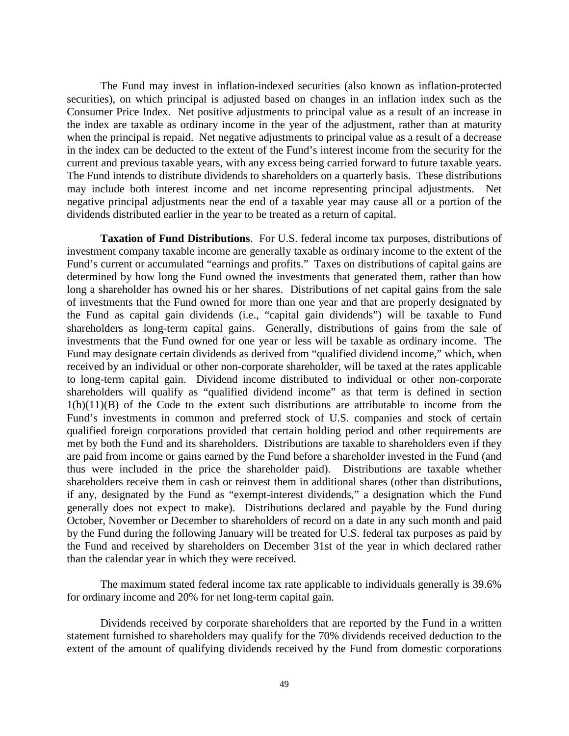The Fund may invest in inflation-indexed securities (also known as inflation-protected securities), on which principal is adjusted based on changes in an inflation index such as the Consumer Price Index. Net positive adjustments to principal value as a result of an increase in the index are taxable as ordinary income in the year of the adjustment, rather than at maturity when the principal is repaid. Net negative adjustments to principal value as a result of a decrease in the index can be deducted to the extent of the Fund's interest income from the security for the current and previous taxable years, with any excess being carried forward to future taxable years. The Fund intends to distribute dividends to shareholders on a quarterly basis. These distributions may include both interest income and net income representing principal adjustments. Net negative principal adjustments near the end of a taxable year may cause all or a portion of the dividends distributed earlier in the year to be treated as a return of capital.

**Taxation of Fund Distributions**. For U.S. federal income tax purposes, distributions of investment company taxable income are generally taxable as ordinary income to the extent of the Fund's current or accumulated "earnings and profits." Taxes on distributions of capital gains are determined by how long the Fund owned the investments that generated them, rather than how long a shareholder has owned his or her shares. Distributions of net capital gains from the sale of investments that the Fund owned for more than one year and that are properly designated by the Fund as capital gain dividends (i.e., "capital gain dividends") will be taxable to Fund shareholders as long-term capital gains. Generally, distributions of gains from the sale of investments that the Fund owned for one year or less will be taxable as ordinary income. The Fund may designate certain dividends as derived from "qualified dividend income," which, when received by an individual or other non-corporate shareholder, will be taxed at the rates applicable to long-term capital gain. Dividend income distributed to individual or other non-corporate shareholders will qualify as "qualified dividend income" as that term is defined in section  $1(h)(11)(B)$  of the Code to the extent such distributions are attributable to income from the Fund's investments in common and preferred stock of U.S. companies and stock of certain qualified foreign corporations provided that certain holding period and other requirements are met by both the Fund and its shareholders. Distributions are taxable to shareholders even if they are paid from income or gains earned by the Fund before a shareholder invested in the Fund (and thus were included in the price the shareholder paid). Distributions are taxable whether shareholders receive them in cash or reinvest them in additional shares (other than distributions, if any, designated by the Fund as "exempt-interest dividends," a designation which the Fund generally does not expect to make). Distributions declared and payable by the Fund during October, November or December to shareholders of record on a date in any such month and paid by the Fund during the following January will be treated for U.S. federal tax purposes as paid by the Fund and received by shareholders on December 31st of the year in which declared rather than the calendar year in which they were received.

The maximum stated federal income tax rate applicable to individuals generally is 39.6% for ordinary income and 20% for net long-term capital gain.

Dividends received by corporate shareholders that are reported by the Fund in a written statement furnished to shareholders may qualify for the 70% dividends received deduction to the extent of the amount of qualifying dividends received by the Fund from domestic corporations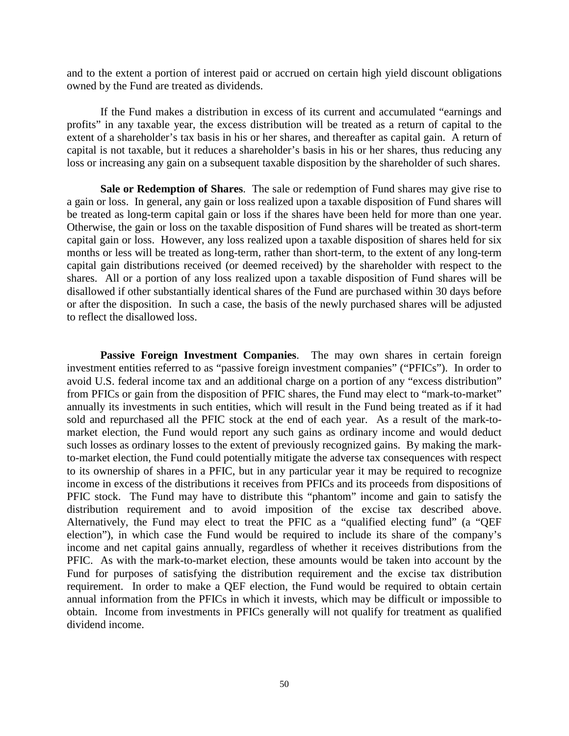and to the extent a portion of interest paid or accrued on certain high yield discount obligations owned by the Fund are treated as dividends.

If the Fund makes a distribution in excess of its current and accumulated "earnings and profits" in any taxable year, the excess distribution will be treated as a return of capital to the extent of a shareholder's tax basis in his or her shares, and thereafter as capital gain. A return of capital is not taxable, but it reduces a shareholder's basis in his or her shares, thus reducing any loss or increasing any gain on a subsequent taxable disposition by the shareholder of such shares.

**Sale or Redemption of Shares**. The sale or redemption of Fund shares may give rise to a gain or loss. In general, any gain or loss realized upon a taxable disposition of Fund shares will be treated as long-term capital gain or loss if the shares have been held for more than one year. Otherwise, the gain or loss on the taxable disposition of Fund shares will be treated as short-term capital gain or loss. However, any loss realized upon a taxable disposition of shares held for six months or less will be treated as long-term, rather than short-term, to the extent of any long-term capital gain distributions received (or deemed received) by the shareholder with respect to the shares. All or a portion of any loss realized upon a taxable disposition of Fund shares will be disallowed if other substantially identical shares of the Fund are purchased within 30 days before or after the disposition. In such a case, the basis of the newly purchased shares will be adjusted to reflect the disallowed loss.

**Passive Foreign Investment Companies**. The may own shares in certain foreign investment entities referred to as "passive foreign investment companies" ("PFICs"). In order to avoid U.S. federal income tax and an additional charge on a portion of any "excess distribution" from PFICs or gain from the disposition of PFIC shares, the Fund may elect to "mark-to-market" annually its investments in such entities, which will result in the Fund being treated as if it had sold and repurchased all the PFIC stock at the end of each year. As a result of the mark-tomarket election, the Fund would report any such gains as ordinary income and would deduct such losses as ordinary losses to the extent of previously recognized gains. By making the markto-market election, the Fund could potentially mitigate the adverse tax consequences with respect to its ownership of shares in a PFIC, but in any particular year it may be required to recognize income in excess of the distributions it receives from PFICs and its proceeds from dispositions of PFIC stock. The Fund may have to distribute this "phantom" income and gain to satisfy the distribution requirement and to avoid imposition of the excise tax described above. Alternatively, the Fund may elect to treat the PFIC as a "qualified electing fund" (a "QEF election"), in which case the Fund would be required to include its share of the company's income and net capital gains annually, regardless of whether it receives distributions from the PFIC. As with the mark-to-market election, these amounts would be taken into account by the Fund for purposes of satisfying the distribution requirement and the excise tax distribution requirement. In order to make a QEF election, the Fund would be required to obtain certain annual information from the PFICs in which it invests, which may be difficult or impossible to obtain. Income from investments in PFICs generally will not qualify for treatment as qualified dividend income.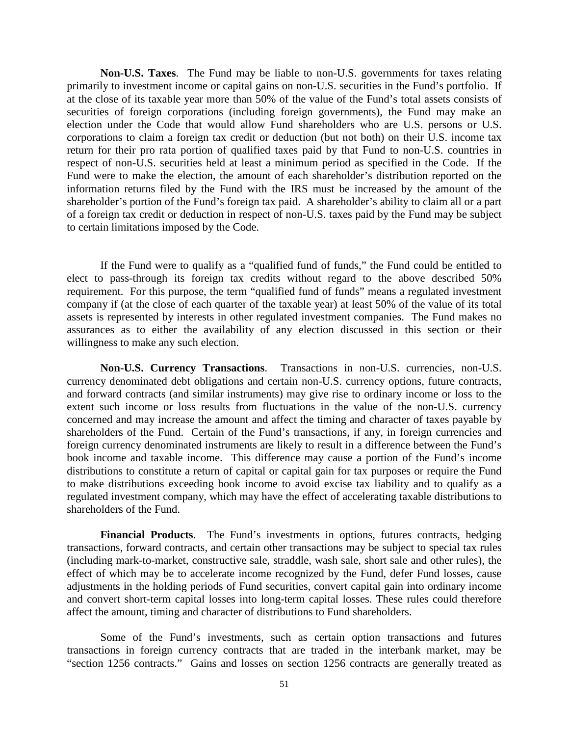**Non-U.S. Taxes**. The Fund may be liable to non-U.S. governments for taxes relating primarily to investment income or capital gains on non-U.S. securities in the Fund's portfolio. If at the close of its taxable year more than 50% of the value of the Fund's total assets consists of securities of foreign corporations (including foreign governments), the Fund may make an election under the Code that would allow Fund shareholders who are U.S. persons or U.S. corporations to claim a foreign tax credit or deduction (but not both) on their U.S. income tax return for their pro rata portion of qualified taxes paid by that Fund to non-U.S. countries in respect of non-U.S. securities held at least a minimum period as specified in the Code. If the Fund were to make the election, the amount of each shareholder's distribution reported on the information returns filed by the Fund with the IRS must be increased by the amount of the shareholder's portion of the Fund's foreign tax paid. A shareholder's ability to claim all or a part of a foreign tax credit or deduction in respect of non-U.S. taxes paid by the Fund may be subject to certain limitations imposed by the Code.

If the Fund were to qualify as a "qualified fund of funds," the Fund could be entitled to elect to pass-through its foreign tax credits without regard to the above described 50% requirement. For this purpose, the term "qualified fund of funds" means a regulated investment company if (at the close of each quarter of the taxable year) at least 50% of the value of its total assets is represented by interests in other regulated investment companies. The Fund makes no assurances as to either the availability of any election discussed in this section or their willingness to make any such election.

**Non-U.S. Currency Transactions**. Transactions in non-U.S. currencies, non-U.S. currency denominated debt obligations and certain non-U.S. currency options, future contracts, and forward contracts (and similar instruments) may give rise to ordinary income or loss to the extent such income or loss results from fluctuations in the value of the non-U.S. currency concerned and may increase the amount and affect the timing and character of taxes payable by shareholders of the Fund. Certain of the Fund's transactions, if any, in foreign currencies and foreign currency denominated instruments are likely to result in a difference between the Fund's book income and taxable income. This difference may cause a portion of the Fund's income distributions to constitute a return of capital or capital gain for tax purposes or require the Fund to make distributions exceeding book income to avoid excise tax liability and to qualify as a regulated investment company, which may have the effect of accelerating taxable distributions to shareholders of the Fund.

**Financial Products**. The Fund's investments in options, futures contracts, hedging transactions, forward contracts, and certain other transactions may be subject to special tax rules (including mark-to-market, constructive sale, straddle, wash sale, short sale and other rules), the effect of which may be to accelerate income recognized by the Fund, defer Fund losses, cause adjustments in the holding periods of Fund securities, convert capital gain into ordinary income and convert short-term capital losses into long-term capital losses. These rules could therefore affect the amount, timing and character of distributions to Fund shareholders.

Some of the Fund's investments, such as certain option transactions and futures transactions in foreign currency contracts that are traded in the interbank market, may be "section 1256 contracts." Gains and losses on section 1256 contracts are generally treated as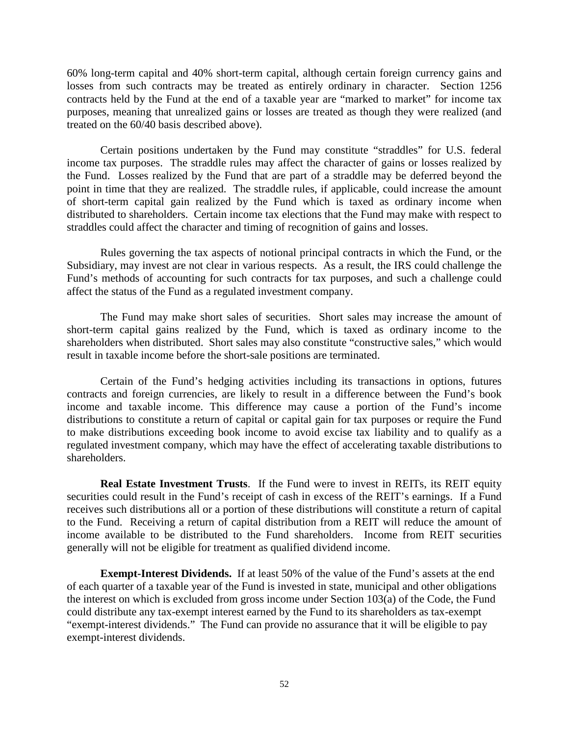60% long-term capital and 40% short-term capital, although certain foreign currency gains and losses from such contracts may be treated as entirely ordinary in character. Section 1256 contracts held by the Fund at the end of a taxable year are "marked to market" for income tax purposes, meaning that unrealized gains or losses are treated as though they were realized (and treated on the 60/40 basis described above).

Certain positions undertaken by the Fund may constitute "straddles" for U.S. federal income tax purposes. The straddle rules may affect the character of gains or losses realized by the Fund. Losses realized by the Fund that are part of a straddle may be deferred beyond the point in time that they are realized. The straddle rules, if applicable, could increase the amount of short-term capital gain realized by the Fund which is taxed as ordinary income when distributed to shareholders. Certain income tax elections that the Fund may make with respect to straddles could affect the character and timing of recognition of gains and losses.

Rules governing the tax aspects of notional principal contracts in which the Fund, or the Subsidiary, may invest are not clear in various respects. As a result, the IRS could challenge the Fund's methods of accounting for such contracts for tax purposes, and such a challenge could affect the status of the Fund as a regulated investment company.

The Fund may make short sales of securities. Short sales may increase the amount of short-term capital gains realized by the Fund, which is taxed as ordinary income to the shareholders when distributed. Short sales may also constitute "constructive sales," which would result in taxable income before the short-sale positions are terminated.

Certain of the Fund's hedging activities including its transactions in options, futures contracts and foreign currencies, are likely to result in a difference between the Fund's book income and taxable income. This difference may cause a portion of the Fund's income distributions to constitute a return of capital or capital gain for tax purposes or require the Fund to make distributions exceeding book income to avoid excise tax liability and to qualify as a regulated investment company, which may have the effect of accelerating taxable distributions to shareholders.

**Real Estate Investment Trusts.** If the Fund were to invest in REITs, its REIT equity securities could result in the Fund's receipt of cash in excess of the REIT's earnings. If a Fund receives such distributions all or a portion of these distributions will constitute a return of capital to the Fund. Receiving a return of capital distribution from a REIT will reduce the amount of income available to be distributed to the Fund shareholders. Income from REIT securities generally will not be eligible for treatment as qualified dividend income.

**Exempt-Interest Dividends.** If at least 50% of the value of the Fund's assets at the end of each quarter of a taxable year of the Fund is invested in state, municipal and other obligations the interest on which is excluded from gross income under Section 103(a) of the Code, the Fund could distribute any tax-exempt interest earned by the Fund to its shareholders as tax-exempt "exempt-interest dividends." The Fund can provide no assurance that it will be eligible to pay exempt-interest dividends.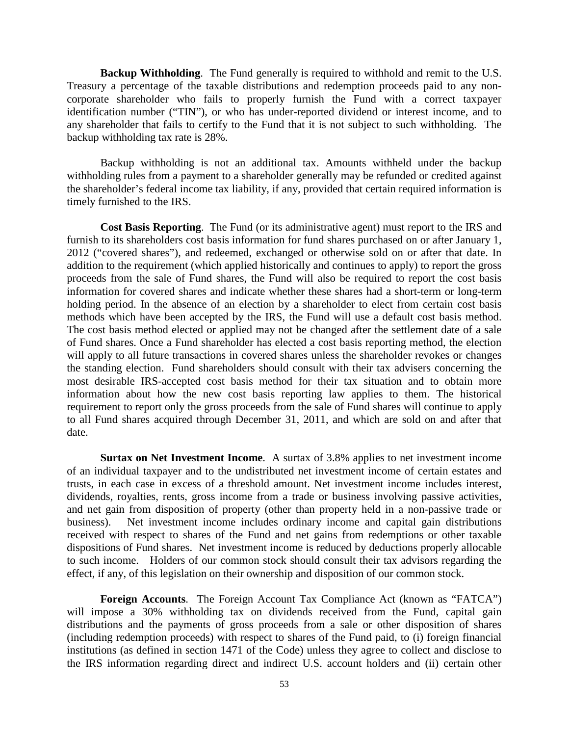**Backup Withholding**. The Fund generally is required to withhold and remit to the U.S. Treasury a percentage of the taxable distributions and redemption proceeds paid to any noncorporate shareholder who fails to properly furnish the Fund with a correct taxpayer identification number ("TIN"), or who has under-reported dividend or interest income, and to any shareholder that fails to certify to the Fund that it is not subject to such withholding. The backup withholding tax rate is 28%.

Backup withholding is not an additional tax. Amounts withheld under the backup withholding rules from a payment to a shareholder generally may be refunded or credited against the shareholder's federal income tax liability, if any, provided that certain required information is timely furnished to the IRS.

**Cost Basis Reporting**. The Fund (or its administrative agent) must report to the IRS and furnish to its shareholders cost basis information for fund shares purchased on or after January 1, 2012 ("covered shares"), and redeemed, exchanged or otherwise sold on or after that date. In addition to the requirement (which applied historically and continues to apply) to report the gross proceeds from the sale of Fund shares, the Fund will also be required to report the cost basis information for covered shares and indicate whether these shares had a short-term or long-term holding period. In the absence of an election by a shareholder to elect from certain cost basis methods which have been accepted by the IRS, the Fund will use a default cost basis method. The cost basis method elected or applied may not be changed after the settlement date of a sale of Fund shares. Once a Fund shareholder has elected a cost basis reporting method, the election will apply to all future transactions in covered shares unless the shareholder revokes or changes the standing election. Fund shareholders should consult with their tax advisers concerning the most desirable IRS-accepted cost basis method for their tax situation and to obtain more information about how the new cost basis reporting law applies to them. The historical requirement to report only the gross proceeds from the sale of Fund shares will continue to apply to all Fund shares acquired through December 31, 2011, and which are sold on and after that date.

**Surtax on Net Investment Income**. A surtax of 3.8% applies to net investment income of an individual taxpayer and to the undistributed net investment income of certain estates and trusts, in each case in excess of a threshold amount. Net investment income includes interest, dividends, royalties, rents, gross income from a trade or business involving passive activities, and net gain from disposition of property (other than property held in a non-passive trade or business). Net investment income includes ordinary income and capital gain distributions received with respect to shares of the Fund and net gains from redemptions or other taxable dispositions of Fund shares. Net investment income is reduced by deductions properly allocable to such income. Holders of our common stock should consult their tax advisors regarding the effect, if any, of this legislation on their ownership and disposition of our common stock.

**Foreign Accounts**. The Foreign Account Tax Compliance Act (known as "FATCA") will impose a 30% withholding tax on dividends received from the Fund, capital gain distributions and the payments of gross proceeds from a sale or other disposition of shares (including redemption proceeds) with respect to shares of the Fund paid, to (i) foreign financial institutions (as defined in section 1471 of the Code) unless they agree to collect and disclose to the IRS information regarding direct and indirect U.S. account holders and (ii) certain other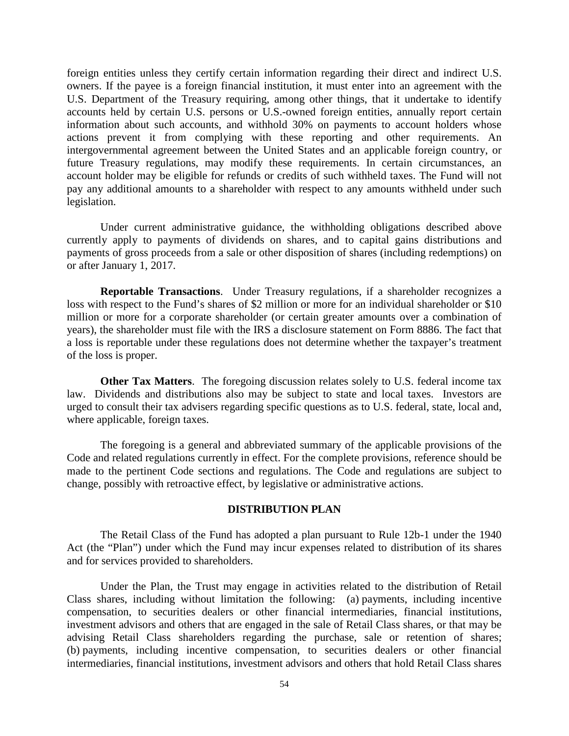foreign entities unless they certify certain information regarding their direct and indirect U.S. owners. If the payee is a foreign financial institution, it must enter into an agreement with the U.S. Department of the Treasury requiring, among other things, that it undertake to identify accounts held by certain U.S. persons or U.S.-owned foreign entities, annually report certain information about such accounts, and withhold 30% on payments to account holders whose actions prevent it from complying with these reporting and other requirements. An intergovernmental agreement between the United States and an applicable foreign country, or future Treasury regulations, may modify these requirements. In certain circumstances, an account holder may be eligible for refunds or credits of such withheld taxes. The Fund will not pay any additional amounts to a shareholder with respect to any amounts withheld under such legislation.

Under current administrative guidance, the withholding obligations described above currently apply to payments of dividends on shares, and to capital gains distributions and payments of gross proceeds from a sale or other disposition of shares (including redemptions) on or after January 1, 2017.

**Reportable Transactions**. Under Treasury regulations, if a shareholder recognizes a loss with respect to the Fund's shares of \$2 million or more for an individual shareholder or \$10 million or more for a corporate shareholder (or certain greater amounts over a combination of years), the shareholder must file with the IRS a disclosure statement on Form 8886. The fact that a loss is reportable under these regulations does not determine whether the taxpayer's treatment of the loss is proper.

**Other Tax Matters.** The foregoing discussion relates solely to U.S. federal income tax law. Dividends and distributions also may be subject to state and local taxes. Investors are urged to consult their tax advisers regarding specific questions as to U.S. federal, state, local and, where applicable, foreign taxes.

The foregoing is a general and abbreviated summary of the applicable provisions of the Code and related regulations currently in effect. For the complete provisions, reference should be made to the pertinent Code sections and regulations. The Code and regulations are subject to change, possibly with retroactive effect, by legislative or administrative actions.

#### **DISTRIBUTION PLAN**

The Retail Class of the Fund has adopted a plan pursuant to Rule 12b-1 under the 1940 Act (the "Plan") under which the Fund may incur expenses related to distribution of its shares and for services provided to shareholders.

Under the Plan, the Trust may engage in activities related to the distribution of Retail Class shares, including without limitation the following: (a) payments, including incentive compensation, to securities dealers or other financial intermediaries, financial institutions, investment advisors and others that are engaged in the sale of Retail Class shares, or that may be advising Retail Class shareholders regarding the purchase, sale or retention of shares; (b) payments, including incentive compensation, to securities dealers or other financial intermediaries, financial institutions, investment advisors and others that hold Retail Class shares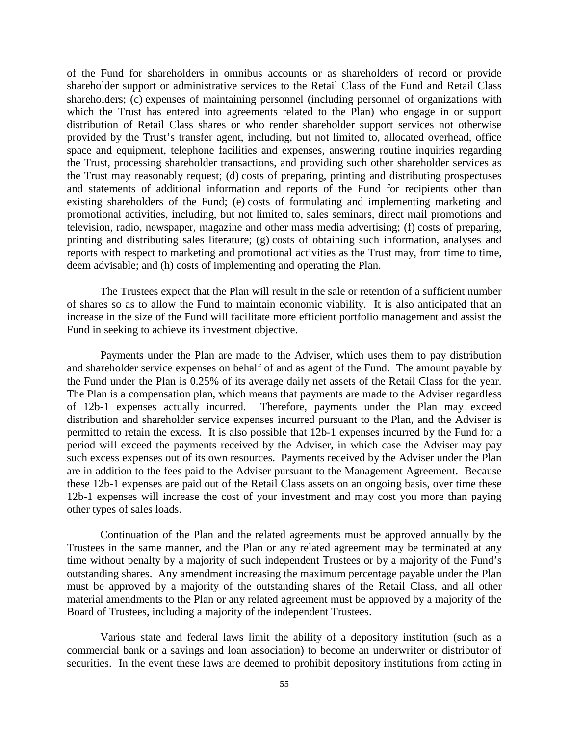of the Fund for shareholders in omnibus accounts or as shareholders of record or provide shareholder support or administrative services to the Retail Class of the Fund and Retail Class shareholders; (c) expenses of maintaining personnel (including personnel of organizations with which the Trust has entered into agreements related to the Plan) who engage in or support distribution of Retail Class shares or who render shareholder support services not otherwise provided by the Trust's transfer agent, including, but not limited to, allocated overhead, office space and equipment, telephone facilities and expenses, answering routine inquiries regarding the Trust, processing shareholder transactions, and providing such other shareholder services as the Trust may reasonably request; (d) costs of preparing, printing and distributing prospectuses and statements of additional information and reports of the Fund for recipients other than existing shareholders of the Fund; (e) costs of formulating and implementing marketing and promotional activities, including, but not limited to, sales seminars, direct mail promotions and television, radio, newspaper, magazine and other mass media advertising; (f) costs of preparing, printing and distributing sales literature; (g) costs of obtaining such information, analyses and reports with respect to marketing and promotional activities as the Trust may, from time to time, deem advisable; and (h) costs of implementing and operating the Plan.

The Trustees expect that the Plan will result in the sale or retention of a sufficient number of shares so as to allow the Fund to maintain economic viability. It is also anticipated that an increase in the size of the Fund will facilitate more efficient portfolio management and assist the Fund in seeking to achieve its investment objective.

Payments under the Plan are made to the Adviser, which uses them to pay distribution and shareholder service expenses on behalf of and as agent of the Fund. The amount payable by the Fund under the Plan is 0.25% of its average daily net assets of the Retail Class for the year. The Plan is a compensation plan, which means that payments are made to the Adviser regardless of 12b-1 expenses actually incurred. Therefore, payments under the Plan may exceed distribution and shareholder service expenses incurred pursuant to the Plan, and the Adviser is permitted to retain the excess. It is also possible that 12b-1 expenses incurred by the Fund for a period will exceed the payments received by the Adviser, in which case the Adviser may pay such excess expenses out of its own resources. Payments received by the Adviser under the Plan are in addition to the fees paid to the Adviser pursuant to the Management Agreement. Because these 12b-1 expenses are paid out of the Retail Class assets on an ongoing basis, over time these 12b-1 expenses will increase the cost of your investment and may cost you more than paying other types of sales loads.

Continuation of the Plan and the related agreements must be approved annually by the Trustees in the same manner, and the Plan or any related agreement may be terminated at any time without penalty by a majority of such independent Trustees or by a majority of the Fund's outstanding shares. Any amendment increasing the maximum percentage payable under the Plan must be approved by a majority of the outstanding shares of the Retail Class, and all other material amendments to the Plan or any related agreement must be approved by a majority of the Board of Trustees, including a majority of the independent Trustees.

Various state and federal laws limit the ability of a depository institution (such as a commercial bank or a savings and loan association) to become an underwriter or distributor of securities. In the event these laws are deemed to prohibit depository institutions from acting in